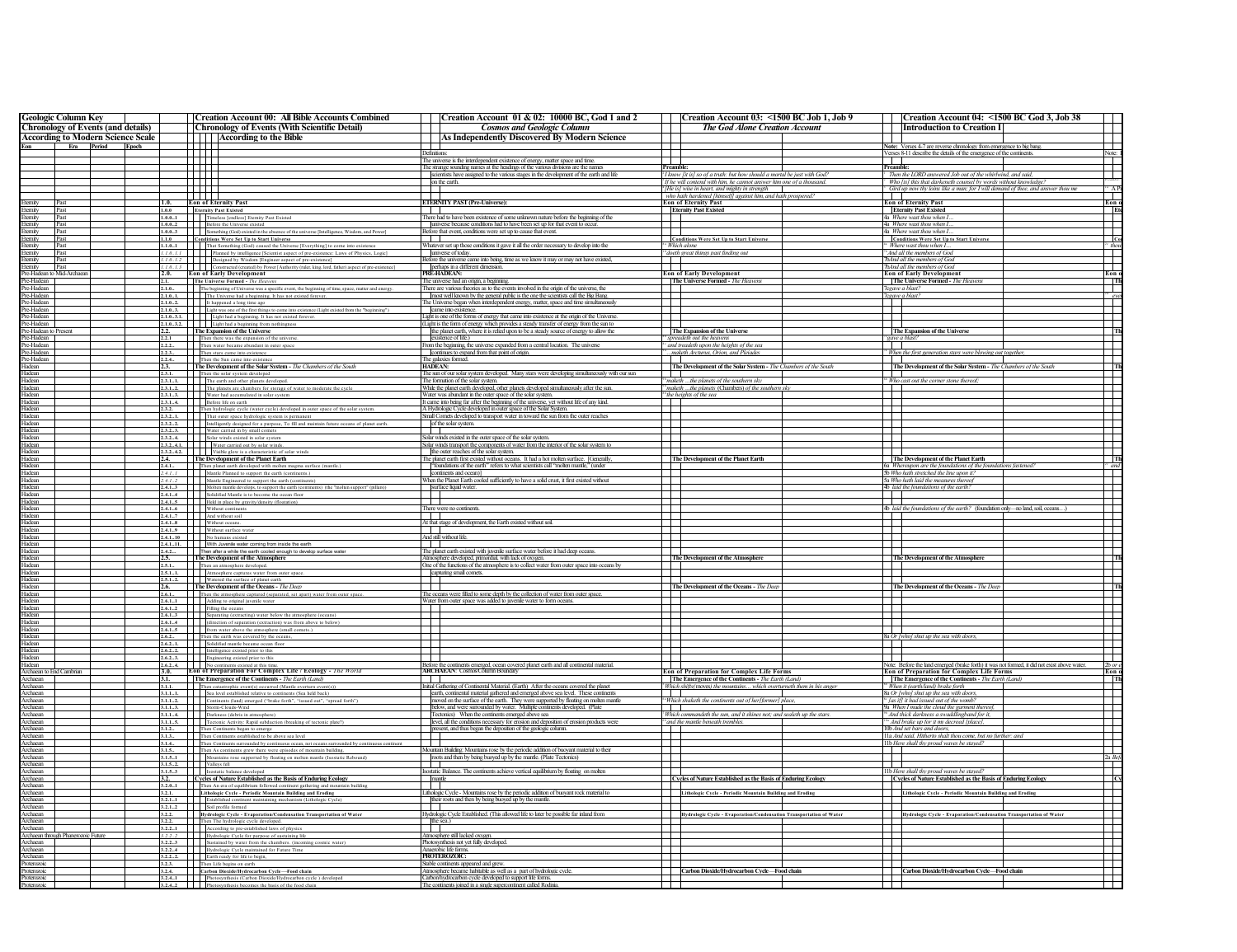|                                                                                                                                                                                                                                 |                | Creation Account 00: All Bible Accounts Combined                                                                                                                                                                                                                                                                                                                                                                                                | Creation Account 01 & 02: 10000 BC, God 1 and 2                                                                                                                            |                             | Creation Account 03: <1500 BC Job 1, Job 9                                                                                                      |                          | Creation Account 04: <1500 BC God 3, Job 38                                                                                                                      |                                                                                                                                                                                                                                                                                                                                                                                                                                   |
|---------------------------------------------------------------------------------------------------------------------------------------------------------------------------------------------------------------------------------|----------------|-------------------------------------------------------------------------------------------------------------------------------------------------------------------------------------------------------------------------------------------------------------------------------------------------------------------------------------------------------------------------------------------------------------------------------------------------|----------------------------------------------------------------------------------------------------------------------------------------------------------------------------|-----------------------------|-------------------------------------------------------------------------------------------------------------------------------------------------|--------------------------|------------------------------------------------------------------------------------------------------------------------------------------------------------------|-----------------------------------------------------------------------------------------------------------------------------------------------------------------------------------------------------------------------------------------------------------------------------------------------------------------------------------------------------------------------------------------------------------------------------------|
| <b>Geologic Column Key   Chronology of Events (and details)</b>                                                                                                                                                                 |                | <b>Chronology of Events (With Scientific Detail)</b>                                                                                                                                                                                                                                                                                                                                                                                            | <b>Cosmos and Geologic Column</b>                                                                                                                                          |                             | <b>The God Alone Creation Account</b>                                                                                                           |                          | <b>Introduction to Creation I</b>                                                                                                                                |                                                                                                                                                                                                                                                                                                                                                                                                                                   |
| <b>According to Modern Science Scale</b>                                                                                                                                                                                        |                | According to the Bible                                                                                                                                                                                                                                                                                                                                                                                                                          | As Independently Discovered By Modern Science                                                                                                                              |                             |                                                                                                                                                 |                          |                                                                                                                                                                  |                                                                                                                                                                                                                                                                                                                                                                                                                                   |
| Eon Era Period Epoch                                                                                                                                                                                                            |                | ŦŦ                                                                                                                                                                                                                                                                                                                                                                                                                                              | 1 I I                                                                                                                                                                      |                             |                                                                                                                                                 |                          | Note: Verses 4-7 are reverse chronology from emergence to big bang.                                                                                              | Note:                                                                                                                                                                                                                                                                                                                                                                                                                             |
|                                                                                                                                                                                                                                 |                | n pr                                                                                                                                                                                                                                                                                                                                                                                                                                            | <b>Definitions:</b><br>The universe is the interdependent existence of energy, matter space and time.                                                                      | J                           |                                                                                                                                                 | $\overline{\phantom{a}}$ | Verses 8-11 describe the details of the emergence of the continents.                                                                                             |                                                                                                                                                                                                                                                                                                                                                                                                                                   |
|                                                                                                                                                                                                                                 |                | $\mathbb{H} \mathbb{H}$                                                                                                                                                                                                                                                                                                                                                                                                                         | The strange sounding names at the headings of the various divisions are the names                                                                                          | Preambl                     |                                                                                                                                                 | Preamble:                |                                                                                                                                                                  | ▜                                                                                                                                                                                                                                                                                                                                                                                                                                 |
|                                                                                                                                                                                                                                 |                |                                                                                                                                                                                                                                                                                                                                                                                                                                                 | scientists have assigned to the various stages in the development of the earth and life                                                                                    |                             | <sup>2</sup> I know [it is] so of a truth: but how should a mortal be just with God?                                                            |                          | Then the LORD answered Job out of the whirlwind, and said,                                                                                                       |                                                                                                                                                                                                                                                                                                                                                                                                                                   |
|                                                                                                                                                                                                                                 |                | TTTT<br><u>in Tim</u>                                                                                                                                                                                                                                                                                                                                                                                                                           | on the earth.                                                                                                                                                              |                             | 'If he will contend with him, he cannot answer him one of a thousand<br>He is] wise in heart, and mighty in strength                            |                          | <sup>2</sup> Who [is] this that darkeneth counsel by words without knowledge?<br>Gird up now thy loins like a man; for I will demand of thee, and answer thou me | $^{\prime\prime}$ Al                                                                                                                                                                                                                                                                                                                                                                                                              |
|                                                                                                                                                                                                                                 |                | TTT T                                                                                                                                                                                                                                                                                                                                                                                                                                           |                                                                                                                                                                            |                             | who hath hardened [himself] against him, and hath prospered?                                                                                    | $\top$                   |                                                                                                                                                                  |                                                                                                                                                                                                                                                                                                                                                                                                                                   |
| Eternity Past<br>Eternity Past<br>Eternity Past<br>Eternity Past                                                                                                                                                                | 1.0.           | <b>Eon of Eternity Past</b>                                                                                                                                                                                                                                                                                                                                                                                                                     | <b>ETERNITY PAST (Pre-Universe):</b>                                                                                                                                       |                             | <b>Eon of Eternity Past</b>                                                                                                                     |                          | <b>Eon of Eternity Past</b>                                                                                                                                      | Eon o                                                                                                                                                                                                                                                                                                                                                                                                                             |
|                                                                                                                                                                                                                                 | 1.0.0          | <b>Eternity Past Existed</b>                                                                                                                                                                                                                                                                                                                                                                                                                    |                                                                                                                                                                            |                             | <b>Eternity Past Existed</b>                                                                                                                    |                          | <b>Eternity Past Existed</b>                                                                                                                                     | $\frac{1}{2}$ Etc.                                                                                                                                                                                                                                                                                                                                                                                                                |
|                                                                                                                                                                                                                                 |                | 1.0.01 Timeless [endless] Etemity Past Exis                                                                                                                                                                                                                                                                                                                                                                                                     | There had to have been existence of some unknown nature before the beginning of the<br>universe because conditions had to have been set up for that event to occur.        |                             |                                                                                                                                                 |                          | 4a Where wast thou when<br>4a Where wast thou when I                                                                                                             |                                                                                                                                                                                                                                                                                                                                                                                                                                   |
|                                                                                                                                                                                                                                 |                | <b>1.0.0.2</b> Before the Universe existed<br><b>1.0.0.3</b> Before the Universe existed<br><b>1.0.0.3</b> Something (God) existed in the absence of the universe [Intelligence, Wisdom, and Power]                                                                                                                                                                                                                                             | Before that event, conditions were set up to cause that event.                                                                                                             |                             |                                                                                                                                                 |                          | 4a Where wast thou when I.                                                                                                                                       |                                                                                                                                                                                                                                                                                                                                                                                                                                   |
|                                                                                                                                                                                                                                 |                | 1.1.0 Conditions Were Set Up to Start Universe                                                                                                                                                                                                                                                                                                                                                                                                  |                                                                                                                                                                            |                             |                                                                                                                                                 |                          |                                                                                                                                                                  |                                                                                                                                                                                                                                                                                                                                                                                                                                   |
|                                                                                                                                                                                                                                 |                | 1.1.01 That Something (God) caused the Universe [Everything] to come into existence                                                                                                                                                                                                                                                                                                                                                             | Whatever set up those conditions it gave it all the order necessary to develop into the                                                                                    |                             | $\label{eq:cond} \begin{array}{ll} \textbf{Conditions } \textbf{Were Set Up to Start Universe}\\ \textbf{`` } \textit{Which alone} \end{array}$ |                          | Conditions Were Set Up to Start Universe                                                                                                                         |                                                                                                                                                                                                                                                                                                                                                                                                                                   |
|                                                                                                                                                                                                                                 |                | 1.1.0.1.1 Planned by intelligence [Scientist aspect of pre-existence: Laws of Physics, Logic]                                                                                                                                                                                                                                                                                                                                                   | universe of today.                                                                                                                                                         |                             | <sup>16</sup> doeth great things past finding out                                                                                               |                          | <sup>75</sup> And all the members of Goa                                                                                                                         | $\overline{\phantom{0}}$                                                                                                                                                                                                                                                                                                                                                                                                          |
|                                                                                                                                                                                                                                 |                | 1.1.01.2 Designed by Wisdom [Engineer aspect of pre-existence]<br>1.1.01.3 Constructed (created) by Power [Authority (ruler, king, lord, father) aspect of pre-existence]                                                                                                                                                                                                                                                                       | Before the universe came into being, time as we know it may or may not have existed,<br>perhaps in a different dimension.                                                  | ∓                           |                                                                                                                                                 |                          | ThAnd all the members of God<br>ToAnd all the members of God                                                                                                     |                                                                                                                                                                                                                                                                                                                                                                                                                                   |
|                                                                                                                                                                                                                                 |                | 2.0. Eon of Early Development                                                                                                                                                                                                                                                                                                                                                                                                                   | PRE-HADEAN:                                                                                                                                                                |                             | <b>Eon of Early Development</b>                                                                                                                 |                          | <b>Eon of Early Development</b>                                                                                                                                  | Eon o                                                                                                                                                                                                                                                                                                                                                                                                                             |
|                                                                                                                                                                                                                                 |                |                                                                                                                                                                                                                                                                                                                                                                                                                                                 | The universe had an origin, a beginning                                                                                                                                    |                             | The Universe Formed - The Heavens                                                                                                               |                          | The Universe Formed - The Heavens                                                                                                                                | $\overline{\phantom{a}}$                                                                                                                                                                                                                                                                                                                                                                                                          |
|                                                                                                                                                                                                                                 |                | 2.1. <b>The Universe Formed</b> - <i>The Heavens</i><br>2.1.0. <b>The best investigated For the Strategy of the Strategy of the Strategy of 2.1.0.<br/> 2.1.0.1. The Universe had a beginning. It has not existed forever.</b>                                                                                                                                                                                                                  | There are various theories as to the events involved in the origin of the universe, the                                                                                    |                             |                                                                                                                                                 |                          | Tegave a blast?                                                                                                                                                  |                                                                                                                                                                                                                                                                                                                                                                                                                                   |
|                                                                                                                                                                                                                                 |                | 2.1.02. It happened a long time ago                                                                                                                                                                                                                                                                                                                                                                                                             | most well known by the general public is the one the scientists call the Big Bang.<br>The Universe began when interdependent energy, matter, space and time simultaneously |                             |                                                                                                                                                 |                          | Tegave a blast?<br> <br> -                                                                                                                                       | $rac{2I}{\epsilon}$ even                                                                                                                                                                                                                                                                                                                                                                                                          |
|                                                                                                                                                                                                                                 |                |                                                                                                                                                                                                                                                                                                                                                                                                                                                 | came into existence.                                                                                                                                                       |                             |                                                                                                                                                 |                          |                                                                                                                                                                  |                                                                                                                                                                                                                                                                                                                                                                                                                                   |
|                                                                                                                                                                                                                                 |                | 2.1.03. Light was one of the first things to come into existence (Light existed from the "beginning")<br>2.1.03.1. Light had a beginning. It has not existed forever.                                                                                                                                                                                                                                                                           | Light is one of the forms of energy that came into existence at the origin of the Universe.                                                                                | $\overline{\phantom{a}}$    |                                                                                                                                                 |                          |                                                                                                                                                                  | Ŧ                                                                                                                                                                                                                                                                                                                                                                                                                                 |
|                                                                                                                                                                                                                                 |                | 2.1.03.2. Light had a beginning from nothingness<br>2.2. The Expansion of the Universe                                                                                                                                                                                                                                                                                                                                                          | (Light is the form of energy which provides a steady transfer of energy from the sun to                                                                                    |                             |                                                                                                                                                 |                          | The Expansion of the Universe                                                                                                                                    | $\overline{\mathbf{r}}$                                                                                                                                                                                                                                                                                                                                                                                                           |
|                                                                                                                                                                                                                                 |                |                                                                                                                                                                                                                                                                                                                                                                                                                                                 | the planet earth, where it is relied upon to be a steady source of energy to allow the                                                                                     |                             | The Expansion of the Universe                                                                                                                   |                          |                                                                                                                                                                  |                                                                                                                                                                                                                                                                                                                                                                                                                                   |
|                                                                                                                                                                                                                                 | 2.2.1<br>2.2.2 | Then there was the expansion of the universe<br>Then water became abundant in outer space                                                                                                                                                                                                                                                                                                                                                       | existence of life.)<br>From the beginning, the universe expanded from a central location. The universe                                                                     |                             | <sup>33</sup> spreadeth out the heavens<br>and treadeth upon the heights of the sea                                                             |                          | <sup>34</sup> gave a blast?                                                                                                                                      | Ŧ                                                                                                                                                                                                                                                                                                                                                                                                                                 |
| Ekamiy Past<br>Externi Past (English Past School of the School of the School of the School of the School of the School of the School of the School of the School of the School of the School of the School of the School of the | 2.2.3          | Then stars came into existence                                                                                                                                                                                                                                                                                                                                                                                                                  | continues to expand from that point of origin.                                                                                                                             |                             | maketh Arcturus, Orion, and Pleiades                                                                                                            |                          | <sup>2</sup> When the first generation stars were blowing out together,                                                                                          | T                                                                                                                                                                                                                                                                                                                                                                                                                                 |
|                                                                                                                                                                                                                                 |                | Then the Sun came into e                                                                                                                                                                                                                                                                                                                                                                                                                        | The galaxies formed                                                                                                                                                        | - 11                        |                                                                                                                                                 |                          |                                                                                                                                                                  | $\blacksquare$                                                                                                                                                                                                                                                                                                                                                                                                                    |
|                                                                                                                                                                                                                                 |                | The Development of the Solar System - The Chambers of the South                                                                                                                                                                                                                                                                                                                                                                                 | <b>HADEAN:</b>                                                                                                                                                             |                             | $\begin{tabular}{ c c c } \hline \textbf{The Development of the Solar System -} \hline \textbf{The Chambers of the South} \hline \end{tabular}$ |                          | The Development of the Solar System - The Chambers of the South                                                                                                  |                                                                                                                                                                                                                                                                                                                                                                                                                                   |
|                                                                                                                                                                                                                                 |                | 2.3.1. Then the solar system developed<br>2.3.11. The earth and other planets developed.                                                                                                                                                                                                                                                                                                                                                        | The sun of our solar system developed. Many stars were developing simultaneously with our sun                                                                              |                             |                                                                                                                                                 |                          | $\frac{1}{4}$ Who cast out the corner stone thereof:                                                                                                             | $\frac{1}{\sqrt{2}}$                                                                                                                                                                                                                                                                                                                                                                                                              |
|                                                                                                                                                                                                                                 |                | 2.3.12. The planets are chambers for storage of water to moderate the cycle                                                                                                                                                                                                                                                                                                                                                                     | The formation of the solar system.<br>While the planet earth developed, other planets developed simultaneously after the sun.                                              |                             | maketh  the planets of the southern sky<br>maketh the planets (Chambers) of the southern s                                                      |                          |                                                                                                                                                                  |                                                                                                                                                                                                                                                                                                                                                                                                                                   |
|                                                                                                                                                                                                                                 |                | 2.3.13. Water had accumulated in solar system                                                                                                                                                                                                                                                                                                                                                                                                   | Water was abundant in the outer space of the solar system.                                                                                                                 |                             | <sup>83</sup> the heights of the sea                                                                                                            |                          |                                                                                                                                                                  | Ŧ                                                                                                                                                                                                                                                                                                                                                                                                                                 |
|                                                                                                                                                                                                                                 |                | 2.3.1.4. Before life on earth                                                                                                                                                                                                                                                                                                                                                                                                                   | It came into being far after the beginning of the universe, yet without life of any kind.                                                                                  |                             |                                                                                                                                                 |                          |                                                                                                                                                                  |                                                                                                                                                                                                                                                                                                                                                                                                                                   |
|                                                                                                                                                                                                                                 |                |                                                                                                                                                                                                                                                                                                                                                                                                                                                 | A Hydrologic Cycle developed in outer space of the Solar System.                                                                                                           |                             |                                                                                                                                                 | $\pm$                    |                                                                                                                                                                  | Ī                                                                                                                                                                                                                                                                                                                                                                                                                                 |
|                                                                                                                                                                                                                                 |                | 2.3.2.<br>2.3.2. Then hydrologic cycle (water cycle) developed in outer space of the solar system<br>2.3.2.1. That outer space hydrologic system is permanent                                                                                                                                                                                                                                                                                   | Small Cornets developed to transport water in toward the sun from the outer reaches                                                                                        |                             |                                                                                                                                                 |                          |                                                                                                                                                                  |                                                                                                                                                                                                                                                                                                                                                                                                                                   |
|                                                                                                                                                                                                                                 |                | 2.3.2.2. Intelligently designed for a purpose, To fill and maintain future oceans of planet earth.<br>2.3.23. Water carried in by small comets                                                                                                                                                                                                                                                                                                  | of the solar system.                                                                                                                                                       | $\mathcal{L}_{\mathcal{A}}$ |                                                                                                                                                 |                          |                                                                                                                                                                  | $\frac{1}{\sqrt{2}}$                                                                                                                                                                                                                                                                                                                                                                                                              |
|                                                                                                                                                                                                                                 |                |                                                                                                                                                                                                                                                                                                                                                                                                                                                 | Solar winds existed in the outer space of the solar system.                                                                                                                |                             |                                                                                                                                                 | ╪                        |                                                                                                                                                                  |                                                                                                                                                                                                                                                                                                                                                                                                                                   |
|                                                                                                                                                                                                                                 |                |                                                                                                                                                                                                                                                                                                                                                                                                                                                 | Solar winds transport the components of water from the interior of the solar system to                                                                                     |                             |                                                                                                                                                 |                          |                                                                                                                                                                  |                                                                                                                                                                                                                                                                                                                                                                                                                                   |
|                                                                                                                                                                                                                                 |                | <b>Example 19 and Schwartz and Schwartz and Schwartz (2.3.2.4.1.</b> Solar winds existed in solar system<br>2.3.2.4.4. Water carried out by solar winds.<br>2.3.2.4.2. The Development of the Planet Earth<br>2.4.                                                                                                                                                                                                                              | the outer reaches of the solar system.                                                                                                                                     |                             | The Development of the Planet Earth                                                                                                             |                          | The Development of the Planet Earth                                                                                                                              |                                                                                                                                                                                                                                                                                                                                                                                                                                   |
|                                                                                                                                                                                                                                 |                |                                                                                                                                                                                                                                                                                                                                                                                                                                                 | The planet earth first existed without oceans. It had a hot molten surface. [Generally,                                                                                    |                             |                                                                                                                                                 |                          |                                                                                                                                                                  |                                                                                                                                                                                                                                                                                                                                                                                                                                   |
|                                                                                                                                                                                                                                 | 2.4.1          | Then planet earth developed with molten magma surface (mantle<br>2.4.11 Mantle Planned to support the earth (continents.)                                                                                                                                                                                                                                                                                                                       | "foundations of the earth" refers to what scientists call "molten mantle," (under<br>continents and ocean)]                                                                |                             |                                                                                                                                                 |                          | 6a Whereupon are the foundations of the foundations fastened?<br>Sb Who hath stretched the line upon it?                                                         | $\frac{1}{\frac{1}{\sqrt{1-\frac{1}{\sqrt{1-\frac{1}{\sqrt{1-\frac{1}{\sqrt{1-\frac{1}{\sqrt{1-\frac{1}{\sqrt{1-\frac{1}{\sqrt{1-\frac{1}{\sqrt{1-\frac{1}{\sqrt{1-\frac{1}{\sqrt{1-\frac{1}{\sqrt{1-\frac{1}{\sqrt{1-\frac{1}{\sqrt{1-\frac{1}{\sqrt{1-\frac{1}{\sqrt{1-\frac{1}{\sqrt{1-\frac{1}{\sqrt{1-\frac{1}{\sqrt{1-\frac{1}{\sqrt{1-\frac{1}{\sqrt{1-\frac{1}{\sqrt{1-\frac{1}{\sqrt{1-\frac{1}{\sqrt{1-\frac{1}{\sqrt{$ |
|                                                                                                                                                                                                                                 |                | $2, 4, 1, 2$ Mantle Engineered to support the earth (continents)                                                                                                                                                                                                                                                                                                                                                                                | When the Planet Earth cooled sufficiently to have a solid crust, it first existed without                                                                                  |                             |                                                                                                                                                 |                          | 5a Who hath laid the measures thereof                                                                                                                            |                                                                                                                                                                                                                                                                                                                                                                                                                                   |
|                                                                                                                                                                                                                                 |                | 2.4.13 Molten mantle develops, to support the earth (continents) (the "molten support" (pillars))                                                                                                                                                                                                                                                                                                                                               | surface liquid water                                                                                                                                                       |                             |                                                                                                                                                 |                          | 4b laid the foundations of the earth.                                                                                                                            |                                                                                                                                                                                                                                                                                                                                                                                                                                   |
|                                                                                                                                                                                                                                 |                | 2.4.14 Solidified Mantle is to become the ocean floor                                                                                                                                                                                                                                                                                                                                                                                           | $\Box$                                                                                                                                                                     |                             |                                                                                                                                                 |                          |                                                                                                                                                                  |                                                                                                                                                                                                                                                                                                                                                                                                                                   |
|                                                                                                                                                                                                                                 |                | 2.4.15 Held in place by gravity/density (floatation)<br>2.4.16 Without continents                                                                                                                                                                                                                                                                                                                                                               | III<br>There were no continents.                                                                                                                                           |                             |                                                                                                                                                 |                          | 4b laid the foundations of the earth? (foundation only-no land, soil, oceans)                                                                                    | $\overline{\phantom{0}}$                                                                                                                                                                                                                                                                                                                                                                                                          |
|                                                                                                                                                                                                                                 |                | 2.4.17 And without soil                                                                                                                                                                                                                                                                                                                                                                                                                         | n Tin                                                                                                                                                                      |                             |                                                                                                                                                 |                          |                                                                                                                                                                  |                                                                                                                                                                                                                                                                                                                                                                                                                                   |
|                                                                                                                                                                                                                                 |                | 2.4.1.8 Without oceans.                                                                                                                                                                                                                                                                                                                                                                                                                         | At that stage of development, the Earth existed without soil.                                                                                                              | $\frac{1}{\sqrt{2}}$        |                                                                                                                                                 | $\Box$                   |                                                                                                                                                                  | $\overline{\phantom{0}}$                                                                                                                                                                                                                                                                                                                                                                                                          |
|                                                                                                                                                                                                                                 |                | 2.4.1.9 Without surface water                                                                                                                                                                                                                                                                                                                                                                                                                   | <b>11</b>                                                                                                                                                                  |                             |                                                                                                                                                 |                          |                                                                                                                                                                  |                                                                                                                                                                                                                                                                                                                                                                                                                                   |
|                                                                                                                                                                                                                                 |                | 2.4.110   No humans existed                                                                                                                                                                                                                                                                                                                                                                                                                     | And still without life.                                                                                                                                                    |                             |                                                                                                                                                 |                          |                                                                                                                                                                  |                                                                                                                                                                                                                                                                                                                                                                                                                                   |
|                                                                                                                                                                                                                                 |                | 2.4.111. With Juvenile water coming from inside the earth                                                                                                                                                                                                                                                                                                                                                                                       | m<br>The planet earth existed with juvenile surface water before it had deep oceans                                                                                        |                             |                                                                                                                                                 | $\overline{\phantom{a}}$ |                                                                                                                                                                  | $\frac{1}{n}$                                                                                                                                                                                                                                                                                                                                                                                                                     |
|                                                                                                                                                                                                                                 |                | Then after a while the earth cooled enough to develop surface water<br>The Development of the Atmosphere                                                                                                                                                                                                                                                                                                                                        | Atmosphere developed, primordial, with lack of oxygen.                                                                                                                     |                             | The Development of the Atmosphere                                                                                                               |                          | The Development of the Atmosphere                                                                                                                                |                                                                                                                                                                                                                                                                                                                                                                                                                                   |
|                                                                                                                                                                                                                                 |                | 2.5.1 Then an atmosphere developed.<br>2.5.11. Atmosphere captures water from outer space                                                                                                                                                                                                                                                                                                                                                       | One of the functions of the atmosphere is to collect water from outer space into oceans by                                                                                 | $\overline{\phantom{a}}$    |                                                                                                                                                 | $+$                      |                                                                                                                                                                  |                                                                                                                                                                                                                                                                                                                                                                                                                                   |
|                                                                                                                                                                                                                                 |                |                                                                                                                                                                                                                                                                                                                                                                                                                                                 | capturing small comets                                                                                                                                                     |                             |                                                                                                                                                 |                          |                                                                                                                                                                  |                                                                                                                                                                                                                                                                                                                                                                                                                                   |
|                                                                                                                                                                                                                                 | 2.6.           | 2.5.12. Watered the surface of planet earth                                                                                                                                                                                                                                                                                                                                                                                                     | and the state of the state of the state of the state of the state of the state of the state of the state of the                                                            |                             | The Development of the Oceans - The Deep                                                                                                        |                          |                                                                                                                                                                  | $\frac{1}{\sqrt{n}}$                                                                                                                                                                                                                                                                                                                                                                                                              |
|                                                                                                                                                                                                                                 | 2.6.1          | The Development of the Oceans - The Deep<br>Then the atmosphere captured (separated, set approximately)<br>Then the atmosphere captured (separated, set apart) water from outer space                                                                                                                                                                                                                                                           | The oceans were filled to some depth by the collection of water from outer space.                                                                                          |                             |                                                                                                                                                 |                          | The Development of the Oceans - The Deep                                                                                                                         |                                                                                                                                                                                                                                                                                                                                                                                                                                   |
|                                                                                                                                                                                                                                 |                | 2.6.11 Adding to original juvenile water                                                                                                                                                                                                                                                                                                                                                                                                        | Water from outer space was added to juvenile water to form oceans.                                                                                                         |                             |                                                                                                                                                 |                          |                                                                                                                                                                  | $\mathbf{\mathbf{r}}$                                                                                                                                                                                                                                                                                                                                                                                                             |
|                                                                                                                                                                                                                                 |                |                                                                                                                                                                                                                                                                                                                                                                                                                                                 | $\Box$                                                                                                                                                                     |                             |                                                                                                                                                 |                          |                                                                                                                                                                  | Ŧ                                                                                                                                                                                                                                                                                                                                                                                                                                 |
|                                                                                                                                                                                                                                 |                | 2.6.12 Filling the oceans<br>2.6.13 Filling the oceans<br>3.6.13 Separating (extracting) water below the atmosphere (oceans)<br>2.6.14 (direction of separation (extraction) was from above to below)                                                                                                                                                                                                                                           | ┯                                                                                                                                                                          |                             |                                                                                                                                                 |                          |                                                                                                                                                                  | $\mathbf{I}$                                                                                                                                                                                                                                                                                                                                                                                                                      |
|                                                                                                                                                                                                                                 |                | 2.6.15 from water above the atmosphere (small comets.                                                                                                                                                                                                                                                                                                                                                                                           |                                                                                                                                                                            |                             |                                                                                                                                                 |                          |                                                                                                                                                                  |                                                                                                                                                                                                                                                                                                                                                                                                                                   |
|                                                                                                                                                                                                                                 |                | 2.6.2 Then the earth was covered by the oceans                                                                                                                                                                                                                                                                                                                                                                                                  |                                                                                                                                                                            |                             |                                                                                                                                                 |                          | 8a Or [who] shut up the sea with doors,                                                                                                                          | I                                                                                                                                                                                                                                                                                                                                                                                                                                 |
|                                                                                                                                                                                                                                 |                | <b>2.6.2.1.</b> Solidified mantle became ocean floor<br><b>2.6.2.1.</b> Solidified mantle became ocean floor<br><b>2.6.2.3.</b> Intelligence existed prior to this<br><b>2.6.2.4.</b> No continents existed at this time.                                                                                                                                                                                                                       | $\mathbf{I}$                                                                                                                                                               | $\overline{\phantom{a}}$    |                                                                                                                                                 | $\overline{\phantom{a}}$ |                                                                                                                                                                  |                                                                                                                                                                                                                                                                                                                                                                                                                                   |
|                                                                                                                                                                                                                                 |                |                                                                                                                                                                                                                                                                                                                                                                                                                                                 |                                                                                                                                                                            |                             |                                                                                                                                                 |                          |                                                                                                                                                                  |                                                                                                                                                                                                                                                                                                                                                                                                                                   |
|                                                                                                                                                                                                                                 |                |                                                                                                                                                                                                                                                                                                                                                                                                                                                 |                                                                                                                                                                            |                             |                                                                                                                                                 |                          |                                                                                                                                                                  | $2h$ or                                                                                                                                                                                                                                                                                                                                                                                                                           |
|                                                                                                                                                                                                                                 |                | Eon of Preparation For Complex Life / Ecology - The World                                                                                                                                                                                                                                                                                                                                                                                       | Before the continents emerged, ocean covered planet earth and all continental material. ARCHAEAN: Cosmos/Column Boundary                                                   |                             | <b>Eon of Preparation for Complex Life Forms</b>                                                                                                |                          | Note: Before the land emerged (brake forth) it was not formed, it did not exist above water.<br>Eon of Preparation for Complex Life Forms                        | Eon                                                                                                                                                                                                                                                                                                                                                                                                                               |
|                                                                                                                                                                                                                                 |                | The Emergence of the Continents - The Earth (Land,                                                                                                                                                                                                                                                                                                                                                                                              | <b>TELESCOPE</b>                                                                                                                                                           |                             | The Emergence of the Continents - The Earth (Land)                                                                                              |                          | The Emergence of the Continents - The Earth (Land                                                                                                                | $\frac{1}{\sqrt{2}}$                                                                                                                                                                                                                                                                                                                                                                                                              |
|                                                                                                                                                                                                                                 | 3.1.1.         | Then catastrophic event(s) occurred (Mantle                                                                                                                                                                                                                                                                                                                                                                                                     | Initial Gathering of Continental Material. (Earth) After the oceans covered the planet                                                                                     |                             | <sup>5</sup> Which shifts<br>ves) the mountains which overturneth them in his anger                                                             |                          | <sup>13</sup> When it (earth/land) brake forth                                                                                                                   |                                                                                                                                                                                                                                                                                                                                                                                                                                   |
|                                                                                                                                                                                                                                 |                | $\begin{tabular}{l c c c} \hline 3.1.11. & \hline & Sea level established relative to continues (Sca held back) \\ \hline 3.1.12. & \hline \end{tabular} \begin{tabular}{l c c c} \hline \textbf{3.1.12.} & \hline \end{tabular} \begin{tabular}{l c c c c} \hline \textbf{3.1.12.} & \hline \end{tabular} \begin{tabular}{l c c c c} \hline \textbf{3.1.13.} & \hline \end{tabular} \end{tabular} \begin{tabular}{l c c c c c} \hline \textbf$ | earth, continental material gathered and emerged above sea level. These continents<br>moved on the surface of the earth. They were supported by floating on molten mantle  | $\Box$                      | <sup>44</sup> Which shaketh the continents out of her/former] place.                                                                            |                          | 8a Or [who] shut up the sea with door:<br><sup>34</sup> fas ifl it had issued out of the womb?                                                                   | $\pm$                                                                                                                                                                                                                                                                                                                                                                                                                             |
|                                                                                                                                                                                                                                 |                |                                                                                                                                                                                                                                                                                                                                                                                                                                                 | below, and were surrounded by water. Multiple continents developed. (Plate                                                                                                 | $\mathbf{1}$                |                                                                                                                                                 |                          | 9a When I made the cloud the garment thereof,                                                                                                                    |                                                                                                                                                                                                                                                                                                                                                                                                                                   |
|                                                                                                                                                                                                                                 |                | 3.1.14. Darkness (debris in atmosphere)                                                                                                                                                                                                                                                                                                                                                                                                         | Tectonics) When the continents emerged above sea                                                                                                                           |                             | <sup>7</sup> Which commandeth the sun, and it shines not; and sealeth up the stars.                                                             |                          | <sup>35</sup> And thick darkness a swaddlingband for it,                                                                                                         |                                                                                                                                                                                                                                                                                                                                                                                                                                   |
|                                                                                                                                                                                                                                 |                | 3.1.1.5. Tectonic Activity: Rapid subduction (breaking of tectonic plate?)<br>3.1.2 Then Continents began to emerge                                                                                                                                                                                                                                                                                                                             | level, all the conditions necessary for erosion and deposition of erosion products were                                                                                    |                             | <sup>63</sup> and the mantle beneath trembles.                                                                                                  |                          | <sup>44</sup> And brake up for it my decreed [place],                                                                                                            | $\pm$                                                                                                                                                                                                                                                                                                                                                                                                                             |
|                                                                                                                                                                                                                                 |                |                                                                                                                                                                                                                                                                                                                                                                                                                                                 | present, and thus began the deposition of the geologic column.                                                                                                             |                             |                                                                                                                                                 |                          | 10b And set bars and doors,                                                                                                                                      |                                                                                                                                                                                                                                                                                                                                                                                                                                   |
|                                                                                                                                                                                                                                 |                | 3.1.3 Then Continents established to be above sea level                                                                                                                                                                                                                                                                                                                                                                                         |                                                                                                                                                                            |                             |                                                                                                                                                 |                          | 11a And said, Hitherto shalt thou come, but no further: and<br>11b Here shall thy proud waves be stayed?                                                         | i<br>Hu                                                                                                                                                                                                                                                                                                                                                                                                                           |
|                                                                                                                                                                                                                                 |                | 3.1.4 Then Continents surrounded by continuous ocean, not oceans surround<br>3.1.5 Then As continents grew there were episodes of mountain building,                                                                                                                                                                                                                                                                                            | Mountain Building: Mountains rose by the periodic addition of buoyant material to their                                                                                    |                             |                                                                                                                                                 | $\mathbf{I}$             |                                                                                                                                                                  |                                                                                                                                                                                                                                                                                                                                                                                                                                   |
|                                                                                                                                                                                                                                 |                | 3.1.51 Mountains rose supported by floating on molten mantle (Isostatic Rebound)                                                                                                                                                                                                                                                                                                                                                                | roots and then by being buoyed up by the mantle. (Plate Tectonics                                                                                                          | $\overline{\phantom{a}}$    |                                                                                                                                                 |                          |                                                                                                                                                                  |                                                                                                                                                                                                                                                                                                                                                                                                                                   |
|                                                                                                                                                                                                                                 |                | 3.1.52. Valleys fell                                                                                                                                                                                                                                                                                                                                                                                                                            |                                                                                                                                                                            |                             |                                                                                                                                                 | $\pm$                    |                                                                                                                                                                  | $\frac{2a\text{ }Beh}{2a}$                                                                                                                                                                                                                                                                                                                                                                                                        |
|                                                                                                                                                                                                                                 |                | 3.1.5.3 Isostatic balance developed                                                                                                                                                                                                                                                                                                                                                                                                             | Isostatic Balance. The continents achieve vertical equilibrium by floating on molten                                                                                       |                             |                                                                                                                                                 |                          | 11b Here shall thy proud waves be stayed?                                                                                                                        |                                                                                                                                                                                                                                                                                                                                                                                                                                   |
|                                                                                                                                                                                                                                 | 3.2.           | Cycles of Nature Established as the Basis of Enduring Ecology                                                                                                                                                                                                                                                                                                                                                                                   | mantle                                                                                                                                                                     |                             | Cycles of Nature Established as the Basis of Enduring Ecology                                                                                   |                          | Cycles of Nature Established as the Basis of Enduring Ecology                                                                                                    | $\frac{1}{\sqrt{2}}$                                                                                                                                                                                                                                                                                                                                                                                                              |
|                                                                                                                                                                                                                                 |                | 3.2.01 Then An era of equilibrium followed continent gathering and mountain building<br>3.2.1. Lithologic Cycle - Periodic Mountain Building and Eroding                                                                                                                                                                                                                                                                                        | Lithologic Cycle - Mountains rose by the periodic addition of buoyant rock material to                                                                                     |                             | Lithologic Cycle - Periodic Mountain Building and Eroding                                                                                       |                          |                                                                                                                                                                  |                                                                                                                                                                                                                                                                                                                                                                                                                                   |
|                                                                                                                                                                                                                                 |                |                                                                                                                                                                                                                                                                                                                                                                                                                                                 | their roots and then by being buoyed up by the mantle.                                                                                                                     |                             |                                                                                                                                                 |                          |                                                                                                                                                                  |                                                                                                                                                                                                                                                                                                                                                                                                                                   |
|                                                                                                                                                                                                                                 |                | 1.1.1.1 Established continent maintaining mechanism (Lithologic Cycle)<br>1.2.1.1.2 Soil profile formed<br>1.3.2.2. Hydrologic Cycle - Evaporation/Condensation Transportation of Water                                                                                                                                                                                                                                                         |                                                                                                                                                                            |                             |                                                                                                                                                 |                          |                                                                                                                                                                  |                                                                                                                                                                                                                                                                                                                                                                                                                                   |
|                                                                                                                                                                                                                                 |                |                                                                                                                                                                                                                                                                                                                                                                                                                                                 | Hydrologic Cycle Established. (This allowed life to later be possible far inland from                                                                                      |                             | Hydrologic Cycle - Evaporation/Condensation Transportation of Water                                                                             |                          | Hydrologic Cycle - Evaporation/Condensation Transportation of Water                                                                                              | $\overline{\phantom{a}}$                                                                                                                                                                                                                                                                                                                                                                                                          |
|                                                                                                                                                                                                                                 |                | 3.2.2. Then The hydrologic cycle developed.                                                                                                                                                                                                                                                                                                                                                                                                     | the sea.)                                                                                                                                                                  |                             |                                                                                                                                                 |                          |                                                                                                                                                                  |                                                                                                                                                                                                                                                                                                                                                                                                                                   |
|                                                                                                                                                                                                                                 |                | 3.2.21 According to pre-established laws of physics                                                                                                                                                                                                                                                                                                                                                                                             | $\overline{\phantom{a}}$                                                                                                                                                   |                             |                                                                                                                                                 |                          |                                                                                                                                                                  |                                                                                                                                                                                                                                                                                                                                                                                                                                   |
|                                                                                                                                                                                                                                 |                | 3.2.2.2 Hydrologic Cycle for purpose of sustaining life<br>3.2.2.3 Sustained by water from the chambers. (incoming cosmic water)                                                                                                                                                                                                                                                                                                                | Atmosphere still lacked oxyger<br>Photosynthesis not yet fully developed.                                                                                                  | $\sim$                      |                                                                                                                                                 | $\overline{\phantom{a}}$ |                                                                                                                                                                  | T                                                                                                                                                                                                                                                                                                                                                                                                                                 |
|                                                                                                                                                                                                                                 |                | 3.2.24 Hydrologic Cycle maintained for Future Time                                                                                                                                                                                                                                                                                                                                                                                              | Anaerobic life forms.                                                                                                                                                      |                             |                                                                                                                                                 |                          |                                                                                                                                                                  |                                                                                                                                                                                                                                                                                                                                                                                                                                   |
| Archacan<br>Archacan<br>Archacan<br>Archacan<br>Archacan<br>Archacan<br>Proterozoic<br>Proterozoic<br>Proterozoic<br>Proterozoic<br>Proterozoic                                                                                 |                | 3.2.22. Earth ready for life to begin,                                                                                                                                                                                                                                                                                                                                                                                                          | <b>PROTEROZOIC:</b>                                                                                                                                                        |                             |                                                                                                                                                 |                          |                                                                                                                                                                  | $\overline{\phantom{0}}$                                                                                                                                                                                                                                                                                                                                                                                                          |
|                                                                                                                                                                                                                                 |                | 3.2.3. Then Life begins on earth                                                                                                                                                                                                                                                                                                                                                                                                                | Stable continents appeared and grew.                                                                                                                                       |                             |                                                                                                                                                 |                          |                                                                                                                                                                  |                                                                                                                                                                                                                                                                                                                                                                                                                                   |
|                                                                                                                                                                                                                                 |                | 3.2.4. Carbon Dioxide/Hydrocarbon Cycle-Food chain                                                                                                                                                                                                                                                                                                                                                                                              | Atmosphere became habitable as well as a part of hydrologic cycle                                                                                                          |                             | Carbon Dioxide/Hydrocarbon Cycle-Food chain                                                                                                     |                          | Carbon Dioxide/Hydrocarbon Cycle-Food chain                                                                                                                      |                                                                                                                                                                                                                                                                                                                                                                                                                                   |
|                                                                                                                                                                                                                                 |                | 3.2.41 Photosynthesis (Carbon Dioxide/Hydrocarbon cycle ) developed<br>3.2.42 Photosynthesis becomes the basis of the food                                                                                                                                                                                                                                                                                                                      | Carbon/hydrocarbon cycle developed to support life forms.                                                                                                                  |                             |                                                                                                                                                 |                          |                                                                                                                                                                  |                                                                                                                                                                                                                                                                                                                                                                                                                                   |
|                                                                                                                                                                                                                                 |                |                                                                                                                                                                                                                                                                                                                                                                                                                                                 |                                                                                                                                                                            |                             |                                                                                                                                                 |                          |                                                                                                                                                                  |                                                                                                                                                                                                                                                                                                                                                                                                                                   |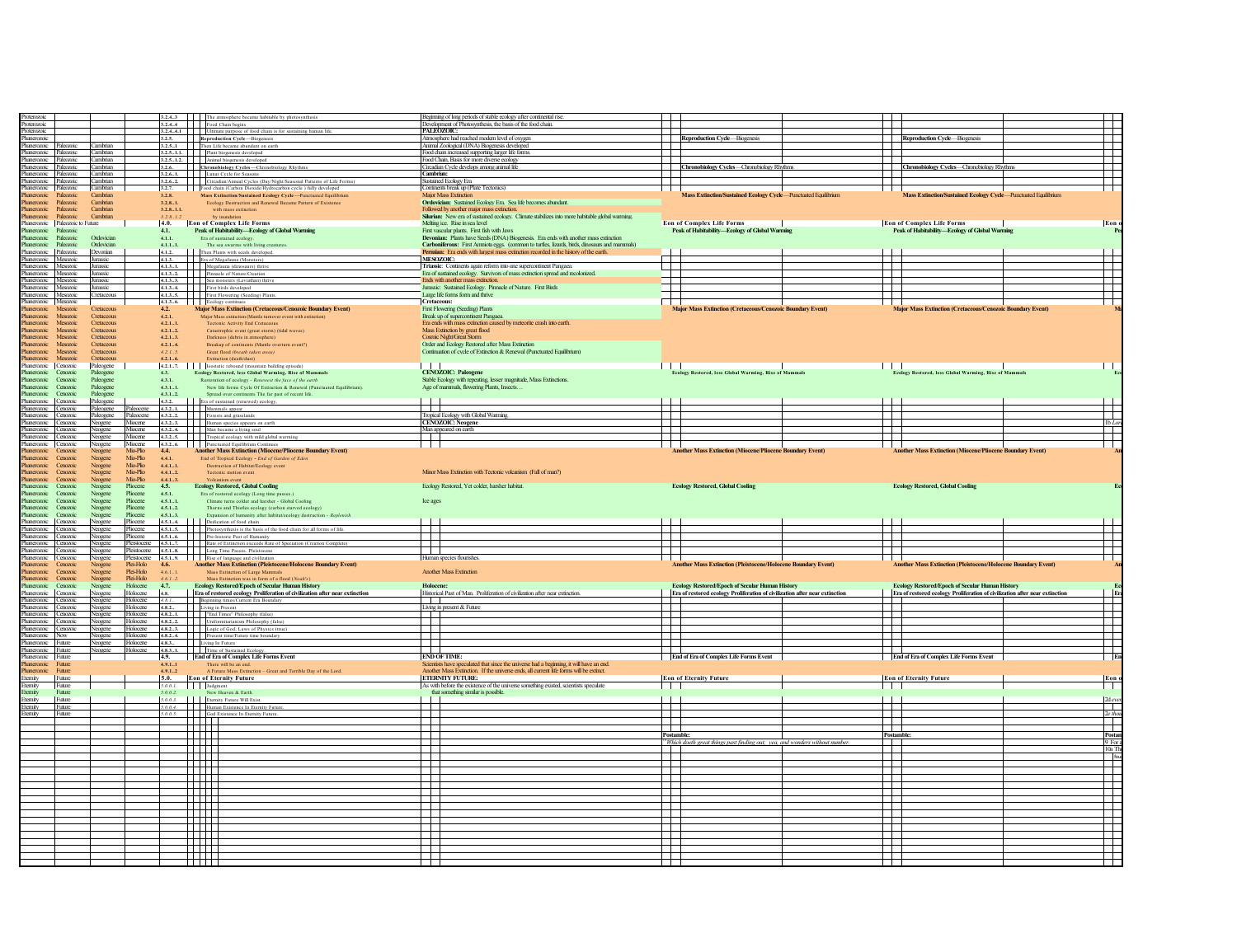| Proterozoic                                                                                                                                  |          |                      |               |                   |                                                                                                                                                                                                                                                                                                            | Beginning of long periods of stable ecology after continental rise                                                                                                                 |                                         |                                                                              |                               |                                                                             |                 |
|----------------------------------------------------------------------------------------------------------------------------------------------|----------|----------------------|---------------|-------------------|------------------------------------------------------------------------------------------------------------------------------------------------------------------------------------------------------------------------------------------------------------------------------------------------------------|------------------------------------------------------------------------------------------------------------------------------------------------------------------------------------|-----------------------------------------|------------------------------------------------------------------------------|-------------------------------|-----------------------------------------------------------------------------|-----------------|
| Proterozoic                                                                                                                                  |          |                      |               |                   |                                                                                                                                                                                                                                                                                                            | Development of Photosynthesis, the basis of the food chain.                                                                                                                        |                                         |                                                                              |                               |                                                                             |                 |
| Proterozoic                                                                                                                                  |          |                      |               |                   | 3.2.43 The atmosphere became habitable by photosynthesis<br>3.2.44 Food Chain begins<br>3.2.44.1 Ultimate purpose of food chain is for sustaining human life.                                                                                                                                              | PALEOZOIC:                                                                                                                                                                         |                                         |                                                                              |                               |                                                                             |                 |
| Phanerozoic                                                                                                                                  |          |                      |               |                   | 3.2.5. Reproduction Cycle-Biogenesis                                                                                                                                                                                                                                                                       | Atmosphere had reached modem level of oxygen                                                                                                                                       | Reproduction Cycle-Biogenesis           |                                                                              |                               | <b>Reproduction Cycle-Biogenesis</b>                                        |                 |
| Phanerozoic Paleozoic                                                                                                                        |          | Cambrian             |               |                   | 3.2.51 Then Life became abundant on earth                                                                                                                                                                                                                                                                  | Animal Zoological (DNA) Biogenesis developed                                                                                                                                       |                                         |                                                                              |                               |                                                                             |                 |
| Phanerozoic Paleozoic Cambrian                                                                                                               |          |                      |               |                   | 3.2.5.1.1. Plant biogenesis developed                                                                                                                                                                                                                                                                      | Food chain increased supporting larger life forms.                                                                                                                                 |                                         |                                                                              |                               |                                                                             |                 |
| hanerozoic Paleozoic Cambrian                                                                                                                |          |                      |               |                   | 3.2.5.1.2. Animal biogenesis developed                                                                                                                                                                                                                                                                     | Food Chain, Basis for more diverse ecology                                                                                                                                         |                                         |                                                                              |                               |                                                                             |                 |
| hanerozoic Paleozoic                                                                                                                         |          | Cambrian<br>Cambrian |               |                   | 3.2.6. Chronobiology Cycles-Chronobiology Rhyth                                                                                                                                                                                                                                                            | Circadian Cycle develops among animal life<br>Cambrian:                                                                                                                            |                                         | Chronobiology Cycles-Chronobiology Rhythms                                   |                               | Chronobiology Cycles-Chronobiology Rhythms                                  |                 |
| Phanerozoic Paleozoic                                                                                                                        |          |                      |               |                   | 3.2.61. Lunar Cycle for Seasons                                                                                                                                                                                                                                                                            |                                                                                                                                                                                    |                                         |                                                                              |                               |                                                                             |                 |
| Phanerozoic Paleozoic                                                                                                                        |          | Cambrian             |               |                   | 3.2.6.2. Circadian/Annual Cycles (Day/Night/Seasonal Patterns of Life Forms)                                                                                                                                                                                                                               | <b>Sustained Ecology Era</b>                                                                                                                                                       |                                         |                                                                              |                               |                                                                             |                 |
| Phanerozoic Paleozoic<br>Phanerozoic Paleozoic                                                                                               |          | Cambrian<br>Cambrian |               | 3.28              | 3.2.7. <b>I</b> Food chain (Carbon Dioxide/Hydrocarbon cycle) fully developed<br>Mass Extinction/Sustained Ecology Cycle-Punctuated Equilibrium                                                                                                                                                            | Continents break up (Plate Tectonics)<br>Major Mass Extinction                                                                                                                     |                                         | Mass Extinction/Sustained Ecology Cycle-Punctuated Equilibrium               |                               | Mass Extinction/Sustained Ecology Cycle-Punctuated Equilibrium              |                 |
| Phanerozoic Paleozoic                                                                                                                        |          | Cambrian             |               | 3, 2, 8, 1        | Ecology Destruction and Renewal Became Pattern of Existence                                                                                                                                                                                                                                                | Ordovician: Sustained Ecology Era. Sea life becomes abundant.                                                                                                                      |                                         |                                                                              |                               |                                                                             |                 |
| Phanerozoic Paleozoic                                                                                                                        |          | Cambrian             |               | 3.2.81.1.         | with mass extinction                                                                                                                                                                                                                                                                                       |                                                                                                                                                                                    |                                         |                                                                              |                               |                                                                             |                 |
| Phanerozoic Paleozoic                                                                                                                        |          | Cambrian             |               | 3.2.8.1.2         | by inundation                                                                                                                                                                                                                                                                                              | Followed by another major mass extinction.<br>Silurian: New era of sustained ecology. Climate stabilizes into more habitable global warming.                                       |                                         |                                                                              |                               |                                                                             |                 |
| Phanerozoic Paleozoic to Future                                                                                                              |          |                      |               | 4.0.              | <b>Eon of Complex Life Forms</b>                                                                                                                                                                                                                                                                           | Melting ice. Rise in sea level                                                                                                                                                     | <b>Eon of Complex Life Forms</b>        |                                                                              |                               | <b>Eon of Complex Life Forms</b>                                            | Eon             |
| Phanerozoic Paleozoic                                                                                                                        |          |                      |               | 4.1.              | Peak of Habitability-Ecology of Global Warming                                                                                                                                                                                                                                                             | First vascular plants. First fish with Jaws                                                                                                                                        |                                         | Peak of Habitability-Ecology of Global Warning                               |                               | Peak of Habitability-Ecology of Global Warming                              |                 |
| Phanerozoic Paleozoic Ordovician                                                                                                             |          |                      |               | 4.1.1.            | Era of sustained ecolog                                                                                                                                                                                                                                                                                    | Devonian: Plants have Seeds (DNA) Biogenesis. Era ends with another mass extinction                                                                                                |                                         |                                                                              |                               |                                                                             |                 |
| Phanerozoic Paleozoic Ordovician                                                                                                             |          |                      |               | 4.1.11.           | The sea swarms with living creatur                                                                                                                                                                                                                                                                         | Carboniferous: First Amniota eggs. (common to turtles, lizards, birds, dinosaurs and mammals)                                                                                      |                                         |                                                                              |                               |                                                                             |                 |
| Phanerozoic Paleozoic                                                                                                                        |          | Devonian             |               | 4.1.2.            | Then Plants with seeds developed.                                                                                                                                                                                                                                                                          | Permian: Era ends with largest mass extinction recorded in the history of the earth.                                                                                               |                                         |                                                                              |                               |                                                                             |                 |
| Phanerozoic Mesozoic Jurassic                                                                                                                |          |                      |               | 4.1.3.            | Era of Megafauna (Monsters)                                                                                                                                                                                                                                                                                | MESOZOIC:                                                                                                                                                                          | $\mathbb{Z}$                            |                                                                              | - 1                           |                                                                             |                 |
| Phanerozoic Mesozoic Jurassic                                                                                                                |          |                      |               |                   | 4.1.31. Megafauna (dinosaurs) thrive                                                                                                                                                                                                                                                                       | Triassic: Continents again reform into one supercontinent Pangaea.                                                                                                                 |                                         |                                                                              |                               |                                                                             |                 |
| Phanerozoic Mesozoic                                                                                                                         |          | Jurassic             |               | 4.1.32.           | Pinnacle of Nature/Creation                                                                                                                                                                                                                                                                                | Era of sustained ecology. Survivors of mass extinction spread and recolonized.                                                                                                     |                                         |                                                                              |                               |                                                                             |                 |
| Phanerozoic Mesozoic Jurassic                                                                                                                |          |                      |               | 4.1.33.           | Sea monsters (Leviathan) thriv                                                                                                                                                                                                                                                                             | Ends with another mass extinction.                                                                                                                                                 |                                         |                                                                              |                               |                                                                             |                 |
| Phanerozoic Mesozoic                                                                                                                         |          | Jurassic             |               | 4.1.34.           | First birds developed                                                                                                                                                                                                                                                                                      | Jurassic: Sustained Ecology. Pinnacle of Nature. First Birds                                                                                                                       |                                         |                                                                              |                               |                                                                             |                 |
| Phanerozoic Mesozoic Cretaceous                                                                                                              |          |                      |               |                   | 4.1.35. First Flowering (Seeding) Plants                                                                                                                                                                                                                                                                   | Large life forms form and thrive                                                                                                                                                   |                                         |                                                                              |                               |                                                                             |                 |
| Phanerozoic Mesozoic                                                                                                                         |          |                      |               |                   | 4.1.36. Ecology continues                                                                                                                                                                                                                                                                                  | <b>Cretaceous:</b>                                                                                                                                                                 |                                         |                                                                              |                               |                                                                             |                 |
| Phanerozoic Mesozoic                                                                                                                         |          | Cretaceous           |               | 4.2.              | Major Mass Extinction (Cretaceous/Cenozoic Boundary Event)                                                                                                                                                                                                                                                 | First Flowering (Seeding) Plants                                                                                                                                                   |                                         | <b>Major Mass Extinction (Cretaceous/Cenozoic Boundary Event</b>             |                               | Major Mass Extinction (Cretaceous/Cenozoic Boundary Event)                  |                 |
| Phanerozoic                                                                                                                                  | Mesozoic | Cretaceous           |               | 4.2.1.            | Major Mass extinction (Mantle turnover event with extinction)                                                                                                                                                                                                                                              | Break up of supercontinent Pangaea.                                                                                                                                                |                                         |                                                                              |                               |                                                                             |                 |
| Phanerozoic Mesozoic                                                                                                                         |          | Cretaceous           |               | 4.2.11.           | Tectonic Activity End Cretaceous                                                                                                                                                                                                                                                                           | Era ends with mass extinction caused by meteorite crash into earth.                                                                                                                |                                         |                                                                              |                               |                                                                             |                 |
| Phanerozoic Mesozoic                                                                                                                         |          | Cretaceous           |               | 4.2.12.           | Catastrophic event (great storm) (tidal waves                                                                                                                                                                                                                                                              | Mass Extinction by great flood                                                                                                                                                     |                                         |                                                                              |                               |                                                                             |                 |
| Phanerozoic Mesozoic                                                                                                                         |          | Cretaceous           |               | 4.2.13.           | Darkness (debris in atmosphere)                                                                                                                                                                                                                                                                            | Cosmic Night/Great Storm                                                                                                                                                           |                                         |                                                                              |                               |                                                                             |                 |
| Phanerozoic                                                                                                                                  | Mesozoic | Cretaceous           |               | 4.2.14.           | Breakup of continents (Mantle overturn event?)                                                                                                                                                                                                                                                             | Order and Ecology Restored after Mass Extinction                                                                                                                                   |                                         |                                                                              |                               |                                                                             |                 |
| Phanerozoic                                                                                                                                  | Mesozoic | Cretaceous           |               | 4.2.1.5.          | Great flood (breath taken away)                                                                                                                                                                                                                                                                            | Continuation of cycle of Extinction & Renewal (Punctuated Equilibrium)                                                                                                             |                                         |                                                                              |                               |                                                                             |                 |
| Phanerozoic Mesozoic                                                                                                                         |          | Cretaceous           |               | 4.2.16.           | Extinction (death/dust)                                                                                                                                                                                                                                                                                    |                                                                                                                                                                                    |                                         |                                                                              |                               |                                                                             |                 |
| Phanerozoic Cenozoic                                                                                                                         |          | Paleogene            |               |                   |                                                                                                                                                                                                                                                                                                            |                                                                                                                                                                                    | <b>ITT</b>                              |                                                                              |                               |                                                                             |                 |
| Phanenyoic Cenoznic                                                                                                                          |          | Paleogene            |               | 43.               | Ecology Restored, less Global Warming, Rise of Mammals                                                                                                                                                                                                                                                     | <b>CENOZOIC: Paleogene</b>                                                                                                                                                         |                                         | Ecology Restored, less Global Warming, Rise of Mammals                       |                               | .<br>Ecology Restored, less Global Warming, Rise of Mammals                 |                 |
| Phanerozoic Cenozoic                                                                                                                         |          | Paleogene            |               | 4.3.1.            | Restoration of ecology - Renewest the face of the earth                                                                                                                                                                                                                                                    | Stable Ecology with repeating, lesser magnitude, Mass Extinctions.                                                                                                                 |                                         |                                                                              |                               |                                                                             |                 |
| Phanerozoic Cenozoic                                                                                                                         |          | Paleogene            |               | 4.3.11.           | New life forms Cycle Of Extinction & Renewal (Punctuated Equilibrium)                                                                                                                                                                                                                                      | Age of mammals, flowering Plants, Insects                                                                                                                                          |                                         |                                                                              |                               |                                                                             |                 |
| Phanerozoic Cenozoic                                                                                                                         |          | Paleogene            |               | 4.3.12.           | Spread over continents The far past of recent life.                                                                                                                                                                                                                                                        |                                                                                                                                                                                    |                                         |                                                                              |                               |                                                                             |                 |
| Phanerozoic Cenozoic                                                                                                                         |          | Paleogene            |               | 4.3.2.            | Era of sustained (renewed) ecology.                                                                                                                                                                                                                                                                        |                                                                                                                                                                                    |                                         |                                                                              |                               |                                                                             |                 |
| Phanerozoic Cenozoic Paleogene Paleocene                                                                                                     |          |                      |               |                   | 4.3.21. Mammals appear                                                                                                                                                                                                                                                                                     |                                                                                                                                                                                    |                                         |                                                                              |                               |                                                                             |                 |
| Phanerozoic Cenozoic                                                                                                                         |          | Paleogene Paleocene  |               |                   | 4.3.22. Forests and grasslands                                                                                                                                                                                                                                                                             | Tropical Ecology with Global Warming.                                                                                                                                              | $\pm$                                   |                                                                              |                               |                                                                             |                 |
| Phanerozoic Cenozoic Neogene Miocene                                                                                                         |          |                      |               |                   | 4.3.2.3. Human species appears on earth                                                                                                                                                                                                                                                                    | <b>CENOZOIC:</b> Neogene                                                                                                                                                           | 丰                                       |                                                                              |                               |                                                                             |                 |
| Phanerozoic Cenozoic                                                                                                                         |          | Neogene              | Miocene       |                   | 4.3.24. Man became a living soul<br>4.3.24. Man became a living soul<br>4.3.25. Tropical ecology with mild global warming                                                                                                                                                                                  | Man appeared on earth                                                                                                                                                              |                                         |                                                                              |                               |                                                                             |                 |
| Phanerozoic Cenozoic Neogene Miocene                                                                                                         |          |                      |               |                   |                                                                                                                                                                                                                                                                                                            |                                                                                                                                                                                    |                                         |                                                                              |                               |                                                                             |                 |
| Phanerozoic Cenozoic                                                                                                                         |          | Neogene              | Micerne       |                   | 4.3.26. Punctuated Equilibrium Continues<br>4.4. Another Mass Extinction (Miocene/Pliocene Boundary Event)                                                                                                                                                                                                 |                                                                                                                                                                                    |                                         |                                                                              |                               |                                                                             |                 |
| Phanerozoic Cenozoic                                                                                                                         |          | Neogene              | Mio-Plio      |                   |                                                                                                                                                                                                                                                                                                            |                                                                                                                                                                                    |                                         | <b>Another Mass Extinction (Miocene/Pliocene Boundary Event)</b>             |                               | <b>Another Mass Extinction (Miocene/Pliocene Boundary Event)</b>            |                 |
| Phanerozoic Cenozoic                                                                                                                         |          | Neogene              | Mio-Plio      | 4.4.1.            | End of Tropical Ecology - End of Garden of Eden                                                                                                                                                                                                                                                            |                                                                                                                                                                                    |                                         |                                                                              |                               |                                                                             |                 |
| Phanerozoic Cenozoic                                                                                                                         |          | Neogene              | Mio-Plio      | 4.4.11.           | Destruction of Habitat/Ecology event                                                                                                                                                                                                                                                                       |                                                                                                                                                                                    |                                         |                                                                              |                               |                                                                             |                 |
| Phanerozoic Cenozoic                                                                                                                         |          | Neogene              | Mio-Plio      | 4.4.12.           | Tectonic motion event                                                                                                                                                                                                                                                                                      | Minor Mass Extinction with Tectonic volcanism (Fall of man?)                                                                                                                       |                                         |                                                                              |                               |                                                                             |                 |
| Phanerozoic Cenozoic                                                                                                                         |          | Neogene              | Min-Plin      | $4.4.13.$<br>4.5. | Volcanism event                                                                                                                                                                                                                                                                                            |                                                                                                                                                                                    |                                         |                                                                              |                               |                                                                             |                 |
| Phanerozoic Cenozoic                                                                                                                         |          | Neogene              | Pliocene      |                   | <b>Ecology Restored, Global Cooling</b>                                                                                                                                                                                                                                                                    | Ecology Restored. Yet colder, harsher habitat.                                                                                                                                     | <b>Ecology Restored, Global Cooling</b> |                                                                              |                               | <b>Ecology Restored, Global Cooling</b>                                     |                 |
| Phanerozoic Cenozoic                                                                                                                         |          | Neogene              | Pliocene      | 4.5.1.            | Era of restored ecology (Long time passes.)                                                                                                                                                                                                                                                                |                                                                                                                                                                                    |                                         |                                                                              |                               |                                                                             |                 |
| Phanerozoic Cenozoic                                                                                                                         |          | Neogene              | Pliocene      | 4.5.11.           | Climate turns colder and harsher - Global Cooling                                                                                                                                                                                                                                                          | Ice ages                                                                                                                                                                           |                                         |                                                                              |                               |                                                                             |                 |
|                                                                                                                                              |          |                      |               |                   |                                                                                                                                                                                                                                                                                                            |                                                                                                                                                                                    |                                         |                                                                              |                               |                                                                             |                 |
| Phanerozoic Cenozoic                                                                                                                         |          | Neogene              | Pliocene      | 4.5.12.           | Thorns and Thistles ecology (carbon starved ecology)                                                                                                                                                                                                                                                       |                                                                                                                                                                                    |                                         |                                                                              |                               |                                                                             |                 |
|                                                                                                                                              |          | Neogene              | Pliocene      | 4.5.13.           | Expansion of humanity after habitat/ecology destruction - Replenish                                                                                                                                                                                                                                        |                                                                                                                                                                                    |                                         |                                                                              |                               |                                                                             |                 |
|                                                                                                                                              |          |                      |               |                   |                                                                                                                                                                                                                                                                                                            |                                                                                                                                                                                    |                                         |                                                                              |                               |                                                                             |                 |
|                                                                                                                                              |          |                      |               |                   | 4.5.1.4.     Dedication of food chain                                                                                                                                                                                                                                                                      |                                                                                                                                                                                    |                                         |                                                                              |                               |                                                                             |                 |
|                                                                                                                                              |          |                      |               |                   |                                                                                                                                                                                                                                                                                                            |                                                                                                                                                                                    |                                         |                                                                              |                               |                                                                             |                 |
|                                                                                                                                              |          |                      |               |                   | <b>EXECUTE:</b> Determine to recove the basis of the food chain for all forms of life.<br><b>4.5.15.</b> Photosynthesis is the basis of the food chain for all forms of life.<br><b>4.5.16.</b> Pre-historic Past of Humanity                                                                              |                                                                                                                                                                                    |                                         |                                                                              |                               |                                                                             |                 |
|                                                                                                                                              |          |                      |               |                   |                                                                                                                                                                                                                                                                                                            |                                                                                                                                                                                    |                                         |                                                                              |                               |                                                                             |                 |
| Phanenzoic Cenoznic<br>Phanerozoic Cenozoic Neogene Phocene<br>Phanerozoic Cenozoic Neogene Phocene<br>Phanerozoic Cenozoic Neogene Pliocene |          |                      |               |                   |                                                                                                                                                                                                                                                                                                            | Human species flourishes                                                                                                                                                           |                                         |                                                                              |                               |                                                                             |                 |
| Phanerozoic Cenozoic                                                                                                                         |          | Neogene<br>Neogene   | Plei-Holo     | 4.6.              | <b>Phanenonic Cenonic Nongene</b> Pleislacene 4.5.17. Rate of Extinction exceeds Rate of Speciation (Creation Complete)<br>Phanenonic Cenonic Nongene Pleislacene 4.5.13. Long Time Passes, Pleistecene 4.5.1<br>Phanenonic Cenoni<br><b>Another Mass Extinction (Pleistocene/Holocene Boundary Event)</b> |                                                                                                                                                                                    |                                         | <b>Another Mass Extinction (Pleistocene/Holocene Boundary Event)</b>         |                               | <b>Another Mass Extinction (Pleistocene/Holocene Boundary Event)</b>        |                 |
| Phanerozoic Cenozoic                                                                                                                         |          | Noogene              | Plei-Holo     | 4.6.11.           |                                                                                                                                                                                                                                                                                                            | <b>Another Mass Extinction</b>                                                                                                                                                     |                                         |                                                                              |                               |                                                                             |                 |
| Phanerozoic Cenozoic                                                                                                                         |          | Neogene              | Plei-Holo     |                   | Mass Extinction of Large Mammals<br>Mass Extinction was in form of a flood (Noah's)                                                                                                                                                                                                                        |                                                                                                                                                                                    |                                         |                                                                              |                               |                                                                             |                 |
| Phanerozoic Cenozoic                                                                                                                         |          | Neogene              | Holocene 4.7. | 4.6.12.           |                                                                                                                                                                                                                                                                                                            | Holocene                                                                                                                                                                           |                                         |                                                                              |                               |                                                                             |                 |
|                                                                                                                                              |          |                      | Holocene      |                   | <b>Ecology Restored/Epoch of Secular Human History</b>                                                                                                                                                                                                                                                     | Historical Past of Man. Proliferation of civilization after near extinction.                                                                                                       |                                         | <b>Ecology Restored/Epoch of Secular Human History</b>                       |                               | Ecology Restored/Epoch of Secular Human History                             |                 |
|                                                                                                                                              |          | Neogene              |               | 4.8.              | Era of restored ecology Proliferation of civilization after near extinction                                                                                                                                                                                                                                |                                                                                                                                                                                    |                                         | Era of restored ecology Proliferation of civilization after near extinction  |                               | Era of restored ecology Proliferation of civilization after near extinction |                 |
|                                                                                                                                              |          |                      |               |                   |                                                                                                                                                                                                                                                                                                            |                                                                                                                                                                                    |                                         |                                                                              |                               |                                                                             |                 |
|                                                                                                                                              |          |                      |               |                   |                                                                                                                                                                                                                                                                                                            | Living in present & Future                                                                                                                                                         |                                         |                                                                              |                               |                                                                             |                 |
| Phanerozoic Cenozoic                                                                                                                         |          |                      |               |                   | <b>Phanettxois Cenxois</b> Neogene Holocene <i>1.8.1.</i> Beginning times/Current Era Boundary<br><b>Phanettxois Cenxois Neogene Holocene 4.8.2.</b> Living in Present<br><b>Phanettxois</b> Cenxois Neogene Holocene 4.8.21. "End Times" Philosophy (                                                     |                                                                                                                                                                                    |                                         |                                                                              |                               |                                                                             |                 |
|                                                                                                                                              |          |                      |               |                   | Phanerozoic Cenozoic Neogene Holocene 4.8.22. Uniformitarianism Philosophy (false)                                                                                                                                                                                                                         |                                                                                                                                                                                    | $\overline{\phantom{0}}$                |                                                                              |                               |                                                                             |                 |
|                                                                                                                                              |          |                      |               |                   |                                                                                                                                                                                                                                                                                                            |                                                                                                                                                                                    |                                         |                                                                              |                               |                                                                             |                 |
|                                                                                                                                              |          |                      |               |                   |                                                                                                                                                                                                                                                                                                            |                                                                                                                                                                                    |                                         |                                                                              |                               |                                                                             |                 |
|                                                                                                                                              |          |                      |               |                   |                                                                                                                                                                                                                                                                                                            |                                                                                                                                                                                    | ┵                                       |                                                                              |                               |                                                                             |                 |
| hanerozoic Future                                                                                                                            |          |                      |               | 4.9.              | Thursday Contract Contract Contract Contract (A. 2.1.)<br>Thursday (Contract Contract Contract Contract Contract (A. 2.1.)<br>Thursday (Contract Contract Contract Contract Contract Contract Contract Contract Contract Contract<br><b>End of Era of Complex Life Forms Event</b>                         | <b>END OF TIME:</b>                                                                                                                                                                | End of Era of Complex Life Forms Event  |                                                                              |                               | End of Era of Complex Life Forms Event                                      |                 |
| Phanerozoic Future                                                                                                                           |          |                      |               | 4.9.11            |                                                                                                                                                                                                                                                                                                            |                                                                                                                                                                                    |                                         |                                                                              |                               |                                                                             |                 |
| Phanerozoic Future                                                                                                                           |          |                      |               | 49.1.2            | $\label{thm:1}$ There will be an end.<br>$\label{thm:1}$ A Future Mass Extinction – Great and Terrible Day of the Lord.                                                                                                                                                                                    | Scientists have speculated that since the universe had a beginning, it will have an end.<br>Another Mass Extinction. If the universe ends, all current life forms will be extinct. |                                         |                                                                              |                               |                                                                             |                 |
| Eternity Future                                                                                                                              |          |                      |               | 5.0.              | <b>Eon of Eternity Future</b>                                                                                                                                                                                                                                                                              | <b>ETERNITY FUTURE:</b>                                                                                                                                                            | <b>Eon of Eternity Future</b>           |                                                                              | <b>Eon of Eternity Future</b> |                                                                             | Eon             |
| Eternity                                                                                                                                     | Future   |                      |               | 5.0.0.1           | Judgment                                                                                                                                                                                                                                                                                                   | As with before the existence of the universe something existed, scientists speculate                                                                                               | H                                       |                                                                              | $\blacksquare$                |                                                                             |                 |
| Eternity                                                                                                                                     | Future   |                      |               |                   |                                                                                                                                                                                                                                                                                                            | that something similar is possible.                                                                                                                                                |                                         |                                                                              |                               |                                                                             |                 |
| Eternity                                                                                                                                     | Future   |                      |               |                   | 5.0.0.2.<br><b>S.0.0.2.</b> New Heaven & Earth.<br><b>S.0.0.3. Exercity Future Will Exist.</b>                                                                                                                                                                                                             |                                                                                                                                                                                    | $\mathbf{T}$                            |                                                                              | $\top$                        |                                                                             |                 |
| Eternity Future                                                                                                                              |          |                      |               |                   | 5.0.0.4. Human Existence In Eternity Future                                                                                                                                                                                                                                                                |                                                                                                                                                                                    |                                         |                                                                              |                               |                                                                             | $2d$ eve        |
| Eternity Future                                                                                                                              |          |                      |               |                   |                                                                                                                                                                                                                                                                                                            |                                                                                                                                                                                    |                                         |                                                                              |                               |                                                                             |                 |
|                                                                                                                                              |          |                      |               |                   |                                                                                                                                                                                                                                                                                                            |                                                                                                                                                                                    |                                         |                                                                              |                               |                                                                             | $2e$ tho.       |
|                                                                                                                                              |          |                      |               |                   | $\frac{5.0.0.4}{5.0.0.5}$ God Existence In Eternity Future.                                                                                                                                                                                                                                                |                                                                                                                                                                                    | 一<br>$\sim$                             |                                                                              |                               |                                                                             |                 |
|                                                                                                                                              |          |                      |               |                   | HHH                                                                                                                                                                                                                                                                                                        |                                                                                                                                                                                    | Postambl                                |                                                                              | Postamble                     |                                                                             | Post            |
|                                                                                                                                              |          |                      |               |                   |                                                                                                                                                                                                                                                                                                            |                                                                                                                                                                                    |                                         |                                                                              |                               |                                                                             | 9F <sub>0</sub> |
|                                                                                                                                              |          |                      |               |                   |                                                                                                                                                                                                                                                                                                            |                                                                                                                                                                                    | $\mathbf{I}$                            | *Which doeth great things past finding out; yea, and wonders without number. |                               |                                                                             | 10aT            |
|                                                                                                                                              |          |                      |               |                   |                                                                                                                                                                                                                                                                                                            |                                                                                                                                                                                    |                                         |                                                                              |                               |                                                                             |                 |
|                                                                                                                                              |          |                      |               |                   | <b>THEFT</b>                                                                                                                                                                                                                                                                                               |                                                                                                                                                                                    |                                         |                                                                              |                               |                                                                             |                 |
|                                                                                                                                              |          |                      |               |                   |                                                                                                                                                                                                                                                                                                            |                                                                                                                                                                                    |                                         |                                                                              |                               |                                                                             |                 |
|                                                                                                                                              |          |                      |               |                   |                                                                                                                                                                                                                                                                                                            |                                                                                                                                                                                    | $\overline{\phantom{0}}$                |                                                                              |                               |                                                                             |                 |
|                                                                                                                                              |          |                      |               |                   | <b>HH</b>                                                                                                                                                                                                                                                                                                  |                                                                                                                                                                                    |                                         |                                                                              |                               |                                                                             |                 |
|                                                                                                                                              |          |                      |               |                   | HH 1                                                                                                                                                                                                                                                                                                       |                                                                                                                                                                                    |                                         |                                                                              | H                             |                                                                             |                 |
|                                                                                                                                              |          |                      |               |                   |                                                                                                                                                                                                                                                                                                            |                                                                                                                                                                                    |                                         |                                                                              |                               |                                                                             |                 |
|                                                                                                                                              |          |                      |               |                   |                                                                                                                                                                                                                                                                                                            |                                                                                                                                                                                    |                                         |                                                                              |                               |                                                                             |                 |
|                                                                                                                                              |          |                      |               |                   | HH I                                                                                                                                                                                                                                                                                                       |                                                                                                                                                                                    |                                         |                                                                              |                               |                                                                             |                 |
|                                                                                                                                              |          |                      |               |                   |                                                                                                                                                                                                                                                                                                            |                                                                                                                                                                                    |                                         |                                                                              |                               |                                                                             |                 |
|                                                                                                                                              |          |                      |               |                   |                                                                                                                                                                                                                                                                                                            |                                                                                                                                                                                    |                                         |                                                                              | $\perp$                       |                                                                             |                 |
|                                                                                                                                              |          |                      |               |                   | HH                                                                                                                                                                                                                                                                                                         |                                                                                                                                                                                    | 开                                       |                                                                              |                               |                                                                             |                 |
|                                                                                                                                              |          |                      |               |                   | <b>HITH</b>                                                                                                                                                                                                                                                                                                |                                                                                                                                                                                    |                                         |                                                                              |                               |                                                                             |                 |
|                                                                                                                                              |          |                      |               |                   |                                                                                                                                                                                                                                                                                                            |                                                                                                                                                                                    | T                                       |                                                                              |                               |                                                                             |                 |
|                                                                                                                                              |          |                      |               |                   | $\Box$<br><u> Timbul I</u>                                                                                                                                                                                                                                                                                 |                                                                                                                                                                                    | ╄╄                                      |                                                                              | ┶┿                            |                                                                             |                 |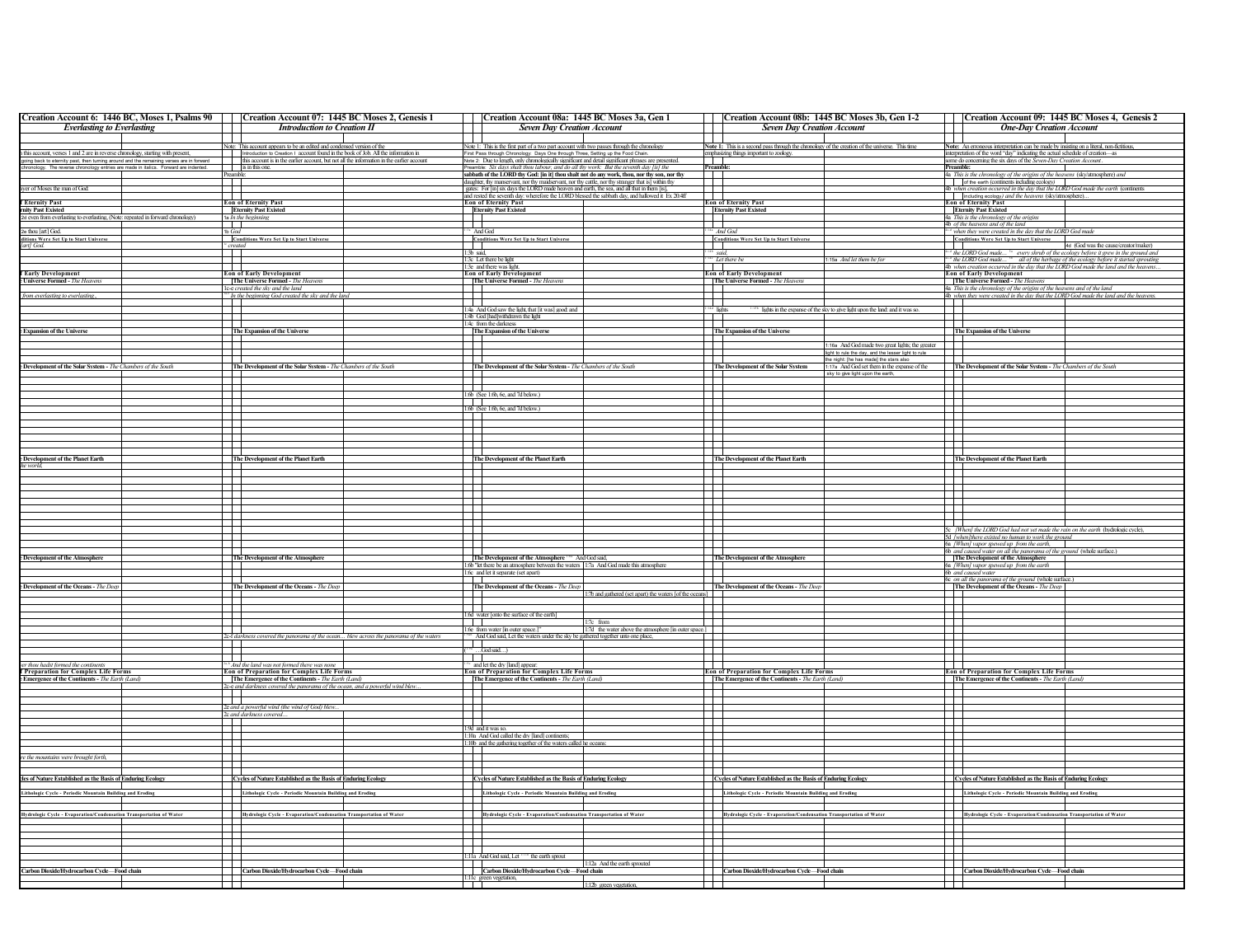| Creation Account 6: 1446 BC, Moses 1, Psalms 90                                          | Creation Account 07: 1445 BC Moses 2, Genesis 1                                                                                                                |                                                                       | Creation Account 08a: 1445 BC Moses 3a, Gen 1                                                                                                                                                   |                                                                                                 | Creation Account 08b: 1445 BC Moses 3b, Gen 1-2                                                        |                                   | Creation Account 09: 1445 BC Moses 4, Genesis 2                                                                                                                          |                                      |
|------------------------------------------------------------------------------------------|----------------------------------------------------------------------------------------------------------------------------------------------------------------|-----------------------------------------------------------------------|-------------------------------------------------------------------------------------------------------------------------------------------------------------------------------------------------|-------------------------------------------------------------------------------------------------|--------------------------------------------------------------------------------------------------------|-----------------------------------|--------------------------------------------------------------------------------------------------------------------------------------------------------------------------|--------------------------------------|
| <b>Everlasting to Everlasting</b>                                                        | <b>Introduction to Creation II</b>                                                                                                                             |                                                                       | <b>Seven Day Creation Account</b>                                                                                                                                                               | <b>Seven Day Creation Account</b>                                                               |                                                                                                        |                                   | <b>One-Day Creation Account</b>                                                                                                                                          |                                      |
|                                                                                          |                                                                                                                                                                |                                                                       |                                                                                                                                                                                                 | Note 1: This is a second pass through the chronology of the creation of the universe. This time |                                                                                                        |                                   |                                                                                                                                                                          |                                      |
| this account, verses 1 and 2 are in reverse chronology, starting with present,           | Note: This account appears to be an edited and condensed version of the<br>Introduction to Creation 1 account found in the book of Job. All the information in | First Pass th                                                         | Note 1: This is the first part of a two part account with two passes through the chronology<br>ronology: Days One through Three, Setting up the Food Chai                                       | mphasizing things important to zoology                                                          |                                                                                                        |                                   | Note: An erroneous interpretation can be made by insisting on a literal, non-fictitious,<br>interpretation of the word "day" indicating the actual schedule of creation- |                                      |
| going back to eternity past, then turning around and the remaining verses are in forward | this account is in the earlier account, but not all the information in the earlier account                                                                     |                                                                       | Note 2: Due to length, only chronologically significant and detail significant phrases are presented.                                                                                           |                                                                                                 |                                                                                                        |                                   | some do concerning the six days of the Seven-Day Creation Account                                                                                                        |                                      |
| chronology. The reverse chronology entries are made in italics. Forward are indented.    | is in this one.<br>Preambl                                                                                                                                     |                                                                       | Preamble: Six days shalt thou labour, and do all thy work: But the seventh day [is] the<br>sabbath of the LORD thy God: [in it] thou shalt not do any work, thou, nor thy son, nor thy          | <u>reamble</u>                                                                                  |                                                                                                        | <b>Preamble:</b>                  | 4a This is the chronology of the origins of the heavens (skylatmosphere) and                                                                                             |                                      |
|                                                                                          |                                                                                                                                                                |                                                                       | daughter, thy manservant, nor thy maidservant, nor thy cattle, nor thy stranger that is] within thy                                                                                             |                                                                                                 |                                                                                                        |                                   | of the earth (continents including ecology)                                                                                                                              |                                      |
| ayer of Moses the man of God:                                                            |                                                                                                                                                                |                                                                       | gates: For [in] six days the LORD made heaven and earth, the sea, and all that in them [is],<br>and rested the seventh day: wherefore the LORD blessed the sabbath day, and hallowed it Ex 20:4 |                                                                                                 |                                                                                                        |                                   | 4b when creation occurred in the day that the LORD God made the earth (continents<br>including ecology) and the heavens (sky/atmosphere)                                 |                                      |
| <b>f Eternity Past</b>                                                                   | <b>Eon of Eternity Past</b>                                                                                                                                    | <b>Eon of Eternity Past</b>                                           |                                                                                                                                                                                                 | <b>Con of Eternity Past</b>                                                                     |                                                                                                        |                                   | <b>Eon of Eternity Past</b>                                                                                                                                              |                                      |
| mity Past Existed                                                                        | <b>Eternity Past Existed</b>                                                                                                                                   | <b>Eternity Past Existed</b>                                          |                                                                                                                                                                                                 | <b>Eternity Past Existed</b>                                                                    |                                                                                                        |                                   | <b>Eternity Past Existed</b>                                                                                                                                             |                                      |
| ed even from everlasting to everlasting, (Note: repeated in forward chronology)          | 1a In the beginning<br>$\overline{\phantom{a}}$                                                                                                                | T                                                                     |                                                                                                                                                                                                 | $\mathbf{L}$                                                                                    |                                                                                                        |                                   | 4a This is the chronology of the origins<br>4b of the heavens and of the land                                                                                            |                                      |
| 2e thou [art] God                                                                        | 1b God                                                                                                                                                         | And God                                                               |                                                                                                                                                                                                 | And God                                                                                         |                                                                                                        |                                   | <sup>4</sup> when they were created in the day that the LORD God made                                                                                                    |                                      |
| itions Were Set Up to Start Universe<br>art] God.                                        | <b>Conditions Were Set Up to Start Universe</b><br>created                                                                                                     | <b>Conditions Were Set Up to Start Universe</b>                       |                                                                                                                                                                                                 | <b>Conditions Were Set Up to Start Universe</b><br>—<br> -                                      |                                                                                                        |                                   | <b>Conditions Were Set Up to Start Universe</b>                                                                                                                          | 4d (God was the cause/creator/maker) |
|                                                                                          |                                                                                                                                                                | $\overline{\phantom{a}}$<br>3b said,                                  |                                                                                                                                                                                                 | said,                                                                                           |                                                                                                        |                                   | <sup>4</sup> the LORD God made <sup>54</sup> every shrub of the ecology before it grew in the ground and                                                                 |                                      |
|                                                                                          |                                                                                                                                                                | 3c Let there be light                                                 |                                                                                                                                                                                                 | "Let there be                                                                                   | 1:15a And let them be for                                                                              |                                   | <sup>-4</sup> the LORD God made <sup>53</sup> all of the herbage of the ecology before it started sprouting                                                              |                                      |
| <b>Early Development</b>                                                                 | and the state<br><b>Eon of Early Development</b>                                                                                                               | 1:3e and there was light<br><b>Eon of Early Development</b>           |                                                                                                                                                                                                 | - 11<br><b>Eon of Early Development</b>                                                         |                                                                                                        |                                   | 4b when creation occurred in the day that the LORD God made the land and the heavens<br><b>Eon of Early Development</b>                                                  |                                      |
| Universe Formed - The Heavens                                                            | The Universe Formed - The Heavens                                                                                                                              | The Universe Formed - The Heaven.                                     |                                                                                                                                                                                                 | The Universe Formed - The Heavens                                                               |                                                                                                        |                                   | The Universe Formed - The Heavens                                                                                                                                        |                                      |
| from everlasting to everlasting                                                          | 1c-e created the sky and the land                                                                                                                              |                                                                       |                                                                                                                                                                                                 |                                                                                                 |                                                                                                        |                                   | 4a This is the chronology of the origins of the heavens and of the land                                                                                                  |                                      |
|                                                                                          | <sup>**</sup> In the beginning God created the sky and the land                                                                                                |                                                                       |                                                                                                                                                                                                 | $\overline{\phantom{a}}$                                                                        |                                                                                                        |                                   | 4b when they were created in the day that the LORD God made the land and the heavens                                                                                     |                                      |
|                                                                                          |                                                                                                                                                                | An And God saw the light, that [it was] good: and                     |                                                                                                                                                                                                 |                                                                                                 | lights in the expanse of the sky to give light upon the land: and it was so                            |                                   |                                                                                                                                                                          |                                      |
|                                                                                          |                                                                                                                                                                | :4b God [had]withdrawn the light<br>1:4c from the darkness            |                                                                                                                                                                                                 |                                                                                                 |                                                                                                        |                                   |                                                                                                                                                                          |                                      |
| <b>Expansion of the Universe</b>                                                         | The Expansion of the Universe                                                                                                                                  | The Expansion of the Universe                                         |                                                                                                                                                                                                 | The Expansion of the Universe                                                                   |                                                                                                        |                                   | The Expansion of the Universe                                                                                                                                            |                                      |
|                                                                                          |                                                                                                                                                                |                                                                       |                                                                                                                                                                                                 |                                                                                                 |                                                                                                        |                                   |                                                                                                                                                                          |                                      |
|                                                                                          |                                                                                                                                                                |                                                                       |                                                                                                                                                                                                 |                                                                                                 | 1:16a And God made two great lights; the greater<br>ight to rule the day, and the lesser light to rule |                                   |                                                                                                                                                                          |                                      |
|                                                                                          |                                                                                                                                                                |                                                                       |                                                                                                                                                                                                 |                                                                                                 | the night: [he has made] the stars also                                                                |                                   |                                                                                                                                                                          |                                      |
| Development of the Solar System - The Chambers of the South                              | The Development of the Solar System - The Chambers of the South                                                                                                |                                                                       | The Development of the Solar System - The Chambers of the South                                                                                                                                 | The Development of the Solar System                                                             | :17a And God set them in the expanse of the<br>sky to give light upon the earth,                       |                                   | The Development of the Solar System - The Chambers of the South                                                                                                          |                                      |
|                                                                                          |                                                                                                                                                                |                                                                       |                                                                                                                                                                                                 |                                                                                                 |                                                                                                        |                                   |                                                                                                                                                                          |                                      |
|                                                                                          |                                                                                                                                                                | fb (See 1.6b, 6e, and 7d below.)                                      |                                                                                                                                                                                                 |                                                                                                 |                                                                                                        |                                   |                                                                                                                                                                          |                                      |
|                                                                                          | $\mathbf{I}$                                                                                                                                                   | $\mathbf{1}$                                                          |                                                                                                                                                                                                 | $\mathbf{I}$                                                                                    |                                                                                                        | T                                 |                                                                                                                                                                          |                                      |
|                                                                                          |                                                                                                                                                                | 1.6b (See 1.6b, 6e, and 7d below.)                                    |                                                                                                                                                                                                 |                                                                                                 |                                                                                                        |                                   |                                                                                                                                                                          |                                      |
|                                                                                          | $\mathcal{A}$<br>$\top$                                                                                                                                        | ┱                                                                     |                                                                                                                                                                                                 |                                                                                                 |                                                                                                        | $\mathbb{R}$<br>ПT                |                                                                                                                                                                          |                                      |
|                                                                                          |                                                                                                                                                                |                                                                       |                                                                                                                                                                                                 |                                                                                                 |                                                                                                        | and the state of the state of the |                                                                                                                                                                          |                                      |
|                                                                                          |                                                                                                                                                                |                                                                       |                                                                                                                                                                                                 |                                                                                                 |                                                                                                        |                                   |                                                                                                                                                                          |                                      |
|                                                                                          |                                                                                                                                                                |                                                                       |                                                                                                                                                                                                 |                                                                                                 |                                                                                                        |                                   |                                                                                                                                                                          |                                      |
| <b>Development of the Planet Earth</b>                                                   | The Development of the Planet Earth                                                                                                                            | The Development of the Planet Earth                                   |                                                                                                                                                                                                 | The Development of the Planet Earth                                                             |                                                                                                        |                                   | The Development of the Planet Earth                                                                                                                                      |                                      |
| ie world,                                                                                |                                                                                                                                                                |                                                                       |                                                                                                                                                                                                 |                                                                                                 |                                                                                                        |                                   |                                                                                                                                                                          |                                      |
|                                                                                          |                                                                                                                                                                |                                                                       |                                                                                                                                                                                                 |                                                                                                 |                                                                                                        | J                                 |                                                                                                                                                                          |                                      |
|                                                                                          |                                                                                                                                                                |                                                                       |                                                                                                                                                                                                 |                                                                                                 |                                                                                                        |                                   |                                                                                                                                                                          |                                      |
|                                                                                          | $\blacksquare$                                                                                                                                                 | ┱                                                                     |                                                                                                                                                                                                 |                                                                                                 |                                                                                                        | Ŧ                                 |                                                                                                                                                                          |                                      |
|                                                                                          |                                                                                                                                                                |                                                                       |                                                                                                                                                                                                 |                                                                                                 |                                                                                                        |                                   |                                                                                                                                                                          |                                      |
|                                                                                          |                                                                                                                                                                |                                                                       |                                                                                                                                                                                                 |                                                                                                 |                                                                                                        |                                   |                                                                                                                                                                          |                                      |
|                                                                                          |                                                                                                                                                                |                                                                       |                                                                                                                                                                                                 |                                                                                                 |                                                                                                        |                                   | 5c [When] the LORD God had not yet made the rain on the earth (hydrologic cycle),                                                                                        |                                      |
|                                                                                          | 丰.                                                                                                                                                             |                                                                       |                                                                                                                                                                                                 |                                                                                                 |                                                                                                        |                                   | 5d /when] there existed no human to work the ground                                                                                                                      |                                      |
|                                                                                          |                                                                                                                                                                |                                                                       |                                                                                                                                                                                                 |                                                                                                 |                                                                                                        |                                   | 6a [When] vapor spewed up from the earth,<br>6b and caused water on all the panorama of the ground (whole surface.)                                                      |                                      |
| Development of the Atmosphere                                                            | The Development of the Atmosphere                                                                                                                              |                                                                       | The Development of the Atmosphere <sup>164</sup> And God said,                                                                                                                                  | The Development of the Atmosphere                                                               |                                                                                                        |                                   | The Development of the Atmosphere                                                                                                                                        |                                      |
|                                                                                          |                                                                                                                                                                | 1:6c and let it separate (set apart)                                  | 1.6b "let there be an atmosphere between the waters 11:7a And God made this atmosphere                                                                                                          |                                                                                                 |                                                                                                        |                                   | 6a /Whenl vapor spewed up from the earth                                                                                                                                 |                                      |
|                                                                                          |                                                                                                                                                                |                                                                       |                                                                                                                                                                                                 |                                                                                                 |                                                                                                        |                                   | 6b and caused water<br>6c on all the panorama of the ground (whole surface.)                                                                                             |                                      |
| <b>Development of the Oceans - The Deep</b>                                              | The Development of the Oceans - The Deep                                                                                                                       | The Development of the Oceans - The Deep                              | 1:7b and gathered (set apart) the waters [of the oceans]                                                                                                                                        | The Development of the Oceans - The Deep                                                        |                                                                                                        |                                   | The Development of the Oceans - The Deep                                                                                                                                 |                                      |
|                                                                                          |                                                                                                                                                                |                                                                       |                                                                                                                                                                                                 |                                                                                                 |                                                                                                        |                                   |                                                                                                                                                                          |                                      |
|                                                                                          |                                                                                                                                                                |                                                                       |                                                                                                                                                                                                 |                                                                                                 |                                                                                                        |                                   |                                                                                                                                                                          |                                      |
|                                                                                          | $\overline{\phantom{0}}$                                                                                                                                       | 1:6d water [onto the surface of the earth]<br>דר                      | $1:7c$ from                                                                                                                                                                                     |                                                                                                 |                                                                                                        | $\Box$                            |                                                                                                                                                                          |                                      |
|                                                                                          | $\overline{\phantom{0}}$                                                                                                                                       | 1:6e from water [in outer space.]"                                    | 1:7d the water above the atmosphere [in outer space.]                                                                                                                                           |                                                                                                 |                                                                                                        | $\sim$                            |                                                                                                                                                                          |                                      |
|                                                                                          | 2c f darkness covered the panorama of the ocean blew across the panorama of the waters                                                                         | $\mathbf{1}$                                                          | And God said, Let the waters under the sky be gathered together unto one place,                                                                                                                 |                                                                                                 |                                                                                                        | T                                 |                                                                                                                                                                          |                                      |
|                                                                                          |                                                                                                                                                                | God said                                                              |                                                                                                                                                                                                 |                                                                                                 |                                                                                                        |                                   |                                                                                                                                                                          |                                      |
|                                                                                          |                                                                                                                                                                |                                                                       |                                                                                                                                                                                                 |                                                                                                 |                                                                                                        |                                   |                                                                                                                                                                          |                                      |
| thou hadst formed the cor<br><b>Preparation for Complex Life Forms</b>                   | the land was not formed there was<br><b>Eon of Preparation for Complex Life Forms</b>                                                                          |                                                                       | wand let the dry [land] appear:<br>Eon of Preparation for Complex Life Forms                                                                                                                    | Eon of Preparation for Complex Life Forms                                                       |                                                                                                        |                                   | <b>Eon of Preparation for Complex Life Forms</b>                                                                                                                         |                                      |
| Emergence of the Continents - The Earth (Land)                                           | The Emergence of the Continents - The Earth (Land)                                                                                                             |                                                                       | The Emergence of the Continents - The Earth (Land)                                                                                                                                              | The Emergence of the Continents - The Earth (Land,                                              |                                                                                                        |                                   | The Emergence of the Continents - The Earth (Land)                                                                                                                       |                                      |
|                                                                                          | c-e and darkness covered the panorama of the ocean, and a powerful wind blew.                                                                                  |                                                                       |                                                                                                                                                                                                 |                                                                                                 |                                                                                                        |                                   |                                                                                                                                                                          |                                      |
|                                                                                          | <b>Contract Contract</b><br>┯                                                                                                                                  |                                                                       |                                                                                                                                                                                                 |                                                                                                 |                                                                                                        | F                                 |                                                                                                                                                                          |                                      |
|                                                                                          | 2e and a powerful wind (the wind of God) blew.                                                                                                                 |                                                                       |                                                                                                                                                                                                 |                                                                                                 |                                                                                                        | $\sim$                            |                                                                                                                                                                          |                                      |
|                                                                                          | 2c and darkness covered.                                                                                                                                       | $\top$<br>$\blacksquare$                                              |                                                                                                                                                                                                 |                                                                                                 |                                                                                                        | $\mathbf{I}$                      |                                                                                                                                                                          |                                      |
|                                                                                          | $\mathbf{I}$                                                                                                                                                   | 1:9d and it was so                                                    |                                                                                                                                                                                                 |                                                                                                 |                                                                                                        | T                                 |                                                                                                                                                                          |                                      |
|                                                                                          | T                                                                                                                                                              | :10a And God called the dry [land] continents;                        |                                                                                                                                                                                                 |                                                                                                 |                                                                                                        |                                   |                                                                                                                                                                          |                                      |
|                                                                                          | ┱                                                                                                                                                              |                                                                       | :10b and the gathering together of the waters called he oceans:                                                                                                                                 |                                                                                                 |                                                                                                        | ПT                                |                                                                                                                                                                          |                                      |
| re the mountains were brought forth,                                                     |                                                                                                                                                                |                                                                       |                                                                                                                                                                                                 |                                                                                                 |                                                                                                        |                                   |                                                                                                                                                                          |                                      |
|                                                                                          |                                                                                                                                                                |                                                                       |                                                                                                                                                                                                 |                                                                                                 |                                                                                                        |                                   |                                                                                                                                                                          |                                      |
| cles of Nature Established as the Basis of Enduring Ecology                              | Cycles of Nature Established as the Basis of Enduring Ecology                                                                                                  |                                                                       | Cycles of Nature Established as the Basis of Enduring Ecology                                                                                                                                   | Cycles of Nature Established as the Basis of Enduring Ecology                                   |                                                                                                        |                                   | Cycles of Nature Established as the Basis of Enduring Ecology                                                                                                            |                                      |
|                                                                                          |                                                                                                                                                                |                                                                       |                                                                                                                                                                                                 |                                                                                                 |                                                                                                        |                                   |                                                                                                                                                                          |                                      |
| Lithologic Cycle - Periodic Mountain Building and Eroding                                | Lithologic Cycle - Periodic Mountain Building and Eroding                                                                                                      |                                                                       | Lithologic Cycle - Periodic Mountain Building and Eroding                                                                                                                                       | Lithologic Cycle - Periodic Mountain Building and Eroding                                       |                                                                                                        |                                   | <b>Lithologic Cycle - Periodic Mountain Building and Eroding</b>                                                                                                         |                                      |
|                                                                                          |                                                                                                                                                                |                                                                       |                                                                                                                                                                                                 |                                                                                                 |                                                                                                        |                                   |                                                                                                                                                                          |                                      |
| Hydrologic Cycle - Evaporation/Condensation Transportation of Water                      |                                                                                                                                                                |                                                                       | Hydrologic Cycle - Evaporation/Condensation Transportation of Water                                                                                                                             | Hydrologic Cycle - Evaporation/Condensation Transportation of Water                             |                                                                                                        |                                   | Hydrologic Cycle - Evaporation/Condensation Transportation of Water                                                                                                      |                                      |
|                                                                                          |                                                                                                                                                                |                                                                       |                                                                                                                                                                                                 |                                                                                                 |                                                                                                        | $\mathbf{1}$                      |                                                                                                                                                                          |                                      |
|                                                                                          |                                                                                                                                                                |                                                                       |                                                                                                                                                                                                 |                                                                                                 |                                                                                                        |                                   |                                                                                                                                                                          |                                      |
|                                                                                          |                                                                                                                                                                |                                                                       |                                                                                                                                                                                                 |                                                                                                 |                                                                                                        |                                   |                                                                                                                                                                          |                                      |
|                                                                                          |                                                                                                                                                                | T<br>1:11a And God said, Let <b>111</b> <sup>b</sup> the earth sprout |                                                                                                                                                                                                 |                                                                                                 |                                                                                                        |                                   |                                                                                                                                                                          |                                      |
|                                                                                          |                                                                                                                                                                |                                                                       | 1:12a And the earth sprouted                                                                                                                                                                    |                                                                                                 |                                                                                                        |                                   |                                                                                                                                                                          |                                      |
| arbon Dioxide/Hydrocarbon Cycle-Food chain                                               | Carbon Dioxide/Hydrocarbon Cycle-Food chain                                                                                                                    |                                                                       | Carbon Dioxide/Hydrocarbon Cycle-Food chain                                                                                                                                                     | Carbon Dioxide/Hydrocarbon Cycle-Food chain                                                     |                                                                                                        |                                   | Carbon Dioxide/Hydrocarbon Cycle-Food chain                                                                                                                              |                                      |
|                                                                                          |                                                                                                                                                                | :11c green vegetation,                                                | 1:12b ereen vesetation                                                                                                                                                                          |                                                                                                 |                                                                                                        |                                   |                                                                                                                                                                          |                                      |
|                                                                                          |                                                                                                                                                                |                                                                       |                                                                                                                                                                                                 |                                                                                                 |                                                                                                        |                                   |                                                                                                                                                                          |                                      |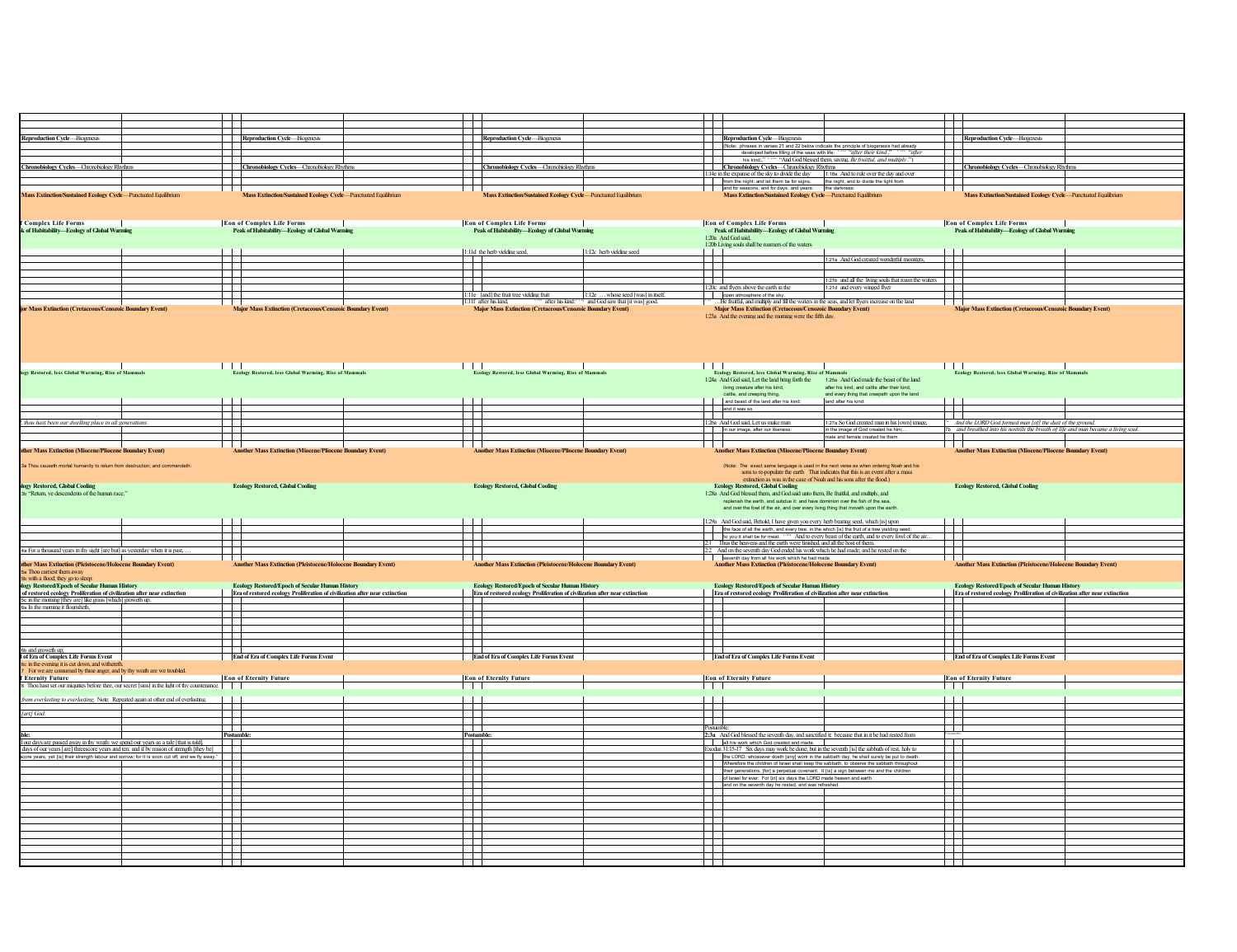|                                                                                                                                                                                              | ┱                           |                                                                             |                            |                                                                                                                                                                                                                                                                                          |                          |                                                                                                                                                                                                                                                                                                   |                                                                                                                                                                 |                          |                                                                                                                                            |  |
|----------------------------------------------------------------------------------------------------------------------------------------------------------------------------------------------|-----------------------------|-----------------------------------------------------------------------------|----------------------------|------------------------------------------------------------------------------------------------------------------------------------------------------------------------------------------------------------------------------------------------------------------------------------------|--------------------------|---------------------------------------------------------------------------------------------------------------------------------------------------------------------------------------------------------------------------------------------------------------------------------------------------|-----------------------------------------------------------------------------------------------------------------------------------------------------------------|--------------------------|--------------------------------------------------------------------------------------------------------------------------------------------|--|
|                                                                                                                                                                                              |                             |                                                                             |                            |                                                                                                                                                                                                                                                                                          |                          |                                                                                                                                                                                                                                                                                                   |                                                                                                                                                                 |                          |                                                                                                                                            |  |
| <b>Reproduction Cycle-Biogenesis</b>                                                                                                                                                         |                             | Reproduction Cycle—Biogenesis                                               |                            | Reproduction Cycle-Biogenesis                                                                                                                                                                                                                                                            |                          | Reproduction Cycle-Biogenesis                                                                                                                                                                                                                                                                     |                                                                                                                                                                 |                          | Reproduction Cycle-Biogenesis                                                                                                              |  |
|                                                                                                                                                                                              | ┱                           |                                                                             |                            |                                                                                                                                                                                                                                                                                          |                          | (Note: phrases in verses 21 and 22 below indicate the principle of biogenesis had already<br>developed before filling of the seas with life: 1,216 "after their kind,"                                                                                                                            | "after                                                                                                                                                          |                          |                                                                                                                                            |  |
| hronobiology Cycles-Chronobiology Rhythms                                                                                                                                                    |                             |                                                                             |                            | Chronobiology Cycles-Chronobiology Rhythms                                                                                                                                                                                                                                               |                          | his kind:<br>Chronobiology Cycles-Chronobiology Rhythms                                                                                                                                                                                                                                           | <sup>1:22a</sup> "And God blessed them, saying, Be fruitful, and multiply.")                                                                                    |                          | Chronobiology Cycles-Chronobiology Rhythms                                                                                                 |  |
|                                                                                                                                                                                              |                             | Chronobiology Cycles—Chronobiology Rhythms                                  |                            |                                                                                                                                                                                                                                                                                          |                          | 1:18a And to rule over the day and over 1:18a And to rule over the day and over                                                                                                                                                                                                                   |                                                                                                                                                                 |                          |                                                                                                                                            |  |
|                                                                                                                                                                                              |                             |                                                                             |                            |                                                                                                                                                                                                                                                                                          |                          | from the night; and let them be for signs, the night, and to divide the light from                                                                                                                                                                                                                |                                                                                                                                                                 |                          |                                                                                                                                            |  |
| <b>Aass Extinction/Sustained Ecology Cycle-Punctuated Equilibrium</b>                                                                                                                        | $\mathcal{L}$               | Mass Extinction/Sustained Ecology Cycle-Punctuated Equilibrium              |                            | Mass Extinction/Sustained Ecology Cycle-Punctuated Equilibrium                                                                                                                                                                                                                           |                          | and for seasons, and for days, and years: the darkness:<br>Mass Extinction/Sustained Ecology Cycle-Punctuated Equilibrium                                                                                                                                                                         |                                                                                                                                                                 |                          | Mass Extinction/Sustained Ecology Cycle-Punctuated Equilibrium                                                                             |  |
|                                                                                                                                                                                              |                             |                                                                             |                            |                                                                                                                                                                                                                                                                                          |                          |                                                                                                                                                                                                                                                                                                   |                                                                                                                                                                 |                          |                                                                                                                                            |  |
|                                                                                                                                                                                              |                             |                                                                             |                            |                                                                                                                                                                                                                                                                                          |                          |                                                                                                                                                                                                                                                                                                   |                                                                                                                                                                 |                          |                                                                                                                                            |  |
| <b>Complex Life Forms</b>                                                                                                                                                                    |                             | <b>Eon of Complex Life Forms</b>                                            |                            | Eon of Complex Life Forms<br> -<br>  Peak of Habitability—Ecology of Global Warming                                                                                                                                                                                                      |                          | <b>Eon of Complex Life Forms</b>                                                                                                                                                                                                                                                                  |                                                                                                                                                                 |                          | <b>Eon of Complex Life Forms</b>                                                                                                           |  |
| of Habitability-Ecology of Global Warning                                                                                                                                                    |                             | Peak of Habitability-Ecology of Global Warming                              |                            |                                                                                                                                                                                                                                                                                          |                          | Peak of Habitability-Ecology of Global Warming                                                                                                                                                                                                                                                    |                                                                                                                                                                 |                          | Peak of Habitability-Ecology of Global Warming                                                                                             |  |
|                                                                                                                                                                                              |                             |                                                                             |                            |                                                                                                                                                                                                                                                                                          |                          | 1:20a And God said,<br>1:20b Living souls shall be roamers of the waters                                                                                                                                                                                                                          |                                                                                                                                                                 |                          |                                                                                                                                            |  |
|                                                                                                                                                                                              |                             |                                                                             |                            | 1:11d the herb yielding seed,                                                                                                                                                                                                                                                            | 1:12c herb yielding seed |                                                                                                                                                                                                                                                                                                   |                                                                                                                                                                 |                          |                                                                                                                                            |  |
|                                                                                                                                                                                              | ┯                           |                                                                             |                            |                                                                                                                                                                                                                                                                                          |                          |                                                                                                                                                                                                                                                                                                   | 1:21a And God created wonderful monsters,                                                                                                                       | $\mathbf{I}$             |                                                                                                                                            |  |
|                                                                                                                                                                                              | 击                           |                                                                             |                            |                                                                                                                                                                                                                                                                                          |                          | ╤                                                                                                                                                                                                                                                                                                 |                                                                                                                                                                 |                          |                                                                                                                                            |  |
|                                                                                                                                                                                              |                             |                                                                             |                            |                                                                                                                                                                                                                                                                                          |                          | 20c and flyers above the earth in the                                                                                                                                                                                                                                                             | 1:21b and all the living souls that roam the waters<br>1.21d and every winged flyer                                                                             |                          |                                                                                                                                            |  |
|                                                                                                                                                                                              | $\mathcal{L}_{\mathcal{A}}$ |                                                                             |                            | 1.12  whose seed [was] in fisclf<br>1.12  whose seed [was] in fisclf<br>1.17 after his kind, $\frac{1.127}{1.11}$ after his kind, $\frac{1.127}{1.11}$ and God saw that [it was] good.<br><b>Major Mass Extinction (Cretaceous/Cenozoic</b><br>1:11e [and] the fruit tree yielding fruit |                          | open atmosphere of the sky.                                                                                                                                                                                                                                                                       |                                                                                                                                                                 |                          |                                                                                                                                            |  |
| Mass Extinction (Cretaceous/Cenozoic Boundary Event)                                                                                                                                         |                             | <b>Mass Extinction (Cretaceous/Cenozoic Bor</b>                             | ndary Event                | 1:11f after his kind.                                                                                                                                                                                                                                                                    |                          | . Be fruitful, and multiply and fill the waters in the seas, and let flyers increase on the land<br>Major Mass Extinction (Cretaceous/Cenozoic Boundary Event)                                                                                                                                    |                                                                                                                                                                 |                          |                                                                                                                                            |  |
|                                                                                                                                                                                              |                             | Major                                                                       |                            |                                                                                                                                                                                                                                                                                          |                          | 1:23a And the evening and the moming were the fifth day.                                                                                                                                                                                                                                          |                                                                                                                                                                 |                          | Major Mass Extinction (Cretaceous/Cenozoic Boundary Event)                                                                                 |  |
| ev Restored, less Global Warming, Rise of Mammals                                                                                                                                            | ا کا ک                      | Ecology Restored, less Global Warming, Rise of Mammals                      | $\Box$                     | Ecology Restored, less Global Warming, Rise of Mammals                                                                                                                                                                                                                                   |                          | Ecology Restored, less Global Warming, Rise of Mammals                                                                                                                                                                                                                                            |                                                                                                                                                                 | <b>ITT</b>               | <b>Ecology Restored, less Global Warming, Rise of Mammals</b>                                                                              |  |
|                                                                                                                                                                                              |                             |                                                                             |                            |                                                                                                                                                                                                                                                                                          |                          | 1:24a And God said, Let the land bring forth the<br>living creature after his kind,<br>cattle, and creeping thing,                                                                                                                                                                                | 1:25a And God made the beast of the land<br>after his kind, and cattle after their kind,<br>and every thing that creepeth upon the land<br>land after his kind: |                          |                                                                                                                                            |  |
|                                                                                                                                                                                              |                             |                                                                             |                            |                                                                                                                                                                                                                                                                                          |                          | and beast of the land after his kind:<br>and it was so.                                                                                                                                                                                                                                           |                                                                                                                                                                 |                          |                                                                                                                                            |  |
|                                                                                                                                                                                              |                             |                                                                             |                            |                                                                                                                                                                                                                                                                                          |                          |                                                                                                                                                                                                                                                                                                   |                                                                                                                                                                 |                          |                                                                                                                                            |  |
| thou hast been our dwelling place in all generations.                                                                                                                                        |                             |                                                                             |                            |                                                                                                                                                                                                                                                                                          |                          | 1:26a And God said, Let us make man<br>in our image, after our likeness                                                                                                                                                                                                                           | 1.27a So God created man in his [own] image<br>in the image of God created he him                                                                               |                          | And the LORD God formed man [of] the dust of the ground.<br>and breathed into his nostrils the breath of life and man became a living soul |  |
|                                                                                                                                                                                              | $\mathbf{r}$                |                                                                             |                            |                                                                                                                                                                                                                                                                                          |                          |                                                                                                                                                                                                                                                                                                   | male and female created he them                                                                                                                                 |                          |                                                                                                                                            |  |
| ther Mass Extinction (Miocene/Pliocene Boundary Event)                                                                                                                                       |                             | <b>Another Mass Extinction (Miocene/Pliocene Boundary Event)</b>            |                            | <b>Mass Extinction (Miocene/Pliocene Boundary Event)</b>                                                                                                                                                                                                                                 |                          | <b>Another Mass Extinction (Miocene/Pliocene Boundary Event)</b>                                                                                                                                                                                                                                  |                                                                                                                                                                 |                          | <b>Another Mass Extinction (Miocene/Pliocene Boundary Event)</b>                                                                           |  |
|                                                                                                                                                                                              |                             |                                                                             |                            |                                                                                                                                                                                                                                                                                          |                          |                                                                                                                                                                                                                                                                                                   |                                                                                                                                                                 |                          |                                                                                                                                            |  |
| 3a Thou causeth mortal humanity to return from destruction; and commandeth:                                                                                                                  |                             | <b>Ecology Restored, Global Cooling</b>                                     |                            | <b>Ecology Restored, Global Cooling</b>                                                                                                                                                                                                                                                  |                          | (Note: The exact same language is used in the next verse as when ordering Noah and his<br>extinction as was in the case of Noah and his sons after the flood.)                                                                                                                                    | sons to re-populate the earth That indicates that this is an event after a mass                                                                                 |                          |                                                                                                                                            |  |
|                                                                                                                                                                                              |                             |                                                                             |                            |                                                                                                                                                                                                                                                                                          |                          |                                                                                                                                                                                                                                                                                                   |                                                                                                                                                                 |                          |                                                                                                                                            |  |
| logy Restored, Global Cooling<br>b "Return, ye descendents of the human race."                                                                                                               |                             |                                                                             |                            |                                                                                                                                                                                                                                                                                          |                          | Ecology Restored, Global Cooling<br>1:28a And God blessed them, and God said unto them, Be fruitful, and multiply, and<br>replenish the earth, and subdue it: and have dominion over the fish of the sea,<br>and over the fowl of the air, and over every living thing that moveth upon the earth |                                                                                                                                                                 |                          | <b>Ecology Restored, Global Cooling</b>                                                                                                    |  |
|                                                                                                                                                                                              |                             |                                                                             |                            |                                                                                                                                                                                                                                                                                          |                          | 1:29a And God said, Behold, I have given you every herb bearing seed, which [is] upon                                                                                                                                                                                                             |                                                                                                                                                                 |                          |                                                                                                                                            |  |
|                                                                                                                                                                                              |                             |                                                                             |                            |                                                                                                                                                                                                                                                                                          |                          | the face of all the earth, and every tree, in the which [is] the fruit of a tree yielding seed;                                                                                                                                                                                                   |                                                                                                                                                                 |                          |                                                                                                                                            |  |
|                                                                                                                                                                                              |                             |                                                                             |                            |                                                                                                                                                                                                                                                                                          |                          | to you it shall be for meat. 1304 And to every beast of the earth, and to every fowl of the air.<br>2:1 Thus the heavens and the earth were finished, and all the host of them.                                                                                                                   |                                                                                                                                                                 |                          |                                                                                                                                            |  |
| a For a thousand years in thy sight [are but] as yesterday when it is past,                                                                                                                  |                             |                                                                             |                            |                                                                                                                                                                                                                                                                                          |                          | 2.2 And on the seventh day God ended his work which he had made; and he rested on the                                                                                                                                                                                                             |                                                                                                                                                                 |                          |                                                                                                                                            |  |
| her Mass Extinction (Pleistocene/Holocene Boundary Event)<br>a Thou carriest them away<br>with a flood; they go to sleep:                                                                    |                             | <b>Another Mass Extinction (Pleistocene/Holocene Boundary Event)</b>        |                            | <b>Another Mass Extinction (Pleistocene/Holocene Boundary Event)</b>                                                                                                                                                                                                                     |                          | seventh day from all his work which he had made.<br><b>Another Mass Extinction (Pleistocene/Holocene Boundary Event)</b>                                                                                                                                                                          |                                                                                                                                                                 |                          | <b>Another Mass Extinction (Pleistocene/Holocene Boundary Event)</b>                                                                       |  |
| ogy Restored/Epoch of Secular Human History                                                                                                                                                  |                             | <b>Ecology Restored/Epoch of Secular Human History</b>                      |                            | Ecology Restored/Epoch of Secular Human History                                                                                                                                                                                                                                          |                          | Ecology Restored/Epoch of Secular Human History                                                                                                                                                                                                                                                   |                                                                                                                                                                 |                          | Ecology Restored/Epoch of Secular Human History                                                                                            |  |
| of restored ecology Proliferation of civilization after near extinction<br>5c in the moming [they are] like grass [which] groweth up.                                                        |                             | Era of restored ecology Proliferation of civilization after near extinction |                            | Era of restored ecology Proliferation of civilization after near extinction                                                                                                                                                                                                              |                          | Era of restored ecology Proliferation of civilization after near extinction                                                                                                                                                                                                                       |                                                                                                                                                                 |                          | Era of restored ecology Proliferation of civilization after near extinction                                                                |  |
| 6a In the moming it flourisheth.                                                                                                                                                             |                             |                                                                             |                            |                                                                                                                                                                                                                                                                                          |                          |                                                                                                                                                                                                                                                                                                   |                                                                                                                                                                 |                          |                                                                                                                                            |  |
|                                                                                                                                                                                              |                             |                                                                             |                            |                                                                                                                                                                                                                                                                                          |                          |                                                                                                                                                                                                                                                                                                   |                                                                                                                                                                 |                          |                                                                                                                                            |  |
|                                                                                                                                                                                              |                             |                                                                             |                            |                                                                                                                                                                                                                                                                                          |                          |                                                                                                                                                                                                                                                                                                   |                                                                                                                                                                 |                          |                                                                                                                                            |  |
|                                                                                                                                                                                              | 丰                           |                                                                             |                            |                                                                                                                                                                                                                                                                                          |                          |                                                                                                                                                                                                                                                                                                   |                                                                                                                                                                 |                          |                                                                                                                                            |  |
| to and groweth up;                                                                                                                                                                           | $\overline{\phantom{0}}$    |                                                                             |                            |                                                                                                                                                                                                                                                                                          |                          |                                                                                                                                                                                                                                                                                                   |                                                                                                                                                                 |                          |                                                                                                                                            |  |
| of Era of Complex Life Forms Event<br>in the evening it is cut down, and witheret                                                                                                            |                             | End of Era of Complex Life Forms Event                                      |                            | <b>End of Era of Complex Life Forms Event</b>                                                                                                                                                                                                                                            |                          | <b>End of Era of Complex Life Forms Event</b>                                                                                                                                                                                                                                                     |                                                                                                                                                                 |                          | <b>End of Era of Complex Life Forms Event</b>                                                                                              |  |
| For we are consumed by thine anger, and by thy wrath are we troubled.                                                                                                                        |                             |                                                                             |                            |                                                                                                                                                                                                                                                                                          |                          |                                                                                                                                                                                                                                                                                                   |                                                                                                                                                                 |                          |                                                                                                                                            |  |
| <b>Eternity Future</b><br>Thou hast set our inquities before thee, our secret [sins] in the light of thy countenance.                                                                        |                             | <b>Eon of Eternity Future</b>                                               | .                          | <b>Eon of Eternity Future</b>                                                                                                                                                                                                                                                            |                          | <b>Eon of Eternity Future</b><br>$\mathbf{I}$                                                                                                                                                                                                                                                     |                                                                                                                                                                 | $\blacksquare$           | <b>Eon of Eternity Future</b>                                                                                                              |  |
|                                                                                                                                                                                              |                             |                                                                             |                            |                                                                                                                                                                                                                                                                                          |                          |                                                                                                                                                                                                                                                                                                   |                                                                                                                                                                 |                          |                                                                                                                                            |  |
| from everlasting to everlasting. Note: Repeated again at other end of everlasting                                                                                                            | TI.                         |                                                                             | $\blacksquare$             |                                                                                                                                                                                                                                                                                          |                          |                                                                                                                                                                                                                                                                                                   |                                                                                                                                                                 |                          |                                                                                                                                            |  |
| art] God.                                                                                                                                                                                    |                             |                                                                             |                            |                                                                                                                                                                                                                                                                                          |                          |                                                                                                                                                                                                                                                                                                   |                                                                                                                                                                 | $\mathbf{I}$             |                                                                                                                                            |  |
|                                                                                                                                                                                              | +丰                          |                                                                             |                            |                                                                                                                                                                                                                                                                                          |                          | ┯                                                                                                                                                                                                                                                                                                 |                                                                                                                                                                 |                          |                                                                                                                                            |  |
|                                                                                                                                                                                              | ───────<br>Postambl         |                                                                             | $\mathcal{L}$<br>Postamble |                                                                                                                                                                                                                                                                                          |                          | Postamble<br>2:3a And God blessed the seventh day, and sanctified it because that in it he had rested from                                                                                                                                                                                        |                                                                                                                                                                 | $\overline{\phantom{0}}$ |                                                                                                                                            |  |
| our days are passed away in thy wrath: we spend our years as a tale [that is told].                                                                                                          |                             |                                                                             |                            |                                                                                                                                                                                                                                                                                          |                          |                                                                                                                                                                                                                                                                                                   |                                                                                                                                                                 |                          |                                                                                                                                            |  |
| days of our years [are] threescore years and ten; and if by reason of strength [they be]<br>core years, yet [is] their strength labour and sorrow; for it is soon cut off, and we fly away.' |                             |                                                                             |                            |                                                                                                                                                                                                                                                                                          |                          | all his work which God created and made.<br>Exodus 31:15-17 Six days may work be done; but in the seventh [is] the sabbath of rest, holy to                                                                                                                                                       |                                                                                                                                                                 |                          |                                                                                                                                            |  |
|                                                                                                                                                                                              | Ħ                           |                                                                             |                            |                                                                                                                                                                                                                                                                                          |                          | the LORD: whosoever doeth [any] work in the sabbath day, he shall surely be put to death.<br>Wherefore the children of Israel shall keep the sabbath, to observe the sabbath throughout                                                                                                           |                                                                                                                                                                 | $\mathbb{Z}$             |                                                                                                                                            |  |
|                                                                                                                                                                                              |                             |                                                                             |                            |                                                                                                                                                                                                                                                                                          |                          | their generations, [for] a perpetual covenant. It [is] a sign between me and the children                                                                                                                                                                                                         |                                                                                                                                                                 |                          |                                                                                                                                            |  |
|                                                                                                                                                                                              | $\overline{\phantom{a}}$    |                                                                             |                            |                                                                                                                                                                                                                                                                                          |                          | of Israel for ever: For [in] six days the LORD made heaven and earth<br>and on the seventh day he rested, and was refreshed.                                                                                                                                                                      |                                                                                                                                                                 | $\top$                   |                                                                                                                                            |  |
|                                                                                                                                                                                              | ┱                           |                                                                             |                            |                                                                                                                                                                                                                                                                                          |                          |                                                                                                                                                                                                                                                                                                   |                                                                                                                                                                 |                          |                                                                                                                                            |  |
|                                                                                                                                                                                              | ┱                           |                                                                             | $\mathbf{r}$               |                                                                                                                                                                                                                                                                                          |                          |                                                                                                                                                                                                                                                                                                   |                                                                                                                                                                 | and the state            |                                                                                                                                            |  |
|                                                                                                                                                                                              |                             |                                                                             |                            |                                                                                                                                                                                                                                                                                          |                          |                                                                                                                                                                                                                                                                                                   |                                                                                                                                                                 | T                        |                                                                                                                                            |  |
|                                                                                                                                                                                              |                             |                                                                             |                            |                                                                                                                                                                                                                                                                                          |                          |                                                                                                                                                                                                                                                                                                   |                                                                                                                                                                 |                          |                                                                                                                                            |  |
|                                                                                                                                                                                              | 走                           |                                                                             |                            |                                                                                                                                                                                                                                                                                          |                          |                                                                                                                                                                                                                                                                                                   |                                                                                                                                                                 | — ⊥                      |                                                                                                                                            |  |
|                                                                                                                                                                                              | $+$<br>▜                    |                                                                             |                            |                                                                                                                                                                                                                                                                                          |                          | ┿┥                                                                                                                                                                                                                                                                                                |                                                                                                                                                                 |                          |                                                                                                                                            |  |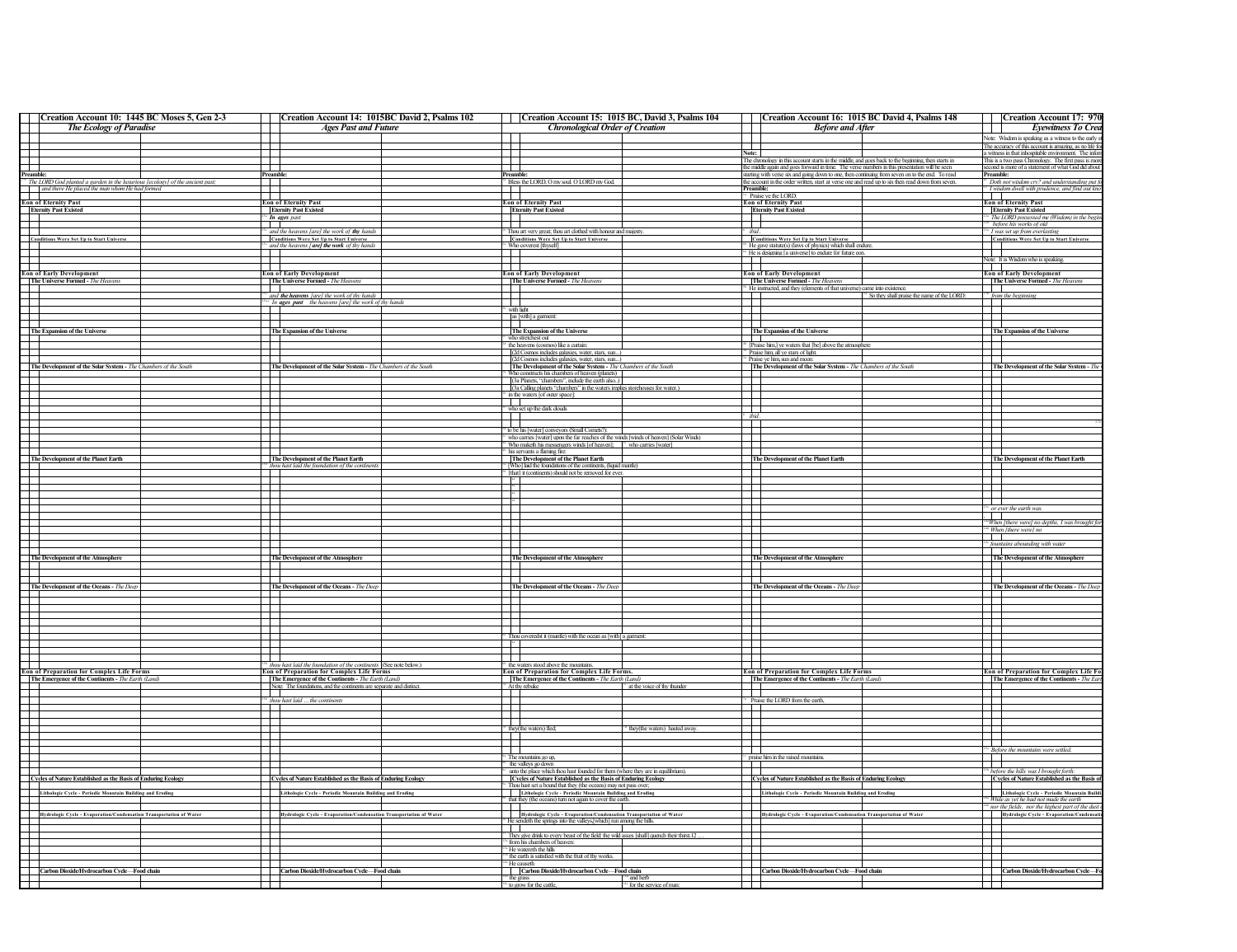| Creation Account 10: 1445 BC Moses 5, Gen 2-3                                                                                                                                                                                                                                                                   | Creation Account 14: 1015BC David 2, Psalms 102                                                                                      | Creation Account 15: 1015 BC, David 3, Psalms 104                                                                                                                              | Creation Account 16: 1015 BC David 4, Psalms 148                                                                                                                                                      | Creation Account 17: 970                                                                                                |
|-----------------------------------------------------------------------------------------------------------------------------------------------------------------------------------------------------------------------------------------------------------------------------------------------------------------|--------------------------------------------------------------------------------------------------------------------------------------|--------------------------------------------------------------------------------------------------------------------------------------------------------------------------------|-------------------------------------------------------------------------------------------------------------------------------------------------------------------------------------------------------|-------------------------------------------------------------------------------------------------------------------------|
| <b>The Ecology of Paradise</b>                                                                                                                                                                                                                                                                                  | <b>Ages Past and Future</b>                                                                                                          | <b>Chronological Order of Creation</b>                                                                                                                                         | <b>Before and After</b>                                                                                                                                                                               | Eyewitness To Crea                                                                                                      |
|                                                                                                                                                                                                                                                                                                                 |                                                                                                                                      |                                                                                                                                                                                |                                                                                                                                                                                                       | Note: Wisdom is speaking as a witness to the early                                                                      |
|                                                                                                                                                                                                                                                                                                                 |                                                                                                                                      |                                                                                                                                                                                | $\mathbf{I}$                                                                                                                                                                                          | The accuracy of this account is amazing, as no life f                                                                   |
|                                                                                                                                                                                                                                                                                                                 |                                                                                                                                      |                                                                                                                                                                                | Note:                                                                                                                                                                                                 | a witness in that inhospitable environment. The info<br>This is a two pass Chronology. The first pass is more           |
| F                                                                                                                                                                                                                                                                                                               |                                                                                                                                      | Ŧ                                                                                                                                                                              | The chronology in this account starts in the middle, and goes back to the beginning, then starts in<br>the middle again and goes forward in time. The verse numbers in this presentation will be seen | second is more of a statement of what God did about                                                                     |
| Preamble:                                                                                                                                                                                                                                                                                                       | Preamble:                                                                                                                            | Preamble                                                                                                                                                                       | starting with verse six and going down to one, then continuing from seven on to the end. To read                                                                                                      | Preamble:                                                                                                               |
| <sup>24</sup> The LORD God planted a garden in the luxurious [ecology] of the ancient past;<br>and there He placed the man whom He had formed                                                                                                                                                                   |                                                                                                                                      | <sup>14</sup> Bless the LORD, O my soul. O LORD my God,                                                                                                                        | the account in the order written, start at verse one and read up to six then read down from seven.                                                                                                    | <sup>41</sup> Doth not wisdom cry? and understanding put fo                                                             |
|                                                                                                                                                                                                                                                                                                                 |                                                                                                                                      |                                                                                                                                                                                |                                                                                                                                                                                                       | <sup>2</sup> I wisdom dwell with prudence, and find out kno                                                             |
| <b>Eon of Eternity Past</b><br><b>Eternity Past Existed</b>                                                                                                                                                                                                                                                     | <b>Eon of Eternity Past</b>                                                                                                          | <b>Eon of Eternity Past</b>                                                                                                                                                    | <sup>14</sup> Praise ye the LORD.<br><b>Eon of Eternity Past</b>                                                                                                                                      | <b>Eon of Eternity Past</b>                                                                                             |
|                                                                                                                                                                                                                                                                                                                 | <b>Eternity Past Existed</b>                                                                                                         | <b>Eternity Past Existed</b>                                                                                                                                                   | <b>Eternity Past Existed</b>                                                                                                                                                                          | <b>Eternity Past Existed</b>                                                                                            |
|                                                                                                                                                                                                                                                                                                                 | In ages past                                                                                                                         |                                                                                                                                                                                |                                                                                                                                                                                                       | <sup>12</sup> The LORD possessed me (Wisdom) in the be-                                                                 |
|                                                                                                                                                                                                                                                                                                                 | $\blacksquare$<br>and the heavens (are) the work of thy hands                                                                        | $\mathbf{I}$<br><sup>13</sup> Thou art very great; thou art clothed with honour and majesty.                                                                                   | $\top$<br>ibid.                                                                                                                                                                                       | <sup>126</sup> before his works of old<br><sup>14</sup> I was set up from everlasting                                   |
|                                                                                                                                                                                                                                                                                                                 | <b>Conditions Were Set Up to Start Universe</b>                                                                                      | <b>Conditions Were Set Up to Start Universe</b>                                                                                                                                | <b>Conditions Were Set Up to Start Universe</b>                                                                                                                                                       | <b>Conditions Were Set Up to Start Universe</b>                                                                         |
| <b>Conditions Were Set Up to Start Universe</b>                                                                                                                                                                                                                                                                 | and the heavens [are] the work of thy hands                                                                                          | <sup>*</sup> Who coverest [thyself]                                                                                                                                            | <sup>63</sup> He gave statute(s) (laws of physics) which shall endur                                                                                                                                  |                                                                                                                         |
|                                                                                                                                                                                                                                                                                                                 |                                                                                                                                      | a kara                                                                                                                                                                         | <sup>64</sup> He is designing [a universe] to endure for future con.                                                                                                                                  |                                                                                                                         |
|                                                                                                                                                                                                                                                                                                                 |                                                                                                                                      | and the state                                                                                                                                                                  | $\mathbf{I}$                                                                                                                                                                                          | Note: It is Wisdom who is speaking.<br>—<br> -                                                                          |
| <b>Example 2</b><br><b>Example 2</b><br><b>Example 2</b><br><b>CONFIDE 2</b><br><b>CONFIDE 2</b><br><b>CONFIDE 2</b><br><b>CONFIDE 2</b><br><b>CONFIDE 2</b><br><b>CONFIDE 2</b><br><b>CONFIDE 2</b><br><b>CONFIDE 2</b><br><b>CONFIDE 2</b><br><b>CONFIDE 2</b><br><b>CONFIDE 2</b>                            | <b>Eon of Early Development</b>                                                                                                      | <b>Eon of Early Development</b>                                                                                                                                                | <b>Eon of Early Development</b>                                                                                                                                                                       | <b>Eon of Early Development</b>                                                                                         |
|                                                                                                                                                                                                                                                                                                                 | The Universe Formed - The Heavens                                                                                                    | <b>The Universe Formed - The Heavens</b>                                                                                                                                       | The Universe Formed - The Heavens                                                                                                                                                                     | The Universe Formed - The Heavens                                                                                       |
|                                                                                                                                                                                                                                                                                                                 |                                                                                                                                      |                                                                                                                                                                                | <sup>55</sup> He instructed, and they (elements of that universe) came into existence.                                                                                                                |                                                                                                                         |
|                                                                                                                                                                                                                                                                                                                 | and the heavens [are] the work of thy hands                                                                                          | $\mathbf{I}$                                                                                                                                                                   | <sup>54</sup> So they shall praise the name of the LORD:<br>$\top$                                                                                                                                    | <sup>23b</sup> from the beginning                                                                                       |
| $\overline{\phantom{0}}$                                                                                                                                                                                                                                                                                        | <sup>th</sup> In <b>ages</b> past the heavens [are] the work of thy hands                                                            | <sup>3</sup> with light                                                                                                                                                        |                                                                                                                                                                                                       |                                                                                                                         |
|                                                                                                                                                                                                                                                                                                                 |                                                                                                                                      | as [with] a garment:                                                                                                                                                           | Ŧ                                                                                                                                                                                                     |                                                                                                                         |
|                                                                                                                                                                                                                                                                                                                 |                                                                                                                                      |                                                                                                                                                                                |                                                                                                                                                                                                       |                                                                                                                         |
| The Expansion of the Universe                                                                                                                                                                                                                                                                                   | The Expansion of the Universe                                                                                                        | The Expansion of the Universe                                                                                                                                                  | The Expansion of the Universe<br>┱                                                                                                                                                                    | The Expansion of the Universe                                                                                           |
|                                                                                                                                                                                                                                                                                                                 |                                                                                                                                      | who stretchest out<br>the heavens (cosmos) like a curtain                                                                                                                      | <sup>13</sup> [Praise him,] ye waters that [be] above the atmosph                                                                                                                                     |                                                                                                                         |
|                                                                                                                                                                                                                                                                                                                 |                                                                                                                                      | (2d Cosmos includes galaxies, water, stars, sun                                                                                                                                | Praise him, all ye stars of light                                                                                                                                                                     |                                                                                                                         |
|                                                                                                                                                                                                                                                                                                                 |                                                                                                                                      | (2d Cosmos includes galaxies, water, stars, sun)                                                                                                                               | " Praise ye him, sun and moon:                                                                                                                                                                        |                                                                                                                         |
| The Development of the Solar System - The Chambers of the South                                                                                                                                                                                                                                                 | The Development of the Solar System - The Chambers of the South                                                                      | The Development of the Solar System - The Chambers of the South                                                                                                                | The Development of the Solar System - The Chambers of the South                                                                                                                                       | The Development of the Solar System - 77                                                                                |
|                                                                                                                                                                                                                                                                                                                 |                                                                                                                                      | Who constructs his chambers of heaven (planets)                                                                                                                                | $\mathcal{L}$                                                                                                                                                                                         | $\mathbf{L}$                                                                                                            |
| $\Box$                                                                                                                                                                                                                                                                                                          |                                                                                                                                      | (3a Planets, "chambers", include the earth also)<br>(3a Calling planets "chambers" in the waters implies storehouses for water.)                                               | Ŧ                                                                                                                                                                                                     |                                                                                                                         |
|                                                                                                                                                                                                                                                                                                                 |                                                                                                                                      | <sup>10</sup> in the waters [of outer space]:                                                                                                                                  |                                                                                                                                                                                                       |                                                                                                                         |
| Ħ                                                                                                                                                                                                                                                                                                               |                                                                                                                                      | m                                                                                                                                                                              | 또                                                                                                                                                                                                     | 壬                                                                                                                       |
| 1 I I                                                                                                                                                                                                                                                                                                           |                                                                                                                                      | <sup>34</sup> who set up the dark clouds                                                                                                                                       |                                                                                                                                                                                                       |                                                                                                                         |
| T                                                                                                                                                                                                                                                                                                               |                                                                                                                                      |                                                                                                                                                                                | ibid                                                                                                                                                                                                  |                                                                                                                         |
|                                                                                                                                                                                                                                                                                                                 |                                                                                                                                      | <sup>34</sup> to be his [water] conveyors (Small Cornets?):                                                                                                                    |                                                                                                                                                                                                       |                                                                                                                         |
|                                                                                                                                                                                                                                                                                                                 |                                                                                                                                      |                                                                                                                                                                                | ──┌                                                                                                                                                                                                   |                                                                                                                         |
|                                                                                                                                                                                                                                                                                                                 |                                                                                                                                      | $^{3+}$ who carries [water] upon the far reaches of the winds [winds of heaven] (Solar Winds) $^{4+}$ Who maketh his messengers winds [of heaven]; $^{3+}$ who carries [water] |                                                                                                                                                                                                       |                                                                                                                         |
|                                                                                                                                                                                                                                                                                                                 |                                                                                                                                      | his servants a flaming fire                                                                                                                                                    | The Development of the Planet Earth                                                                                                                                                                   |                                                                                                                         |
| The Development of the Planet Earth                                                                                                                                                                                                                                                                             | The Development of the Planet Earth                                                                                                  | The Development of the Planet Earth                                                                                                                                            |                                                                                                                                                                                                       | The Development of the Planet Earth                                                                                     |
|                                                                                                                                                                                                                                                                                                                 | thou hast laid the foundation of the contin                                                                                          | <sup>*</sup> [Who] laid the foundations of the continents, (liquid mantle)                                                                                                     |                                                                                                                                                                                                       |                                                                                                                         |
|                                                                                                                                                                                                                                                                                                                 |                                                                                                                                      | <sup>26</sup> [that] it (continents) should not be removed for ever.                                                                                                           |                                                                                                                                                                                                       |                                                                                                                         |
| Ħ                                                                                                                                                                                                                                                                                                               |                                                                                                                                      | F.                                                                                                                                                                             | H                                                                                                                                                                                                     |                                                                                                                         |
|                                                                                                                                                                                                                                                                                                                 |                                                                                                                                      |                                                                                                                                                                                |                                                                                                                                                                                                       | <b>1. In the set of the set of the set of the set of the set of the set of the set of the set of the set of the s</b>   |
| Ħ                                                                                                                                                                                                                                                                                                               |                                                                                                                                      |                                                                                                                                                                                | ─⊤                                                                                                                                                                                                    | $\blacksquare$<br>ever the earth was.                                                                                   |
| H                                                                                                                                                                                                                                                                                                               |                                                                                                                                      |                                                                                                                                                                                |                                                                                                                                                                                                       | .                                                                                                                       |
| $\overline{\phantom{a}}$                                                                                                                                                                                                                                                                                        |                                                                                                                                      |                                                                                                                                                                                | $\overline{\phantom{a}}$                                                                                                                                                                              | <sup>14</sup> When [there were] no depths, I was brought fo                                                             |
|                                                                                                                                                                                                                                                                                                                 |                                                                                                                                      |                                                                                                                                                                                | ┱                                                                                                                                                                                                     | <sup>45</sup> When [there were] no                                                                                      |
|                                                                                                                                                                                                                                                                                                                 |                                                                                                                                      |                                                                                                                                                                                | $\overline{\phantom{0}}$                                                                                                                                                                              | $\mathbf{L}$                                                                                                            |
|                                                                                                                                                                                                                                                                                                                 |                                                                                                                                      |                                                                                                                                                                                |                                                                                                                                                                                                       | fountains abounding with water                                                                                          |
| The Development of the Atmosphere                                                                                                                                                                                                                                                                               | The Development of the Atmosphere                                                                                                    | The Development of the Atmosphere                                                                                                                                              | The Development of the Atmosphere                                                                                                                                                                     | The Development of the Atmosphere                                                                                       |
|                                                                                                                                                                                                                                                                                                                 |                                                                                                                                      |                                                                                                                                                                                |                                                                                                                                                                                                       |                                                                                                                         |
|                                                                                                                                                                                                                                                                                                                 |                                                                                                                                      |                                                                                                                                                                                |                                                                                                                                                                                                       |                                                                                                                         |
|                                                                                                                                                                                                                                                                                                                 |                                                                                                                                      |                                                                                                                                                                                |                                                                                                                                                                                                       |                                                                                                                         |
| The Development of the Oceans - The Deep                                                                                                                                                                                                                                                                        | The Development of the Oceans - The Deep                                                                                             | The Development of the Oceans - The Deep                                                                                                                                       | The Development of the Oceans - The Deep                                                                                                                                                              | The Development of the Oceans - The Deep                                                                                |
|                                                                                                                                                                                                                                                                                                                 |                                                                                                                                      |                                                                                                                                                                                |                                                                                                                                                                                                       |                                                                                                                         |
| Ħ                                                                                                                                                                                                                                                                                                               |                                                                                                                                      | H                                                                                                                                                                              | Æ                                                                                                                                                                                                     | ╅                                                                                                                       |
| <b>TT</b>                                                                                                                                                                                                                                                                                                       |                                                                                                                                      |                                                                                                                                                                                |                                                                                                                                                                                                       |                                                                                                                         |
|                                                                                                                                                                                                                                                                                                                 |                                                                                                                                      | m                                                                                                                                                                              | ─┌                                                                                                                                                                                                    |                                                                                                                         |
| H                                                                                                                                                                                                                                                                                                               |                                                                                                                                      | <sup>44</sup> Thou coveredst it (mantle) with the ocean as [with] a garment:                                                                                                   | ─ा                                                                                                                                                                                                    | $\overline{\phantom{a}}$                                                                                                |
| <b>TT</b>                                                                                                                                                                                                                                                                                                       |                                                                                                                                      | $\sim$ 4.4 $\pm$                                                                                                                                                               |                                                                                                                                                                                                       |                                                                                                                         |
| m                                                                                                                                                                                                                                                                                                               |                                                                                                                                      |                                                                                                                                                                                | Ħ                                                                                                                                                                                                     | <b>1. The Second Street</b>                                                                                             |
|                                                                                                                                                                                                                                                                                                                 |                                                                                                                                      |                                                                                                                                                                                |                                                                                                                                                                                                       |                                                                                                                         |
|                                                                                                                                                                                                                                                                                                                 | <sup>25h</sup> thou hast laid the foundation of the continents (See note below.)<br><b>Eon of Preparation for Complex Life Forms</b> | <sup>45</sup> the waters stood above the mountains.<br><b>Eon of Preparation for Complex Life Forms.</b>                                                                       | <b>Eon of Preparation for Complex Life Forms</b>                                                                                                                                                      | <b>Eon of Preparation for Complex Life Fo</b>                                                                           |
|                                                                                                                                                                                                                                                                                                                 |                                                                                                                                      |                                                                                                                                                                                |                                                                                                                                                                                                       |                                                                                                                         |
|                                                                                                                                                                                                                                                                                                                 | The Emergence of the Continents - The Earth (Land)                                                                                   |                                                                                                                                                                                |                                                                                                                                                                                                       |                                                                                                                         |
|                                                                                                                                                                                                                                                                                                                 | Note: The foundations, and the continents are separate and distinct                                                                  | The Emergence of the Continents - The Earth (Land,<br>at the voice of thy thunder<br><sup>72</sup> At thy rebuke                                                               | The Emergence of the Continents - The Earth (Land)                                                                                                                                                    | The Emergence of the Continents - The Ear                                                                               |
|                                                                                                                                                                                                                                                                                                                 | $\Box$                                                                                                                               | $\overline{\phantom{a}}$                                                                                                                                                       |                                                                                                                                                                                                       |                                                                                                                         |
|                                                                                                                                                                                                                                                                                                                 | thou hast laid  the continents                                                                                                       |                                                                                                                                                                                |                                                                                                                                                                                                       |                                                                                                                         |
|                                                                                                                                                                                                                                                                                                                 |                                                                                                                                      |                                                                                                                                                                                | <sup>24</sup> Praise the LORD from the earth,                                                                                                                                                         |                                                                                                                         |
|                                                                                                                                                                                                                                                                                                                 |                                                                                                                                      | ─────────                                                                                                                                                                      |                                                                                                                                                                                                       |                                                                                                                         |
|                                                                                                                                                                                                                                                                                                                 |                                                                                                                                      | <sup>75</sup> they(the waters) fled;<br>they(the waters) hasted away                                                                                                           | $\blacksquare$                                                                                                                                                                                        |                                                                                                                         |
|                                                                                                                                                                                                                                                                                                                 |                                                                                                                                      |                                                                                                                                                                                |                                                                                                                                                                                                       |                                                                                                                         |
|                                                                                                                                                                                                                                                                                                                 |                                                                                                                                      | a Tan                                                                                                                                                                          | ┯                                                                                                                                                                                                     |                                                                                                                         |
|                                                                                                                                                                                                                                                                                                                 |                                                                                                                                      | <sup>2</sup> The mountains go un                                                                                                                                               | praise him in the raised mountains                                                                                                                                                                    | <sup>154</sup> Before the mountains were settled,                                                                       |
|                                                                                                                                                                                                                                                                                                                 |                                                                                                                                      | the valleys go down                                                                                                                                                            |                                                                                                                                                                                                       |                                                                                                                         |
|                                                                                                                                                                                                                                                                                                                 |                                                                                                                                      | unto the place which thou hast founded for them (where they are in equilibrium                                                                                                 |                                                                                                                                                                                                       | before the hills was I brought forth                                                                                    |
|                                                                                                                                                                                                                                                                                                                 | Cycles of Nature Established as the Basis of Enduring Ecology                                                                        | Cycles of Nature Established as the Basis of Enduring Ecology                                                                                                                  | Cycles of Nature Established as the Basis of Enduring Ecology                                                                                                                                         | <b>Cycles of Nature Established as the Basis</b>                                                                        |
|                                                                                                                                                                                                                                                                                                                 |                                                                                                                                      | <sup>62</sup> Thou hast set a bound that they (the oceans) may not pass over;                                                                                                  |                                                                                                                                                                                                       |                                                                                                                         |
|                                                                                                                                                                                                                                                                                                                 | Lithologic Cycle - Periodic Mountain Building and Eroding                                                                            | Lithologic Cycle - Periodic Mountain Building and Eroding                                                                                                                      |                                                                                                                                                                                                       | Lithologic Cycle - Periodic Mountain Buile                                                                              |
|                                                                                                                                                                                                                                                                                                                 |                                                                                                                                      | that they (the oceans) turn not again to cover the ear                                                                                                                         | Lithologic Cycle - Periodic Mountain Building and Eroding                                                                                                                                             | <sup>14</sup> While as yet he had not made the earth<br><sup>146</sup> nor the fields, nor the highest part of the dust |
|                                                                                                                                                                                                                                                                                                                 | Hydrologic Cycle - Evaporation/Condensation Transportation of Water                                                                  | <br> -<br>  Hydrologic Cycle - Evaporation/Condensation Transportation of Water                                                                                                |                                                                                                                                                                                                       | Hydrologic Cycle - Evaporation/Condensa                                                                                 |
| <b>Example 1</b><br><b>Example 1</b> Forms of Preparation for Complex Life Forms<br>The Emergence of the Continents - The Earth (Land)<br>$\overline{\phantom{0}}$<br>Ħ<br>$\Box$<br>Cycles of Nature Established as the Basis of Enduring Ecology<br>Lithologic Cycle - Periodic Mountain Building and Eroding |                                                                                                                                      | <sup>10</sup> He sendeth the springs into the valleys.[which] run among the hills.                                                                                             |                                                                                                                                                                                                       |                                                                                                                         |
|                                                                                                                                                                                                                                                                                                                 |                                                                                                                                      |                                                                                                                                                                                |                                                                                                                                                                                                       |                                                                                                                         |
|                                                                                                                                                                                                                                                                                                                 |                                                                                                                                      | <sup>11</sup> They give drink to every beast of the field: the wild asses [shall] quench their thirst.12                                                                       |                                                                                                                                                                                                       |                                                                                                                         |
|                                                                                                                                                                                                                                                                                                                 |                                                                                                                                      | " from his chambers of heaven:<br><sup>13</sup> He watereth the hills                                                                                                          |                                                                                                                                                                                                       |                                                                                                                         |
|                                                                                                                                                                                                                                                                                                                 |                                                                                                                                      | the earth is satisfied with the fruit of thy works.                                                                                                                            |                                                                                                                                                                                                       |                                                                                                                         |
|                                                                                                                                                                                                                                                                                                                 |                                                                                                                                      | ™ He causeti                                                                                                                                                                   |                                                                                                                                                                                                       |                                                                                                                         |
| Carbon Dioxide/Hydrocarbon Cycle-Food chain<br>FT                                                                                                                                                                                                                                                               | Carbon Dioxide/Hydrocarbon Cycle-Food chain                                                                                          | Carbon Dioxide/Hydrocarbon Cycle-Food chain<br>the grass<br>" and herl                                                                                                         | Carbon Dioxide/Hydrocarbon Cycle-Food chain                                                                                                                                                           | Carbon Dioxide/Hydrocarbon Cycle-                                                                                       |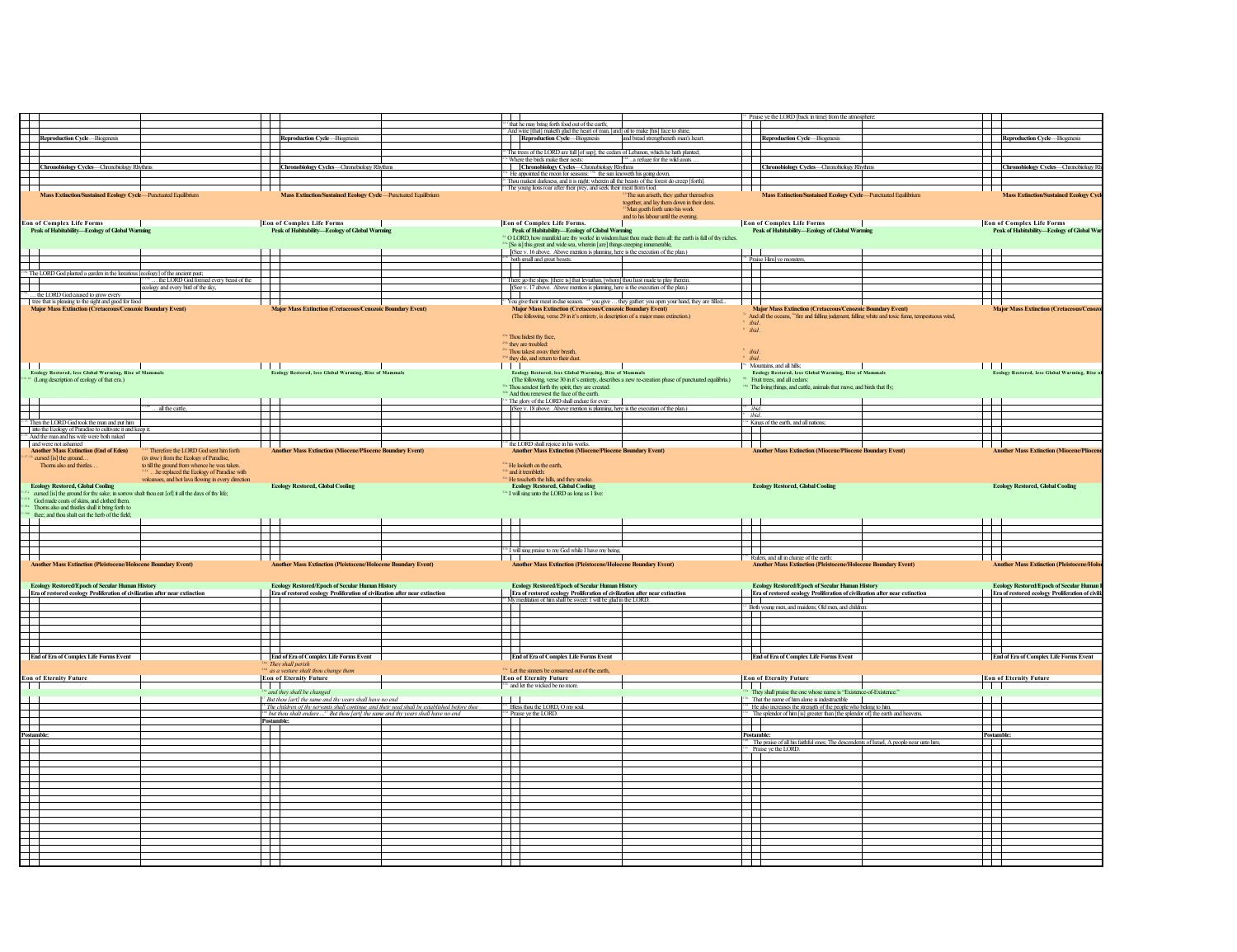|                                                                                                                                                                                                                                                                                                                                           |                                                                                                                                 | that he may bring forth food out of the earth;                                                                                                                                                       | Praise ye the LORD [back in time] from the atmospher                                                                                                                                |                                                                                                  |
|-------------------------------------------------------------------------------------------------------------------------------------------------------------------------------------------------------------------------------------------------------------------------------------------------------------------------------------------|---------------------------------------------------------------------------------------------------------------------------------|------------------------------------------------------------------------------------------------------------------------------------------------------------------------------------------------------|-------------------------------------------------------------------------------------------------------------------------------------------------------------------------------------|--------------------------------------------------------------------------------------------------|
| ┯                                                                                                                                                                                                                                                                                                                                         | $\overline{\phantom{a}}$                                                                                                        | And wine [that] maketh glad the heart of man, [and] oil to make [his] face to shine,                                                                                                                 |                                                                                                                                                                                     |                                                                                                  |
| Reproduction Cycle-Biogenesis                                                                                                                                                                                                                                                                                                             | Reproduction Cycle-Biogenesis                                                                                                   | Reproduction Cycle-Biogenesis<br>and bread strengtheneth man's heart                                                                                                                                 | <b>Reproduction Cycle-Biogenesis</b>                                                                                                                                                | Reproduction Cycle-Biogenesis                                                                    |
| $\mathord{\text{--}}$                                                                                                                                                                                                                                                                                                                     |                                                                                                                                 |                                                                                                                                                                                                      |                                                                                                                                                                                     |                                                                                                  |
|                                                                                                                                                                                                                                                                                                                                           |                                                                                                                                 | The trees of the LORD are full [of sap]; the cedars of Lebanon, which he hath planted;                                                                                                               |                                                                                                                                                                                     |                                                                                                  |
| Chronobiology Cycles-Chronobiology Rhythm                                                                                                                                                                                                                                                                                                 | Chronobiology Cycles-Chronobiology Rhythms                                                                                      | Where the birds make their nests:<br>a refuge for the wild goats<br>Chronobiology Cycles-Chronobiology Rhythms                                                                                       | Chronobiology Cycles-Chronobiology Rhythr                                                                                                                                           | Chronobiology Cycles-Chronobiology I                                                             |
|                                                                                                                                                                                                                                                                                                                                           |                                                                                                                                 | He appointed the moon for seasons: 190 the sun knoweth his going down.                                                                                                                               |                                                                                                                                                                                     |                                                                                                  |
| $\mathsf T$                                                                                                                                                                                                                                                                                                                               |                                                                                                                                 | Thou makest darkness, and it is night: wherein all the beasts of the forest do creep [forth].                                                                                                        |                                                                                                                                                                                     |                                                                                                  |
|                                                                                                                                                                                                                                                                                                                                           |                                                                                                                                 | The young lions roar after their prey, and seek their meat from God.                                                                                                                                 |                                                                                                                                                                                     |                                                                                                  |
| Mass Extinction/Sustained Ecology Cycle-Punctuated Equilibrium                                                                                                                                                                                                                                                                            | Mass Extinction/Sustained Ecology Cycle-Punctuated Equilibrium                                                                  | <sup>22</sup> The sun ariseth, they gather themselves                                                                                                                                                | tained Ecology Cycle-Punctuated Equilibrium<br><b>Mass Extinction/Sus</b>                                                                                                           | <b>Mass Extinction/Sustained Ecology Cyr</b>                                                     |
|                                                                                                                                                                                                                                                                                                                                           |                                                                                                                                 | together, and lay them down in their dens.<br><sup>3</sup> Man goeth forth unto his work<br>and to his labour until the evening                                                                      |                                                                                                                                                                                     |                                                                                                  |
| <b>Eon of Complex Life Forms</b>                                                                                                                                                                                                                                                                                                          | <b>Eon of Complex Life Forms</b>                                                                                                | <b>Eon of Complex Life Forms.</b>                                                                                                                                                                    | <b>Eon of Complex Life Forms</b>                                                                                                                                                    | <b>Eon of Complex Life Forms</b>                                                                 |
| Peak of Habitability-Ecology of Global Warning                                                                                                                                                                                                                                                                                            | Peak of Habitability-Ecology of Global Warming                                                                                  | Peak of Habitability-Ecology of Global Warming                                                                                                                                                       | Peak of Habitability-Ecology of Global Warming                                                                                                                                      | Peak of Habitability-Ecology of Global War                                                       |
|                                                                                                                                                                                                                                                                                                                                           |                                                                                                                                 | <sup>24</sup> O LORD, how manifold are thy works! in wisdom hast thou made them all: the earth is full of thy riches.<br>[So is] this great and wide sea, wherein [are] things creeping innumerable, |                                                                                                                                                                                     |                                                                                                  |
|                                                                                                                                                                                                                                                                                                                                           |                                                                                                                                 | (See v. 16 above. Above mention is planning, here is the execution of the plan.)                                                                                                                     |                                                                                                                                                                                     |                                                                                                  |
|                                                                                                                                                                                                                                                                                                                                           |                                                                                                                                 | both small and great beasts.                                                                                                                                                                         | Praise Him] ye monsters,                                                                                                                                                            |                                                                                                  |
| The LORD God planted a garden in the luxurious [ecology] of the ancient past;                                                                                                                                                                                                                                                             | $\mathbf{I}$                                                                                                                    |                                                                                                                                                                                                      | $\blacksquare$                                                                                                                                                                      | $\mathbf{r}$                                                                                     |
|                                                                                                                                                                                                                                                                                                                                           |                                                                                                                                 |                                                                                                                                                                                                      |                                                                                                                                                                                     |                                                                                                  |
| the LORD God formed every beast of the                                                                                                                                                                                                                                                                                                    | ┯                                                                                                                               | There go the ships: [there is] that leviathan, [whom] thou hast made to play therein                                                                                                                 |                                                                                                                                                                                     | ╅                                                                                                |
| Π<br>ecology and every bird of the sky,                                                                                                                                                                                                                                                                                                   |                                                                                                                                 | (See v. 17 above. Above mention is planning, here is the execution of the plan.)                                                                                                                     |                                                                                                                                                                                     |                                                                                                  |
| the LORD God caused to grow every                                                                                                                                                                                                                                                                                                         |                                                                                                                                 |                                                                                                                                                                                                      |                                                                                                                                                                                     |                                                                                                  |
| tree that is pleasing to the sight and good for food                                                                                                                                                                                                                                                                                      |                                                                                                                                 | You give their meat in due season. <sup>23</sup> you give  they gather: you open your hand, they are filled.                                                                                         |                                                                                                                                                                                     |                                                                                                  |
| Major Mass Extinction (Cretaceous/Cenozoic Boundary Event)                                                                                                                                                                                                                                                                                | <b>Major Mass Extinction (Cretaceous/Cenozoic Boundary Event)</b>                                                               | <b>Major Mass Extinction (Cretaceous/Cenozoic Boundary Event)</b><br>(The following, verse 29 in it's entirety, is description of a major mass extinction.)                                          | Major Mass Extinction (Cretaceous/Cenozoic Boundary Event)<br>And all the oceans, <sup>24</sup> fire and falling judgment, falling white and toxic furne, tempestuous wind,<br>ihid | <b>Major Mass Extinction (Cretaceous/Ceno</b>                                                    |
|                                                                                                                                                                                                                                                                                                                                           |                                                                                                                                 | <sup>29</sup> Thou hidest thy face,                                                                                                                                                                  | ihid                                                                                                                                                                                |                                                                                                  |
|                                                                                                                                                                                                                                                                                                                                           |                                                                                                                                 | <sup>they</sup> are troubled:                                                                                                                                                                        |                                                                                                                                                                                     |                                                                                                  |
|                                                                                                                                                                                                                                                                                                                                           |                                                                                                                                 | <sup>192</sup> Thou takest away their breath,                                                                                                                                                        | ibid.                                                                                                                                                                               |                                                                                                  |
|                                                                                                                                                                                                                                                                                                                                           |                                                                                                                                 | they die, and return to their dust.                                                                                                                                                                  | ibid.                                                                                                                                                                               |                                                                                                  |
|                                                                                                                                                                                                                                                                                                                                           | டட                                                                                                                              |                                                                                                                                                                                                      | Mountains, and all hills:                                                                                                                                                           | $\mathbf{I}$                                                                                     |
| <b>Feology Restored, less Global Warming, Rise of Mammals</b>                                                                                                                                                                                                                                                                             | <b>Ecology Restored, less Global Warming, Rise of Mammals</b>                                                                   | Ecology Restored, less Global Warming, Rise of Mammals                                                                                                                                               | Ecology Restored, less Global Warming, Rise of Mammals                                                                                                                              | <b>Ecology Restored, less Global Warming, Rise</b>                                               |
| (Long description of ecology of that era.)                                                                                                                                                                                                                                                                                                |                                                                                                                                 | (The following, verse 30 in it's entirety, describes a new re-creation phase of punctuated equilibria)                                                                                               | Fruit trees, and all cedars:                                                                                                                                                        |                                                                                                  |
|                                                                                                                                                                                                                                                                                                                                           |                                                                                                                                 | <sup>102</sup> Thou sendest forth thy spirit, they are created:                                                                                                                                      | The living things, and cattle, animals that move, and birds that fly,                                                                                                               |                                                                                                  |
|                                                                                                                                                                                                                                                                                                                                           |                                                                                                                                 | And thou renewest the face of the earth.                                                                                                                                                             |                                                                                                                                                                                     |                                                                                                  |
|                                                                                                                                                                                                                                                                                                                                           |                                                                                                                                 | The glory of the LORD shall endure for ever:                                                                                                                                                         |                                                                                                                                                                                     |                                                                                                  |
| all the cattle<br>Ħ                                                                                                                                                                                                                                                                                                                       |                                                                                                                                 | (See v. 18 above. Above mention is planning, here is the execution of the plan.)                                                                                                                     | <sup>*</sup> ibid.                                                                                                                                                                  | 千                                                                                                |
|                                                                                                                                                                                                                                                                                                                                           |                                                                                                                                 |                                                                                                                                                                                                      | ibid.                                                                                                                                                                               |                                                                                                  |
| Then the LORD God took the man and put him                                                                                                                                                                                                                                                                                                |                                                                                                                                 |                                                                                                                                                                                                      | <sup>1</sup> Kings of the earth, and all nations                                                                                                                                    |                                                                                                  |
| into the Ecology of Paradise to cultivate it and keep it.                                                                                                                                                                                                                                                                                 | $\mathbf{I}$                                                                                                                    |                                                                                                                                                                                                      |                                                                                                                                                                                     | $\top$                                                                                           |
| And the man and his wife were both naked<br>and were not ashamed.                                                                                                                                                                                                                                                                         |                                                                                                                                 | <sup>15</sup> the LORD shall rejoice in his works                                                                                                                                                    |                                                                                                                                                                                     |                                                                                                  |
| <b>Another Mass Extinction (End of Eden)</b><br>Therefore the LORD God sent him forth                                                                                                                                                                                                                                                     | <b>Another Mass Extinction (Miocene/Pliocene Boundary Event)</b>                                                                | <b>Another Mass Extinction (Miocene/Pliocene Boundary Event)</b>                                                                                                                                     | <b>Another Mass Extinction (Miocene/Pliocene Boundary Event)</b>                                                                                                                    | <b>Another Mass Extinction (Miocene/Plioce</b>                                                   |
| (in time) from the Ecology of Paradise,<br>cursed [is] the ground.<br>Thoms also and thistles.<br>to till the ground from whence he was taken<br>. he replaced the Ecology of Paradise with                                                                                                                                               |                                                                                                                                 | <sup>124</sup> He looketh on the earth.<br>and it trembleth:                                                                                                                                         |                                                                                                                                                                                     |                                                                                                  |
| volcanoes, and hot lava flowing in every direction                                                                                                                                                                                                                                                                                        |                                                                                                                                 |                                                                                                                                                                                                      |                                                                                                                                                                                     |                                                                                                  |
|                                                                                                                                                                                                                                                                                                                                           |                                                                                                                                 | He toucheth the bills and they smoke                                                                                                                                                                 |                                                                                                                                                                                     |                                                                                                  |
| <b>Ecology Restored, Global Cooling</b><br>cursed [is] the ground for thy sake; in sorrow shalt thou eat [of] it all the days of thy life;<br>God made coats of skins, and clothed them.<br>Thoms also and thistles shall it bring forth to                                                                                               | <b>Ecology Restored, Global Cooling</b>                                                                                         | <b>Ecology Restored, Global Cooling</b><br><sup>13</sup> I will sing unto the LORD as long as I live:                                                                                                | <b>Ecology Restored, Global Cooling</b>                                                                                                                                             | <b>Ecology Restored, Global Cooling</b>                                                          |
| thee: and thou shalt eat the herb of the field:                                                                                                                                                                                                                                                                                           |                                                                                                                                 |                                                                                                                                                                                                      |                                                                                                                                                                                     |                                                                                                  |
|                                                                                                                                                                                                                                                                                                                                           |                                                                                                                                 |                                                                                                                                                                                                      |                                                                                                                                                                                     |                                                                                                  |
|                                                                                                                                                                                                                                                                                                                                           | $\top$                                                                                                                          | $\overline{\phantom{a}}$                                                                                                                                                                             |                                                                                                                                                                                     |                                                                                                  |
|                                                                                                                                                                                                                                                                                                                                           |                                                                                                                                 |                                                                                                                                                                                                      |                                                                                                                                                                                     | $\overline{\phantom{a}}$                                                                         |
|                                                                                                                                                                                                                                                                                                                                           |                                                                                                                                 |                                                                                                                                                                                                      |                                                                                                                                                                                     |                                                                                                  |
|                                                                                                                                                                                                                                                                                                                                           | $\blacksquare$                                                                                                                  | <sup>3</sup> I will sing praise to my God while I have my being                                                                                                                                      |                                                                                                                                                                                     | $\mathbf{r}$                                                                                     |
| <b>Another Mass Extinction (Pleistocene/Holocene Boundary Event)</b>                                                                                                                                                                                                                                                                      | <b>Another Mass Extinction (Pleistocene/Holocene Boundary Event)</b>                                                            | <b>Another Mass Extinction (Pleistocene/Holocene Boundary Event)</b>                                                                                                                                 | Rulers and all in charge of the earth:<br><b>Another Mass Extinction (Pleistocene/Holocene Boundary Event)</b>                                                                      | <b>Another Mass Extinction (Pleistocene/Hole</b>                                                 |
|                                                                                                                                                                                                                                                                                                                                           | Ecology Restored/Epoch of Secular Human History<br> Era of restored ecology Proliferation of civilization after near extinction | ${\bf Ecology\, Restored / Epoch\ of\ Secular\ Human\ History}\\ {\bf Era\ of\ restored\ ecology\ Proliferation\ of\ civilization\ after\ near\ extinction}$                                         | Ecology Restored/Epoch of Secular Human History<br>Era of restored ecology Proliferation of civilization after near extinction                                                      | <b>Ecology Restored/Epoch of Secular Human</b><br>Era of restored ecology Proliferation of civil |
|                                                                                                                                                                                                                                                                                                                                           | and the state                                                                                                                   | <sup>4</sup> My meditation of him shall be sweet: I will be glad in the LORD.                                                                                                                        | $\mathbf{1}$                                                                                                                                                                        | and the state of the state of the                                                                |
|                                                                                                                                                                                                                                                                                                                                           |                                                                                                                                 |                                                                                                                                                                                                      | <sup>2</sup> Both young men, and maidens; Old men, and children                                                                                                                     |                                                                                                  |
|                                                                                                                                                                                                                                                                                                                                           | ──                                                                                                                              |                                                                                                                                                                                                      |                                                                                                                                                                                     | $\top$                                                                                           |
|                                                                                                                                                                                                                                                                                                                                           |                                                                                                                                 |                                                                                                                                                                                                      |                                                                                                                                                                                     |                                                                                                  |
|                                                                                                                                                                                                                                                                                                                                           | and the state of the state of the                                                                                               |                                                                                                                                                                                                      |                                                                                                                                                                                     | $\mathbf{I}$                                                                                     |
|                                                                                                                                                                                                                                                                                                                                           | $\top$                                                                                                                          |                                                                                                                                                                                                      |                                                                                                                                                                                     | ┯                                                                                                |
|                                                                                                                                                                                                                                                                                                                                           |                                                                                                                                 |                                                                                                                                                                                                      |                                                                                                                                                                                     |                                                                                                  |
|                                                                                                                                                                                                                                                                                                                                           |                                                                                                                                 |                                                                                                                                                                                                      |                                                                                                                                                                                     | End of Era of Complex Life Forms Event                                                           |
|                                                                                                                                                                                                                                                                                                                                           | <b>End of Era of Complex Life Forms Event</b><br>They shall perish                                                              | <b>End of Era of Complex Life Forms Event</b>                                                                                                                                                        | <b>End of Era of Complex Life Forms Event</b>                                                                                                                                       |                                                                                                  |
|                                                                                                                                                                                                                                                                                                                                           |                                                                                                                                 | <sup>14</sup> Let the sinners be consumed out of the earth,                                                                                                                                          |                                                                                                                                                                                     |                                                                                                  |
|                                                                                                                                                                                                                                                                                                                                           | <sup>264</sup> as a vesture shalt thou change them<br>Eon of Eternity Future                                                    | <b>Eon of Eternity Future</b>                                                                                                                                                                        | <b>Eon of Eternity Future</b>                                                                                                                                                       | <b>Eon of Eternity Future</b>                                                                    |
|                                                                                                                                                                                                                                                                                                                                           | <b>TITLE</b>                                                                                                                    | and let the wicked be no more.                                                                                                                                                                       | <u>a ma</u>                                                                                                                                                                         | ГП                                                                                               |
|                                                                                                                                                                                                                                                                                                                                           | and they shall be changed                                                                                                       |                                                                                                                                                                                                      | They shall praise the one whose name is "Existence of Existence."                                                                                                                   |                                                                                                  |
|                                                                                                                                                                                                                                                                                                                                           | <sup>7</sup> But thou [art] the same and thy years shall have no end                                                            |                                                                                                                                                                                                      | <sup>33</sup> That the name of him alone is indestructible                                                                                                                          |                                                                                                  |
|                                                                                                                                                                                                                                                                                                                                           | <sup>28</sup> The children of thy servants shall continue and their seed shall be established before thee                       | <sup>12</sup> Bless thou the LORD, O my soul.                                                                                                                                                        | <sup>14</sup> He also increases the strength of the people who belong to him.                                                                                                       | m t                                                                                              |
|                                                                                                                                                                                                                                                                                                                                           | <sup>266</sup> but thou shalt endure <sup>22</sup> But thou [art] the same and thy years shall have no end                      | <sup>4</sup> Praise ve the LORD.                                                                                                                                                                     | The splendor of him [is] greater than [the splendor of] the earth and heaven                                                                                                        |                                                                                                  |
|                                                                                                                                                                                                                                                                                                                                           | Postamble                                                                                                                       |                                                                                                                                                                                                      |                                                                                                                                                                                     |                                                                                                  |
|                                                                                                                                                                                                                                                                                                                                           |                                                                                                                                 |                                                                                                                                                                                                      | ╅╅                                                                                                                                                                                  | $\overline{\phantom{0}}$                                                                         |
|                                                                                                                                                                                                                                                                                                                                           |                                                                                                                                 |                                                                                                                                                                                                      | Postamble                                                                                                                                                                           |                                                                                                  |
|                                                                                                                                                                                                                                                                                                                                           |                                                                                                                                 |                                                                                                                                                                                                      | <sup>16</sup> The praise of all his faithful ones; The descendents of Israel, A people near unto him,<br>Praise ye the LORD.                                                        | Postamble                                                                                        |
|                                                                                                                                                                                                                                                                                                                                           | ┲                                                                                                                               |                                                                                                                                                                                                      |                                                                                                                                                                                     |                                                                                                  |
|                                                                                                                                                                                                                                                                                                                                           |                                                                                                                                 |                                                                                                                                                                                                      |                                                                                                                                                                                     | ۳                                                                                                |
|                                                                                                                                                                                                                                                                                                                                           | $\blacksquare$                                                                                                                  |                                                                                                                                                                                                      |                                                                                                                                                                                     |                                                                                                  |
|                                                                                                                                                                                                                                                                                                                                           | T                                                                                                                               |                                                                                                                                                                                                      |                                                                                                                                                                                     | Ŧ                                                                                                |
|                                                                                                                                                                                                                                                                                                                                           |                                                                                                                                 |                                                                                                                                                                                                      |                                                                                                                                                                                     |                                                                                                  |
|                                                                                                                                                                                                                                                                                                                                           |                                                                                                                                 | $\mathbf{r}$                                                                                                                                                                                         |                                                                                                                                                                                     |                                                                                                  |
|                                                                                                                                                                                                                                                                                                                                           | Ŧ                                                                                                                               |                                                                                                                                                                                                      |                                                                                                                                                                                     | 千                                                                                                |
|                                                                                                                                                                                                                                                                                                                                           | $\top$                                                                                                                          |                                                                                                                                                                                                      |                                                                                                                                                                                     | $\blacksquare$                                                                                   |
|                                                                                                                                                                                                                                                                                                                                           | $\blacksquare$                                                                                                                  |                                                                                                                                                                                                      |                                                                                                                                                                                     | ─┌                                                                                               |
|                                                                                                                                                                                                                                                                                                                                           | $\mathbf{r}$                                                                                                                    |                                                                                                                                                                                                      |                                                                                                                                                                                     |                                                                                                  |
|                                                                                                                                                                                                                                                                                                                                           | $\top$                                                                                                                          | $\mathbf{I}$                                                                                                                                                                                         |                                                                                                                                                                                     |                                                                                                  |
|                                                                                                                                                                                                                                                                                                                                           |                                                                                                                                 |                                                                                                                                                                                                      |                                                                                                                                                                                     | $\overline{\phantom{a}}$                                                                         |
|                                                                                                                                                                                                                                                                                                                                           | $\mathbb{R}^n$                                                                                                                  |                                                                                                                                                                                                      |                                                                                                                                                                                     | $\blacksquare$<br>$\mathbf{I}$                                                                   |
| Γ<br>$\blacksquare$<br>Ecology Restored/Epoch of Secular Human History<br> Era of restored ecology Proliferation of civilization after near extinction<br>$\Box$<br>Ħ<br>End of Era of Complex Life Forms Event<br><b>Eon of Eternity Future</b><br>T T<br>Ŧ<br>$\pm$<br>Postamble:<br><b>Example:</b><br>$\frac{1}{\sqrt{2}}$<br>丰<br>三十 | $\mathbf{1}$                                                                                                                    |                                                                                                                                                                                                      |                                                                                                                                                                                     | Т                                                                                                |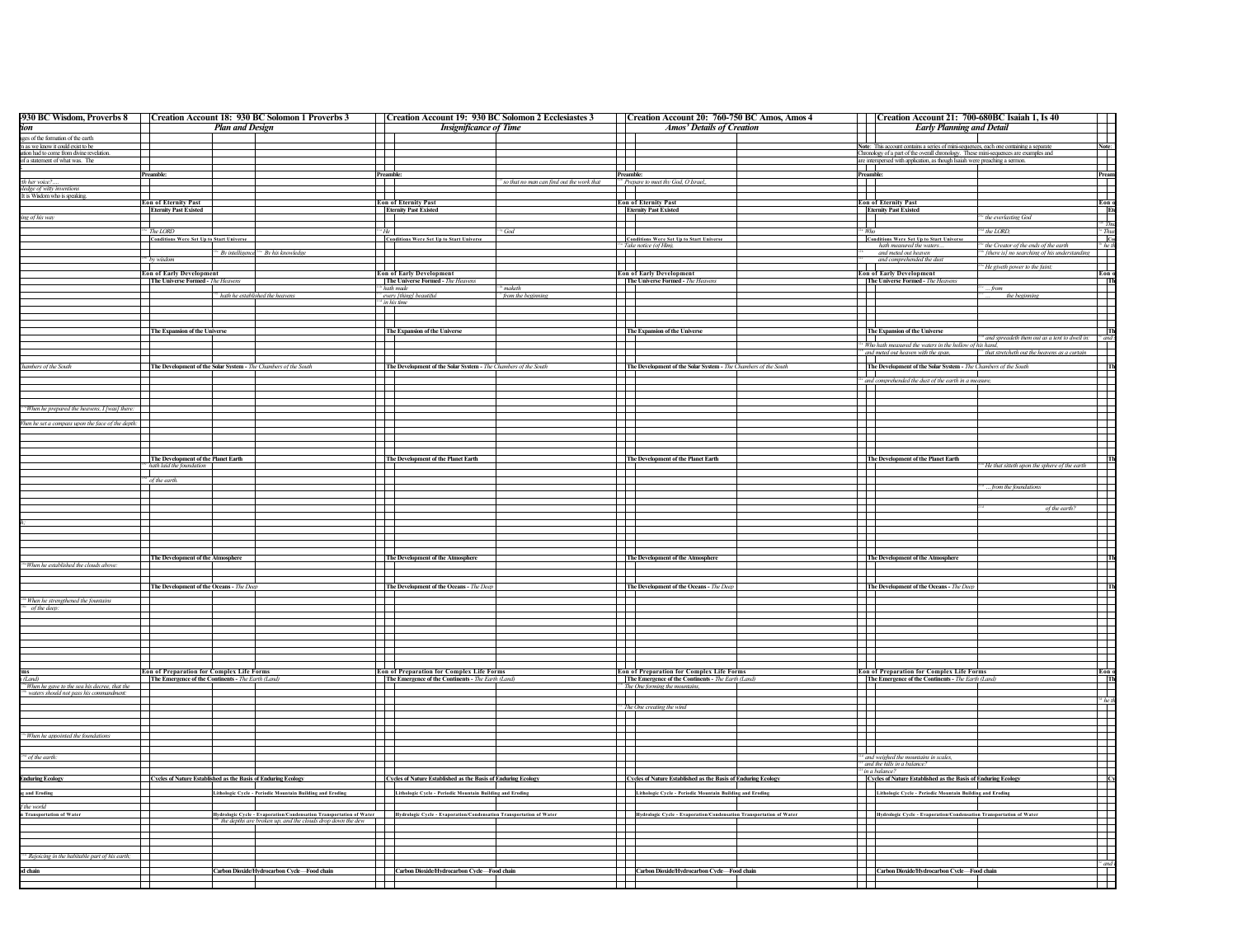| 930 BC Wisdom, Proverbs 8   Creation Account 18: 930 BC Solomon 1 Proverbs 3                             |                                                                 |                        |                                                                                                                                         | Creation Account 19: 930 BC Solomon 2 Ecclesiastes 3            |                                            | Creation Account 20: 760-750 BC Amos, Amos 4                                                               | Creation Account 21: 700-680BC Isaiah 1, Is 40                                                                                                                       |
|----------------------------------------------------------------------------------------------------------|-----------------------------------------------------------------|------------------------|-----------------------------------------------------------------------------------------------------------------------------------------|-----------------------------------------------------------------|--------------------------------------------|------------------------------------------------------------------------------------------------------------|----------------------------------------------------------------------------------------------------------------------------------------------------------------------|
|                                                                                                          |                                                                 | <b>Plan and Design</b> |                                                                                                                                         | <b>Insignificance of Time</b>                                   |                                            | Amos' Details of Creation                                                                                  | <b>Early Planning and Detail</b>                                                                                                                                     |
| es of the formation of the earth                                                                         |                                                                 |                        |                                                                                                                                         |                                                                 |                                            |                                                                                                            |                                                                                                                                                                      |
| n as we know it could exist to be                                                                        |                                                                 |                        |                                                                                                                                         |                                                                 |                                            |                                                                                                            | Note: This account contains a series of mini-sequences, each one containing a separate<br><b>Note</b>                                                                |
| on had to come from divine revelation<br>of a statement of what was. The                                 |                                                                 |                        |                                                                                                                                         |                                                                 |                                            |                                                                                                            | Chronology of a part of the overall chronology. These mini-sequences are examples and<br>are interspersed with application, as though Isaiah were preaching a semon. |
|                                                                                                          |                                                                 |                        | m                                                                                                                                       |                                                                 |                                            | $\mathcal{L}$                                                                                              | .                                                                                                                                                                    |
|                                                                                                          | Preamble                                                        |                        | Preamb                                                                                                                                  |                                                                 |                                            | Preamble:                                                                                                  | Preamble<br>Pres                                                                                                                                                     |
| th her voice?                                                                                            |                                                                 |                        | F                                                                                                                                       |                                                                 | ' so that no man can find out the work tha | <sup>25</sup> Prepare to meet thy God, O Israel,,                                                          | H                                                                                                                                                                    |
| dge of witty inven<br>It is Wisdom who is speaking                                                       |                                                                 |                        |                                                                                                                                         |                                                                 |                                            |                                                                                                            |                                                                                                                                                                      |
|                                                                                                          | <b>Eon of Eternity Past</b>                                     |                        |                                                                                                                                         | <b>Eon of Eternity Past</b>                                     |                                            | <b>Eon of Eternity Past</b>                                                                                | <b>Eon of Eternity Past</b><br>Eon                                                                                                                                   |
|                                                                                                          | <b>Eternity Past Existed</b>                                    |                        |                                                                                                                                         | <b>Eternity Past Existed</b>                                    |                                            | <b>Eternity Past Existed</b>                                                                               | <b>Eternity Past Existed</b>                                                                                                                                         |
| ing of his way                                                                                           |                                                                 |                        |                                                                                                                                         |                                                                 |                                            |                                                                                                            | <sup>5</sup> the everlasting God<br>────────                                                                                                                         |
|                                                                                                          | <sup>134</sup> The LORD                                         |                        |                                                                                                                                         |                                                                 | God                                        |                                                                                                            | `` 1<br>the LORD,                                                                                                                                                    |
|                                                                                                          | <b>Conditions Were Set Up to Start Univer</b>                   |                        |                                                                                                                                         | <b>Conditions Were Set Up to Start Universe</b>                 |                                            | <b>Conditions Were Set Up to Start Universe</b>                                                            | <b>Conditions Were Set Up to Start Universe</b>                                                                                                                      |
|                                                                                                          |                                                                 |                        |                                                                                                                                         |                                                                 |                                            | <sup>13</sup> <sup>2</sup> Take notice (of Him).                                                           | hath measured the waters<br><sup>54</sup> the Creator of the ends of the earth<br><sup>52</sup> [there is] no searching of his understan                             |
|                                                                                                          |                                                                 |                        | <sup>*</sup> By intelligence <sup>200</sup> By his knowledge                                                                            |                                                                 |                                            |                                                                                                            | and meted out heaven                                                                                                                                                 |
|                                                                                                          | <sup>*</sup> by wisdo                                           |                        |                                                                                                                                         |                                                                 |                                            |                                                                                                            | and comprehended the du<br><sup>42</sup> He giveth power to the faint;                                                                                               |
|                                                                                                          | <b>Eon of Early Development</b>                                 |                        |                                                                                                                                         | <b>Eon of Early Development</b>                                 |                                            | <b>Eon of Early Development</b>                                                                            | Eon of Early Development<br>Eon                                                                                                                                      |
|                                                                                                          | The Universe Formed - The Heavens                               |                        |                                                                                                                                         | The Universe Formed - The Heavens                               |                                            | The Universe Formed - The Heaven.                                                                          | The Universe Formed - The Heavens<br>$\overline{\phantom{a}}$                                                                                                        |
|                                                                                                          |                                                                 |                        |                                                                                                                                         | hath made                                                       |                                            |                                                                                                            | from<br>$\mathbf{I}$                                                                                                                                                 |
|                                                                                                          |                                                                 |                        | <sup>197</sup> hath he established the heavens                                                                                          | <sup>114</sup> every [thing] beautiful<br>in his time           | from the beginning                         |                                                                                                            | the beginning                                                                                                                                                        |
|                                                                                                          |                                                                 |                        |                                                                                                                                         |                                                                 |                                            |                                                                                                            | F                                                                                                                                                                    |
|                                                                                                          |                                                                 |                        |                                                                                                                                         |                                                                 |                                            |                                                                                                            |                                                                                                                                                                      |
|                                                                                                          |                                                                 |                        |                                                                                                                                         |                                                                 |                                            |                                                                                                            |                                                                                                                                                                      |
|                                                                                                          | The Expansion of the Universe                                   |                        |                                                                                                                                         | The Expansion of the Universe                                   |                                            | The Expansion of the Universe                                                                              | The Expansion of the Universe<br>224 and spreadeth them out as a tent to dwell in:<br>$\Box$                                                                         |
|                                                                                                          |                                                                 |                        |                                                                                                                                         |                                                                 |                                            | . .                                                                                                        | <sup>124</sup> Who hath measured the waters in the hollow of his hand,                                                                                               |
|                                                                                                          |                                                                 |                        |                                                                                                                                         |                                                                 |                                            |                                                                                                            | <sup>25</sup> and meted out heaven with the span,<br><sup>22c</sup> that stretcheth out the heavens as a curtain                                                     |
|                                                                                                          |                                                                 |                        |                                                                                                                                         |                                                                 |                                            |                                                                                                            |                                                                                                                                                                      |
| mbers of the South                                                                                       | The Development of the Solar System - The Chambers of the South |                        |                                                                                                                                         | The Development of the Solar System - The Chambers of the South |                                            | The Development of the Solar System - The Chambers of the South                                            | The Development of the Solar System - The Chambers of the South                                                                                                      |
|                                                                                                          |                                                                 |                        |                                                                                                                                         |                                                                 |                                            | $\mathbf{I}$                                                                                               |                                                                                                                                                                      |
|                                                                                                          |                                                                 |                        |                                                                                                                                         |                                                                 |                                            |                                                                                                            | $\frac{12a}{12}$ and comprehended the dust of the earth in a measure.                                                                                                |
|                                                                                                          |                                                                 |                        |                                                                                                                                         |                                                                 |                                            |                                                                                                            |                                                                                                                                                                      |
|                                                                                                          |                                                                 |                        |                                                                                                                                         |                                                                 |                                            | ╄╄                                                                                                         | $\Box$                                                                                                                                                               |
| 'When he prepared the heavens, I [was] there:                                                            |                                                                 |                        |                                                                                                                                         |                                                                 |                                            |                                                                                                            | П                                                                                                                                                                    |
| en he set a compass upon the face of the depth:                                                          |                                                                 |                        |                                                                                                                                         |                                                                 |                                            |                                                                                                            | $\Box$                                                                                                                                                               |
|                                                                                                          |                                                                 |                        |                                                                                                                                         |                                                                 |                                            |                                                                                                            | $\mathbf{I}$                                                                                                                                                         |
|                                                                                                          |                                                                 |                        |                                                                                                                                         |                                                                 |                                            |                                                                                                            | $\mathbf{I}$                                                                                                                                                         |
|                                                                                                          |                                                                 |                        |                                                                                                                                         |                                                                 |                                            |                                                                                                            | ┌─┌─                                                                                                                                                                 |
|                                                                                                          | The Development of the Planet Earth                             |                        |                                                                                                                                         | The Development of the Planet Earth                             |                                            | The Development of the Planet Earth                                                                        | The Development of the Planet Earth                                                                                                                                  |
|                                                                                                          | <sup>54</sup> hath laid the foundation                          |                        |                                                                                                                                         |                                                                 |                                            |                                                                                                            | <b>The Street</b><br><sup>24</sup> He that sitteth upon the sphere of the earth                                                                                      |
|                                                                                                          |                                                                 |                        |                                                                                                                                         |                                                                 |                                            |                                                                                                            | F                                                                                                                                                                    |
|                                                                                                          | $\sigma$ of the earth.                                          |                        |                                                                                                                                         |                                                                 |                                            |                                                                                                            | from the foundations<br>1 I I                                                                                                                                        |
|                                                                                                          |                                                                 |                        |                                                                                                                                         |                                                                 |                                            |                                                                                                            |                                                                                                                                                                      |
|                                                                                                          |                                                                 |                        |                                                                                                                                         |                                                                 |                                            | F                                                                                                          | E                                                                                                                                                                    |
|                                                                                                          |                                                                 |                        |                                                                                                                                         |                                                                 |                                            |                                                                                                            | $\mathbf{I}$<br>of the earth?                                                                                                                                        |
|                                                                                                          |                                                                 |                        |                                                                                                                                         |                                                                 |                                            |                                                                                                            | H                                                                                                                                                                    |
|                                                                                                          |                                                                 |                        |                                                                                                                                         |                                                                 |                                            |                                                                                                            |                                                                                                                                                                      |
|                                                                                                          |                                                                 |                        |                                                                                                                                         |                                                                 |                                            |                                                                                                            | F                                                                                                                                                                    |
|                                                                                                          |                                                                 |                        |                                                                                                                                         |                                                                 |                                            |                                                                                                            |                                                                                                                                                                      |
|                                                                                                          |                                                                 |                        |                                                                                                                                         |                                                                 |                                            |                                                                                                            |                                                                                                                                                                      |
| "When he established the clouds above:                                                                   | The Development of the Atmosphere                               |                        |                                                                                                                                         | The Development of the Atmosphere                               |                                            | The Development of the Atmosphere                                                                          | The Development of the Atmosphere                                                                                                                                    |
|                                                                                                          |                                                                 |                        |                                                                                                                                         |                                                                 |                                            |                                                                                                            |                                                                                                                                                                      |
|                                                                                                          |                                                                 |                        |                                                                                                                                         |                                                                 |                                            |                                                                                                            |                                                                                                                                                                      |
|                                                                                                          | The Development of the Oceans - The Dee                         |                        |                                                                                                                                         | The Development of the Oceans - The Deep                        |                                            | The Development of the Oceans - The Deep                                                                   | The Development of the Oceans - The Deep                                                                                                                             |
| "When he strengthened the fountai                                                                        |                                                                 |                        |                                                                                                                                         |                                                                 |                                            |                                                                                                            | 1 I I                                                                                                                                                                |
| of the deep:                                                                                             |                                                                 |                        |                                                                                                                                         |                                                                 |                                            | $\mathbf{I}$                                                                                               | $\mathbf{I}$                                                                                                                                                         |
|                                                                                                          |                                                                 |                        |                                                                                                                                         |                                                                 |                                            | $\Box$                                                                                                     | H                                                                                                                                                                    |
|                                                                                                          |                                                                 |                        |                                                                                                                                         |                                                                 |                                            |                                                                                                            |                                                                                                                                                                      |
|                                                                                                          |                                                                 |                        |                                                                                                                                         |                                                                 |                                            | $\mathbf{I}$                                                                                               | $\Box$                                                                                                                                                               |
|                                                                                                          |                                                                 |                        |                                                                                                                                         |                                                                 |                                            |                                                                                                            |                                                                                                                                                                      |
|                                                                                                          |                                                                 |                        |                                                                                                                                         |                                                                 |                                            | $\mathbf{I}$                                                                                               | F                                                                                                                                                                    |
|                                                                                                          |                                                                 |                        |                                                                                                                                         |                                                                 |                                            |                                                                                                            |                                                                                                                                                                      |
|                                                                                                          | Eon of Preparation for Complex Life Forms                       |                        |                                                                                                                                         | Eon of Preparation for Complex Life Forms                       |                                            | Eon of Preparation for Complex Life Forms                                                                  | Eon of Preparation for Complex Life Forms<br>Eon                                                                                                                     |
|                                                                                                          | The Emergence of the Continents - The Earth (Land)              |                        |                                                                                                                                         | The Emergence of the Continents - The Earth (Land)              |                                            | The Emergence of the Continents - The Earth (Land)                                                         | The Emergence of the Continents - The Earth (Land)                                                                                                                   |
| <sup>14</sup> When he gave to the sea his decree, that the                                               |                                                                 |                        |                                                                                                                                         |                                                                 |                                            | The One forming the mo                                                                                     |                                                                                                                                                                      |
| waters should not pass his comm                                                                          |                                                                 |                        |                                                                                                                                         |                                                                 |                                            | F                                                                                                          | $\overline{\phantom{a}}$                                                                                                                                             |
|                                                                                                          |                                                                 |                        |                                                                                                                                         |                                                                 |                                            |                                                                                                            | $rac{1}{\sqrt{1-\frac{1}{2}}}$                                                                                                                                       |
|                                                                                                          |                                                                 |                        |                                                                                                                                         |                                                                 |                                            | $\frac{1}{10}$ The One creating the wind                                                                   | $\pm$                                                                                                                                                                |
|                                                                                                          |                                                                 |                        |                                                                                                                                         |                                                                 |                                            | $\mathbf{I}$                                                                                               |                                                                                                                                                                      |
|                                                                                                          |                                                                 |                        |                                                                                                                                         |                                                                 |                                            |                                                                                                            | ╟<br>$\overline{\phantom{0}}$                                                                                                                                        |
| "When he appointed the foundation.                                                                       |                                                                 |                        |                                                                                                                                         |                                                                 |                                            |                                                                                                            |                                                                                                                                                                      |
|                                                                                                          |                                                                 |                        |                                                                                                                                         |                                                                 |                                            |                                                                                                            | F                                                                                                                                                                    |
|                                                                                                          |                                                                 |                        |                                                                                                                                         |                                                                 |                                            |                                                                                                            | and weighed the mountains in scales,                                                                                                                                 |
|                                                                                                          |                                                                 |                        |                                                                                                                                         |                                                                 |                                            |                                                                                                            | <sup>124</sup> and the hills in a balanc                                                                                                                             |
|                                                                                                          |                                                                 |                        |                                                                                                                                         |                                                                 |                                            |                                                                                                            |                                                                                                                                                                      |
|                                                                                                          |                                                                 |                        |                                                                                                                                         |                                                                 |                                            |                                                                                                            | <sup>12f</sup> in a balance?                                                                                                                                         |
|                                                                                                          | Cycles of Nature Established as the Basis of Enduring Ecology   |                        |                                                                                                                                         | Cycles of Nature Established as the Basis of Enduring Ecology   |                                            | Cycles of Nature Established as the Basis of Enduring Ecology                                              | Cycles of Nature Established as the Basis of Enduring Ecology                                                                                                        |
|                                                                                                          |                                                                 |                        |                                                                                                                                         |                                                                 |                                            |                                                                                                            |                                                                                                                                                                      |
|                                                                                                          |                                                                 |                        | Lithologic Cycle - Periodic Mountain Building and Eroding                                                                               | Lithologic Cycle - Periodic Mountain Building and Eroding       |                                            | Lithologic Cycle - Periodic Mountain Building and Eroding<br>Lithologic Cycle - Periodic Mountain Building | Lithologic Cycle - Periodic Mountain Building and Eroding                                                                                                            |
|                                                                                                          |                                                                 |                        |                                                                                                                                         |                                                                 |                                            |                                                                                                            |                                                                                                                                                                      |
|                                                                                                          |                                                                 |                        | Hydrologic Cycle - Evaporation/Condensation Transportation of Water Hydrologic Cycle - Evaporation/Condensation Transportation of Water |                                                                 |                                            |                                                                                                            |                                                                                                                                                                      |
| " of the earth:<br><b>Induring Ecology</b><br>and Eroding<br>the world<br><b>Transportation of Water</b> |                                                                 |                        | <sup>146</sup> the depths are broken up, and the clouds drop down the dew                                                               |                                                                 |                                            | Hydrologic Cycle - Evaporation/Condensation Transportation of Water                                        | Hydrologic Cycle - Evaporation/Condensation Transportation of Water                                                                                                  |
|                                                                                                          |                                                                 |                        |                                                                                                                                         |                                                                 |                                            |                                                                                                            |                                                                                                                                                                      |
|                                                                                                          |                                                                 |                        |                                                                                                                                         |                                                                 |                                            |                                                                                                            |                                                                                                                                                                      |
|                                                                                                          |                                                                 |                        |                                                                                                                                         |                                                                 |                                            |                                                                                                            |                                                                                                                                                                      |
|                                                                                                          |                                                                 |                        |                                                                                                                                         |                                                                 |                                            |                                                                                                            |                                                                                                                                                                      |
|                                                                                                          |                                                                 |                        |                                                                                                                                         |                                                                 |                                            |                                                                                                            | <sup>32</sup> and                                                                                                                                                    |
| * Rejoicing in the habitable part of his earth;<br>hain                                                  |                                                                 |                        | Carbon Dioxide/Hydrocarbon Cycle-Food chain                                                                                             | Carbon Dioxide/Hydrocarbon Cycle-Food chair                     |                                            | Carbon Dioxide/Hydrocarbon Cycle-Food chain                                                                | Carbon Dioxide/Hydrocarbon Cycle-Food chain                                                                                                                          |
|                                                                                                          |                                                                 |                        |                                                                                                                                         |                                                                 |                                            |                                                                                                            | ╧                                                                                                                                                                    |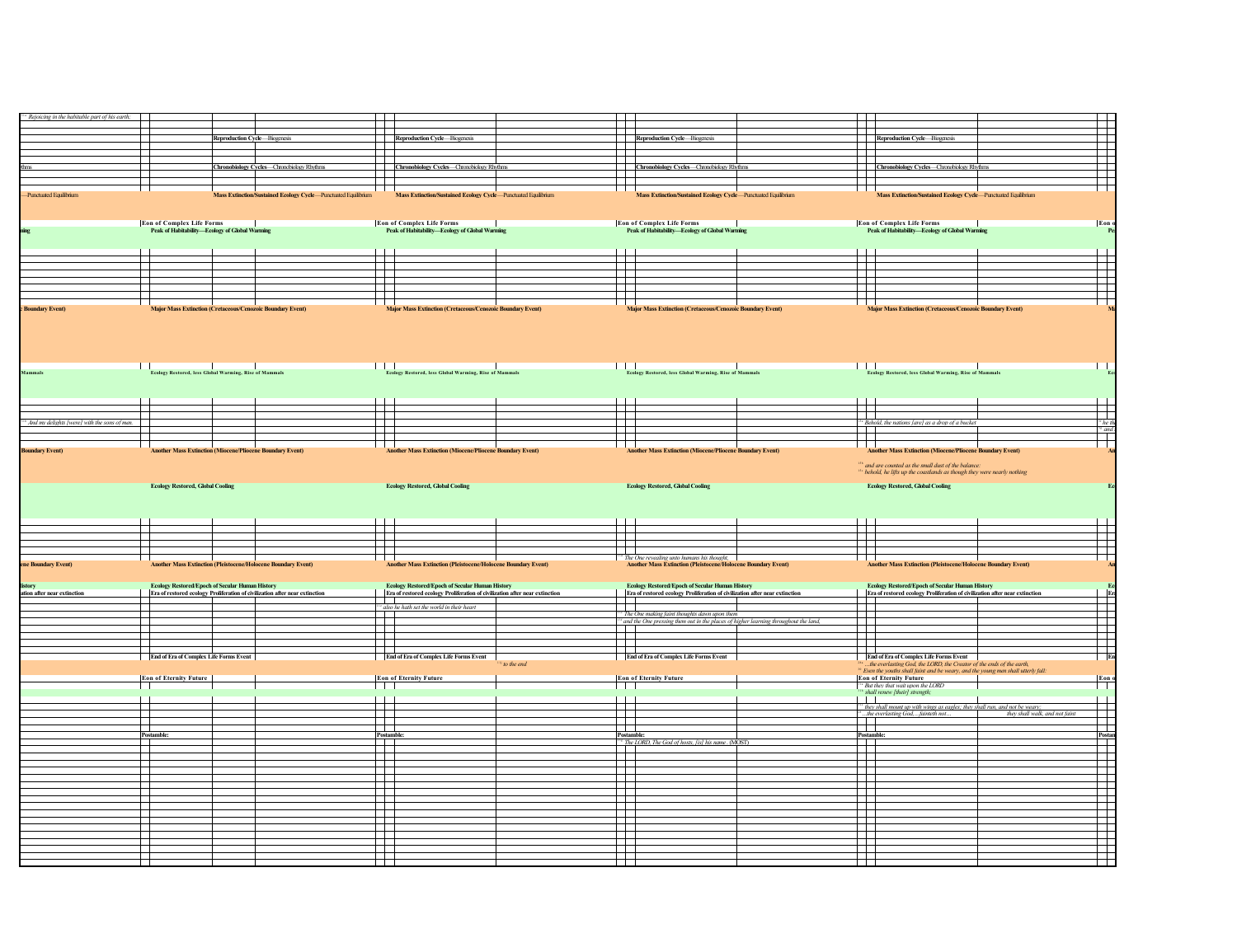| Rejoicing in the habitable part of his earth; |                                                                                        |                                                                                                                                                                                                                                                   |                                                                                                                                 |                                                                                                                                                                                                                                                                                                                                                                                                                                                                                    |                                                                                                                                           |
|-----------------------------------------------|----------------------------------------------------------------------------------------|---------------------------------------------------------------------------------------------------------------------------------------------------------------------------------------------------------------------------------------------------|---------------------------------------------------------------------------------------------------------------------------------|------------------------------------------------------------------------------------------------------------------------------------------------------------------------------------------------------------------------------------------------------------------------------------------------------------------------------------------------------------------------------------------------------------------------------------------------------------------------------------|-------------------------------------------------------------------------------------------------------------------------------------------|
|                                               |                                                                                        | $\!$                                                                                                                                                                                                                                              |                                                                                                                                 | FFI                                                                                                                                                                                                                                                                                                                                                                                                                                                                                |                                                                                                                                           |
|                                               |                                                                                        |                                                                                                                                                                                                                                                   |                                                                                                                                 |                                                                                                                                                                                                                                                                                                                                                                                                                                                                                    |                                                                                                                                           |
|                                               | <b>Reproduction Cycle-Biogenesis</b>                                                   | Reproduction Cycle-Biogenesis                                                                                                                                                                                                                     | Reproduction Cycle-Biogenesis                                                                                                   |                                                                                                                                                                                                                                                                                                                                                                                                                                                                                    | Reproduction Cycle—Biogenesis                                                                                                             |
|                                               |                                                                                        |                                                                                                                                                                                                                                                   |                                                                                                                                 | <b>TELE</b>                                                                                                                                                                                                                                                                                                                                                                                                                                                                        |                                                                                                                                           |
|                                               |                                                                                        |                                                                                                                                                                                                                                                   |                                                                                                                                 |                                                                                                                                                                                                                                                                                                                                                                                                                                                                                    |                                                                                                                                           |
|                                               | Chronobiology Cycles-Chronobiology Rhythms                                             | Chronobiology Cycles-Chronobiology Rhythms                                                                                                                                                                                                        | Chronobiology Cycles-Chronobiology Rhythms                                                                                      |                                                                                                                                                                                                                                                                                                                                                                                                                                                                                    | Chronobiology Cycles-Chronobiology Rhythms                                                                                                |
|                                               |                                                                                        | a a tha an                                                                                                                                                                                                                                        |                                                                                                                                 | Ŧ                                                                                                                                                                                                                                                                                                                                                                                                                                                                                  |                                                                                                                                           |
|                                               |                                                                                        |                                                                                                                                                                                                                                                   |                                                                                                                                 | $\Box$                                                                                                                                                                                                                                                                                                                                                                                                                                                                             |                                                                                                                                           |
| Punctuated Equilibrium                        | ned Ecology Cycle-Punctuated Equi                                                      | Mass Extinction/Sustained Ecology Cycle-Punctuated Equilibrium                                                                                                                                                                                    | Mass Extinction/Sustained Ecology Cycle-Punctuated Equilibrium                                                                  |                                                                                                                                                                                                                                                                                                                                                                                                                                                                                    | Mass Extinction/Sustained Ecology Cycle-Punctuated Equilibrium                                                                            |
|                                               |                                                                                        |                                                                                                                                                                                                                                                   |                                                                                                                                 |                                                                                                                                                                                                                                                                                                                                                                                                                                                                                    |                                                                                                                                           |
|                                               | Eon of Complex Life Forms   <br> -<br>  Peak of Habitability—Ecology of Global Warming | <b>Eon of Complex Life Forms</b><br>Peak of Habitability—Ecology of Global Warning                                                                                                                                                                | Eon of Complex Life Forms<br> -<br>  Peak of Habitability—Ecology of Global Warming                                             |                                                                                                                                                                                                                                                                                                                                                                                                                                                                                    | Eon of Complex Life Forms   <br> -<br>  Peak of Habitability—Ecology of Global Warming                                                    |
|                                               |                                                                                        |                                                                                                                                                                                                                                                   |                                                                                                                                 |                                                                                                                                                                                                                                                                                                                                                                                                                                                                                    |                                                                                                                                           |
|                                               |                                                                                        |                                                                                                                                                                                                                                                   |                                                                                                                                 |                                                                                                                                                                                                                                                                                                                                                                                                                                                                                    |                                                                                                                                           |
|                                               |                                                                                        | $\Box$                                                                                                                                                                                                                                            |                                                                                                                                 | Ш                                                                                                                                                                                                                                                                                                                                                                                                                                                                                  |                                                                                                                                           |
|                                               |                                                                                        |                                                                                                                                                                                                                                                   |                                                                                                                                 |                                                                                                                                                                                                                                                                                                                                                                                                                                                                                    |                                                                                                                                           |
|                                               |                                                                                        |                                                                                                                                                                                                                                                   |                                                                                                                                 |                                                                                                                                                                                                                                                                                                                                                                                                                                                                                    |                                                                                                                                           |
|                                               |                                                                                        |                                                                                                                                                                                                                                                   |                                                                                                                                 |                                                                                                                                                                                                                                                                                                                                                                                                                                                                                    |                                                                                                                                           |
|                                               |                                                                                        |                                                                                                                                                                                                                                                   |                                                                                                                                 |                                                                                                                                                                                                                                                                                                                                                                                                                                                                                    |                                                                                                                                           |
| <b>Indary Event</b> )                         |                                                                                        | ndary Event)                                                                                                                                                                                                                                      |                                                                                                                                 | dary Event                                                                                                                                                                                                                                                                                                                                                                                                                                                                         | <b>Major Mass Extinction (C)</b><br>ndary Event)                                                                                          |
| mmals                                         | <br>  Ecology Restored, less Global Warming, Rise of Mammals                           | $\blacksquare$<br>Ecology Restored, less Global Warming, Rise of Mammals                                                                                                                                                                          | <b>Explorer Contract Control</b><br>Ecology Restored, less Global Warming, Rise of Mammals                                      | <b>TERRIT</b>                                                                                                                                                                                                                                                                                                                                                                                                                                                                      | Ecology Restored, less Global Warming, Rise of Mammals                                                                                    |
|                                               |                                                                                        |                                                                                                                                                                                                                                                   |                                                                                                                                 |                                                                                                                                                                                                                                                                                                                                                                                                                                                                                    |                                                                                                                                           |
|                                               |                                                                                        |                                                                                                                                                                                                                                                   |                                                                                                                                 |                                                                                                                                                                                                                                                                                                                                                                                                                                                                                    |                                                                                                                                           |
|                                               |                                                                                        | ╘                                                                                                                                                                                                                                                 |                                                                                                                                 | H                                                                                                                                                                                                                                                                                                                                                                                                                                                                                  |                                                                                                                                           |
| And my delights [were] with the sons of men.  |                                                                                        |                                                                                                                                                                                                                                                   |                                                                                                                                 |                                                                                                                                                                                                                                                                                                                                                                                                                                                                                    | <sup>154</sup> Behold, the nations [are] as a drop of a bucket                                                                            |
|                                               |                                                                                        | F                                                                                                                                                                                                                                                 |                                                                                                                                 | Ħ                                                                                                                                                                                                                                                                                                                                                                                                                                                                                  |                                                                                                                                           |
|                                               |                                                                                        |                                                                                                                                                                                                                                                   |                                                                                                                                 |                                                                                                                                                                                                                                                                                                                                                                                                                                                                                    |                                                                                                                                           |
| <b>Indary Event</b> )                         | er Mass Ext<br>on (Mi<br>dary Event)                                                   | cene Boundary Event)<br>Mass Extinction (Miocene/Pli                                                                                                                                                                                              | her Mass Extinction (Miocene/Pliocene Boundary Event)                                                                           |                                                                                                                                                                                                                                                                                                                                                                                                                                                                                    | <b>Another Mass Extinction (Miocene/Pliocene Boundary Event)</b>                                                                          |
|                                               |                                                                                        |                                                                                                                                                                                                                                                   |                                                                                                                                 |                                                                                                                                                                                                                                                                                                                                                                                                                                                                                    | <sup>153</sup> and are counted as the small dust of the balance:<br>behold, he lifts up the coastlands as though they were nearly nothing |
|                                               | <b>Ecology Restored, Global Cooling</b>                                                | <b>Ecology Restored, Global Cooling</b>                                                                                                                                                                                                           | <b>Ecology Restored, Global Cooling</b>                                                                                         |                                                                                                                                                                                                                                                                                                                                                                                                                                                                                    | <b>Ecology Restored, Global Cooling</b>                                                                                                   |
| <b>Boundary Event)</b>                        | Another Mass Extinction (Pleistocene/Holocene Boundary Event)                          | F<br><b>Another Mass Extinction (Pleistocene/Holocene Boundary Event)</b>                                                                                                                                                                         | <sup>4</sup> The One revealing unto humans his thought,<br><b>Another Mass Extinction (Pleistocene/Holocene Boundary Event)</b> | 丗<br>$\Box^-$<br>┯                                                                                                                                                                                                                                                                                                                                                                                                                                                                 | <b>Another Mass Extinction (Pleistocene/Holocene Boundary Event)</b>                                                                      |
|                                               | <b>Ecology Restored/Epoch of Secular Human History</b>                                 | <b>Ecology Restored/Epoch of Secular Human History</b>                                                                                                                                                                                            | <b>Ecology Restored/Epoch of Secular Human History</b>                                                                          |                                                                                                                                                                                                                                                                                                                                                                                                                                                                                    | <b>Ecology Restored/Epoch of Secular Human History</b>                                                                                    |
| ation after near extinction                   | Era of restored ecology Proliferation of civilization after near extinction            | Era of restored ecology Proliferation of civilization after near extinction                                                                                                                                                                       | Era of restored ecology Proliferation of civilization after near extinction                                                     |                                                                                                                                                                                                                                                                                                                                                                                                                                                                                    | Era of restored ecology Proliferation of civilization after near extinction                                                               |
|                                               |                                                                                        | .                                                                                                                                                                                                                                                 |                                                                                                                                 | $\overline{\phantom{0}}$                                                                                                                                                                                                                                                                                                                                                                                                                                                           |                                                                                                                                           |
|                                               |                                                                                        | <sup>114</sup> also he hath set the world in their heart                                                                                                                                                                                          | <sup>134</sup> The One making faint thoughts dawn upon them                                                                     | $\Box$                                                                                                                                                                                                                                                                                                                                                                                                                                                                             |                                                                                                                                           |
|                                               |                                                                                        |                                                                                                                                                                                                                                                   | <sup>134</sup> and the One pressing them out in the places of higher learning throughout the land,                              |                                                                                                                                                                                                                                                                                                                                                                                                                                                                                    |                                                                                                                                           |
|                                               |                                                                                        |                                                                                                                                                                                                                                                   |                                                                                                                                 |                                                                                                                                                                                                                                                                                                                                                                                                                                                                                    |                                                                                                                                           |
|                                               |                                                                                        |                                                                                                                                                                                                                                                   |                                                                                                                                 | H                                                                                                                                                                                                                                                                                                                                                                                                                                                                                  |                                                                                                                                           |
|                                               | <b>End of Era of Complex Life Forms Event</b>                                          | 畢<br><b>End of Era of Complex Life Forms Event</b><br>to the end                                                                                                                                                                                  | <b>End of Era of Complex Life Forms Event</b>                                                                                   |                                                                                                                                                                                                                                                                                                                                                                                                                                                                                    | <b>End of Era of Complex Life Forms Event</b><br>the everlasting God, the LORD, the Creator of the ends of the earth,                     |
|                                               |                                                                                        |                                                                                                                                                                                                                                                   |                                                                                                                                 |                                                                                                                                                                                                                                                                                                                                                                                                                                                                                    | <sup>38</sup> Even the youths shall faint and be weary, and the young men shall utterly fall:                                             |
|                                               | <b>Eon of Eternity Future</b>                                                          | <b>Eon of Eternity Future</b>                                                                                                                                                                                                                     | <b>Eon of Eternity Future</b>                                                                                                   |                                                                                                                                                                                                                                                                                                                                                                                                                                                                                    |                                                                                                                                           |
|                                               |                                                                                        | $\Box$<br>ГП                                                                                                                                                                                                                                      |                                                                                                                                 |                                                                                                                                                                                                                                                                                                                                                                                                                                                                                    | Eon of Eternity Future<br><sup>314</sup> But they that wait upon the LORD<br>shall renew [their] strength;                                |
|                                               |                                                                                        | <b>ITT</b>                                                                                                                                                                                                                                        |                                                                                                                                 | ПT                                                                                                                                                                                                                                                                                                                                                                                                                                                                                 |                                                                                                                                           |
|                                               |                                                                                        |                                                                                                                                                                                                                                                   |                                                                                                                                 |                                                                                                                                                                                                                                                                                                                                                                                                                                                                                    | <sup>314</sup> they shall mount up with wings as eagles; they shall run, and not be weary;<br>they shall walk, and not faint              |
|                                               |                                                                                        |                                                                                                                                                                                                                                                   |                                                                                                                                 |                                                                                                                                                                                                                                                                                                                                                                                                                                                                                    |                                                                                                                                           |
|                                               | Postamble                                                                              | $\overline{\phantom{0}}$                                                                                                                                                                                                                          |                                                                                                                                 |                                                                                                                                                                                                                                                                                                                                                                                                                                                                                    | <sup>23</sup> the everlasting God, fainteth not                                                                                           |
|                                               |                                                                                        |                                                                                                                                                                                                                                                   | Postamble:<br><sup>13g</sup> The LORD, The God of hosts, [is] his name . (MOST)                                                 |                                                                                                                                                                                                                                                                                                                                                                                                                                                                                    |                                                                                                                                           |
|                                               |                                                                                        |                                                                                                                                                                                                                                                   |                                                                                                                                 |                                                                                                                                                                                                                                                                                                                                                                                                                                                                                    |                                                                                                                                           |
|                                               |                                                                                        | Postamble:<br>and the contract of the contract of the contract of the contract of the contract of the contract of the contract of the contract of the contract of the contract of the contract of the contract of the contract o<br>and the state |                                                                                                                                 |                                                                                                                                                                                                                                                                                                                                                                                                                                                                                    |                                                                                                                                           |
|                                               |                                                                                        |                                                                                                                                                                                                                                                   |                                                                                                                                 |                                                                                                                                                                                                                                                                                                                                                                                                                                                                                    |                                                                                                                                           |
|                                               |                                                                                        | $\Box$                                                                                                                                                                                                                                            |                                                                                                                                 | $\begin{tabular}{ c c } \hline \multicolumn{3}{ c }{Postamble:} \hline \multicolumn{3}{ c }{\textbf{\textit{Postamble}}} \hline \multicolumn{3}{ c }{\textbf{\textit{}}}} \multicolumn{3}{ c }{\textbf{\textit{}}}} \multicolumn{3}{ c }{\textbf{\textit{}}}} \multicolumn{3}{ c }{\textbf{\textit{}}}} \multicolumn{3}{ c }{\textbf{\textit{}}}} \multicolumn{3}{ c }{\textbf{\textit{}}}} \multicolumn{3}{ c }{\textbf{\textit{}}}} \multicolumn{3}{ c }{\textbf{\textit{}}}} \$ |                                                                                                                                           |
|                                               |                                                                                        |                                                                                                                                                                                                                                                   |                                                                                                                                 |                                                                                                                                                                                                                                                                                                                                                                                                                                                                                    |                                                                                                                                           |
|                                               |                                                                                        |                                                                                                                                                                                                                                                   |                                                                                                                                 |                                                                                                                                                                                                                                                                                                                                                                                                                                                                                    |                                                                                                                                           |
|                                               |                                                                                        | $\mathbb{H}$                                                                                                                                                                                                                                      |                                                                                                                                 |                                                                                                                                                                                                                                                                                                                                                                                                                                                                                    |                                                                                                                                           |
|                                               |                                                                                        |                                                                                                                                                                                                                                                   |                                                                                                                                 |                                                                                                                                                                                                                                                                                                                                                                                                                                                                                    |                                                                                                                                           |
|                                               |                                                                                        | T                                                                                                                                                                                                                                                 |                                                                                                                                 |                                                                                                                                                                                                                                                                                                                                                                                                                                                                                    |                                                                                                                                           |
|                                               |                                                                                        |                                                                                                                                                                                                                                                   |                                                                                                                                 |                                                                                                                                                                                                                                                                                                                                                                                                                                                                                    |                                                                                                                                           |
|                                               |                                                                                        | $\mathbb H$<br>m                                                                                                                                                                                                                                  |                                                                                                                                 | $\frac{1}{\sqrt{2}}$                                                                                                                                                                                                                                                                                                                                                                                                                                                               |                                                                                                                                           |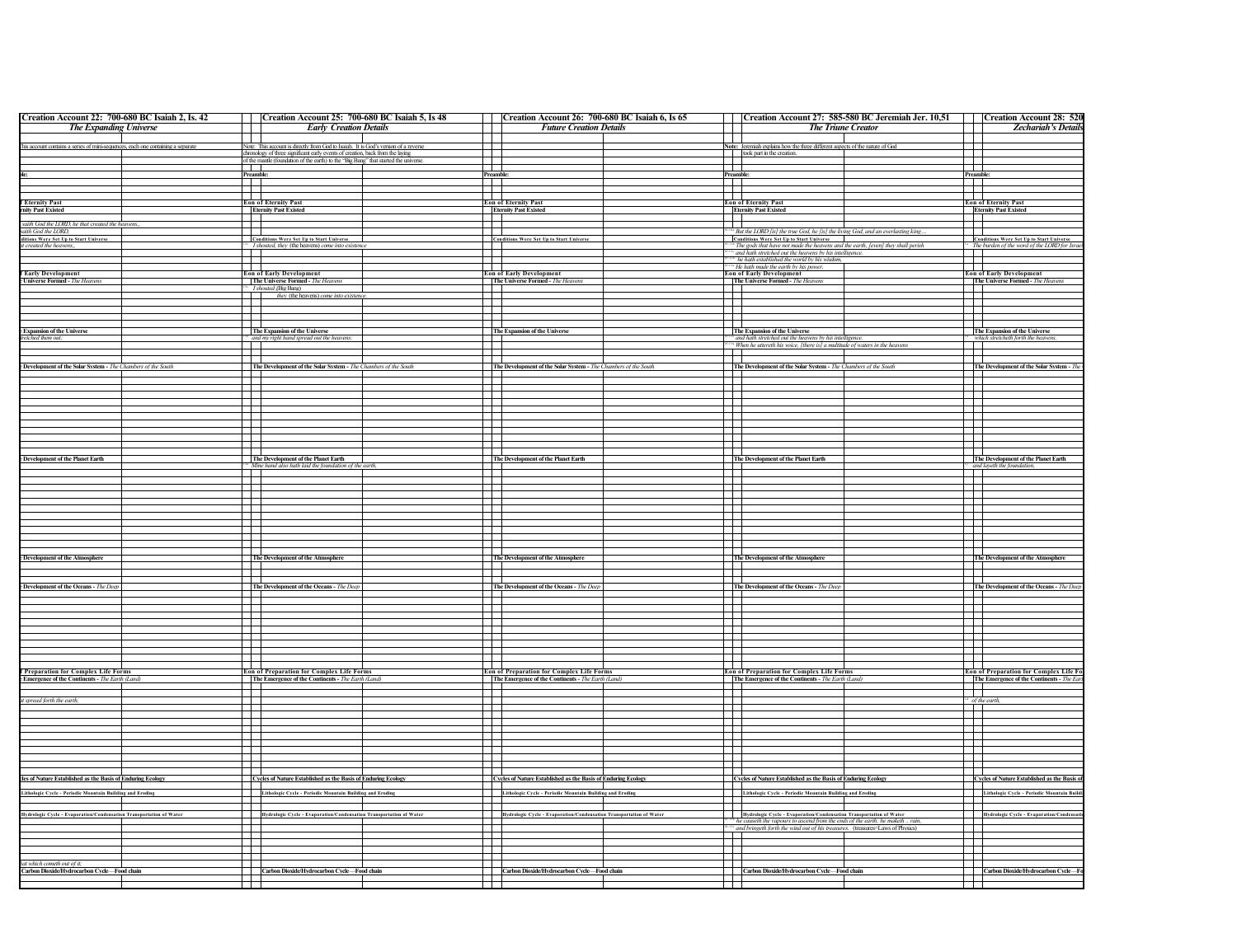| Creation Account 22: 700-680 BC Isaiah 2, Is. 42                                 |                          | Creation Account 25: 700-680 BC Isaiah 5, Is 48                                      |                          | Creation Account 26: 700-680 BC Isaiah 6, Is 65                     |           | Creation Account 27: 585-580 BC Jeremiah Jer. 10,51                                                                                             | <b>Creation Account 28: 520</b>                                                                              |
|----------------------------------------------------------------------------------|--------------------------|--------------------------------------------------------------------------------------|--------------------------|---------------------------------------------------------------------|-----------|-------------------------------------------------------------------------------------------------------------------------------------------------|--------------------------------------------------------------------------------------------------------------|
| <b>The Expanding Universe</b>                                                    |                          | <b>Early Creation Details</b>                                                        | $\mathbf{I}$             | <b>Future Creation Details</b>                                      |           | <b>The Triune Creator</b>                                                                                                                       | <b>Zechariah's Details</b>                                                                                   |
|                                                                                  |                          |                                                                                      |                          |                                                                     |           |                                                                                                                                                 |                                                                                                              |
| This account contains a series of mini-sequences, each one containing a separate |                          | Note: This account is directly from God to Isaiah. It is God's version of a reverse  | $\mathbf{I}$             |                                                                     |           | Note: Jeremiah explains how the three different aspects of the nature of God<br>I I                                                             |                                                                                                              |
|                                                                                  |                          | chronology of three significant early events of creation, back from the laying       |                          |                                                                     |           | took part in the creation.                                                                                                                      |                                                                                                              |
|                                                                                  | $\overline{\phantom{a}}$ | of the mantle (foundation of the earth) to the "Big Bang" that started the universe. | Ŧ                        |                                                                     | ┯         |                                                                                                                                                 | Ŧ                                                                                                            |
|                                                                                  | Preamble:                |                                                                                      |                          |                                                                     |           |                                                                                                                                                 | Preamble                                                                                                     |
|                                                                                  | $+\!$                    |                                                                                      | <b>Preamble</b>          |                                                                     | Preamble: |                                                                                                                                                 | $\sim$                                                                                                       |
|                                                                                  |                          |                                                                                      |                          |                                                                     |           |                                                                                                                                                 |                                                                                                              |
| <b>Eternity Past</b>                                                             |                          | <b>Eon of Eternity Past</b>                                                          |                          | <b>Eon of Eternity Past</b>                                         |           | <b>Eon of Eternity Past</b>                                                                                                                     | <b>Eon of Eternity Past</b>                                                                                  |
| mity Past Existed                                                                |                          | <b>Eternity Past Existed</b>                                                         |                          | <b>Eternity Past Existed</b>                                        |           | <b>Eternity Past Existed</b>                                                                                                                    | <b>Eternity Past Existed</b>                                                                                 |
|                                                                                  |                          |                                                                                      |                          |                                                                     |           |                                                                                                                                                 |                                                                                                              |
| saith God the LORD, he that created the heavens,,                                |                          |                                                                                      |                          |                                                                     |           |                                                                                                                                                 |                                                                                                              |
| saith God the LORD.<br>ditions Were Set Up to Start Universe                     |                          | <b>Conditions Were Set Up to Start Universe</b>                                      |                          | <b>Conditions Were Set Up to Start Universe</b>                     |           | <sup>*</sup> But the LORD [is] the true God, he [is] the living God, and an everlasting king<br><b>Conditions Were Set Up to Start Universe</b> |                                                                                                              |
| created the heave                                                                |                          | I shouted, they (the heavens) come into exis                                         |                          |                                                                     |           | The gods that have not made the heavens and the earth, [even] they shall perish                                                                 | <b>Conditions Were Set Up to Start Universe</b><br><sup>*</sup> The burden of the word of the LORD for Israe |
|                                                                                  |                          |                                                                                      |                          |                                                                     |           | and hath stretched out the heavens by his intelligence.                                                                                         |                                                                                                              |
|                                                                                  |                          |                                                                                      | $\mathbb{R}$             |                                                                     |           | he hath established the world by his wisdom,                                                                                                    |                                                                                                              |
| <b>f Early Development</b>                                                       |                          | <b>Eon of Early Development</b>                                                      | ┱                        | <b>Eon of Early Development</b>                                     |           | <sup>2</sup> He hath made the earth by his power,<br>Eon of Early Development                                                                   | <b>Eon of Early Development</b>                                                                              |
| <b>Universe Formed - The Heavens</b>                                             |                          | The Universe Formed - The Heavens                                                    |                          | The Universe Formed - The Heaven.                                   |           | The Universe Formed - The Heavens                                                                                                               | The Universe Formed - The Heavens                                                                            |
|                                                                                  |                          |                                                                                      |                          |                                                                     |           |                                                                                                                                                 |                                                                                                              |
|                                                                                  |                          | <i>I shouted</i> (Big Bang)<br><i>they</i> (the heavens) <i>come into existence</i>  | $\overline{\phantom{a}}$ |                                                                     |           |                                                                                                                                                 |                                                                                                              |
|                                                                                  |                          |                                                                                      |                          |                                                                     |           |                                                                                                                                                 |                                                                                                              |
|                                                                                  |                          |                                                                                      | $\mathbf{I}$             |                                                                     |           |                                                                                                                                                 |                                                                                                              |
|                                                                                  |                          |                                                                                      |                          |                                                                     |           |                                                                                                                                                 |                                                                                                              |
| <b>Expansion of the Universe</b>                                                 |                          | The Expansion of the Universe                                                        |                          | The Expansion of the Universe                                       |           | The Expansion of the Universe                                                                                                                   | The Expansion of the Universe                                                                                |
| retched them out:                                                                |                          | and my right hand spread out the heavens                                             | $\overline{\phantom{a}}$ |                                                                     |           | <sup>24</sup> and hath stretched out the heavens by his intelligence                                                                            | which stretcheth forth the heavens.                                                                          |
|                                                                                  |                          |                                                                                      |                          |                                                                     |           | <sup>*</sup> When he uttereth his voice, [there is] a multitude of waters in the heavens                                                        |                                                                                                              |
|                                                                                  |                          |                                                                                      |                          |                                                                     |           | $\blacksquare$                                                                                                                                  |                                                                                                              |
| Development of the Solar System - The Chambers of the South                      |                          | The Development of the Solar System - The Chambers of the South                      |                          | The Development of the Solar System - The Chambers of the South     |           | The Development of the Solar System - The Chambers of the South                                                                                 | The Development of the Solar System - The                                                                    |
|                                                                                  |                          |                                                                                      | $\mathbb{R}$             |                                                                     |           | $\mathbf{I}$                                                                                                                                    |                                                                                                              |
|                                                                                  |                          |                                                                                      |                          |                                                                     |           | П                                                                                                                                               |                                                                                                              |
|                                                                                  |                          |                                                                                      | $\overline{\phantom{0}}$ |                                                                     |           | $\mathbf{I}$                                                                                                                                    |                                                                                                              |
|                                                                                  |                          |                                                                                      | $\mathbf{I}$             |                                                                     |           |                                                                                                                                                 |                                                                                                              |
|                                                                                  |                          |                                                                                      | F                        |                                                                     |           |                                                                                                                                                 |                                                                                                              |
|                                                                                  |                          |                                                                                      |                          |                                                                     |           | Т                                                                                                                                               |                                                                                                              |
|                                                                                  |                          |                                                                                      |                          |                                                                     |           |                                                                                                                                                 |                                                                                                              |
|                                                                                  |                          |                                                                                      | $\overline{\phantom{a}}$ |                                                                     |           |                                                                                                                                                 |                                                                                                              |
|                                                                                  |                          |                                                                                      |                          |                                                                     |           |                                                                                                                                                 |                                                                                                              |
|                                                                                  |                          |                                                                                      |                          | The Development of the Planet Earth                                 |           |                                                                                                                                                 |                                                                                                              |
| <b>Development of the Planet Earth</b>                                           |                          | The Development of the Planet Earth                                                  |                          |                                                                     |           | The Development of the Planet Earth                                                                                                             | The Development of the Planet Earth<br>and layeth the foundation.                                            |
|                                                                                  |                          | Mine hand also hath laid the foundation of the earth,                                | $\mathbf{I}$             |                                                                     |           |                                                                                                                                                 |                                                                                                              |
|                                                                                  |                          |                                                                                      |                          |                                                                     |           |                                                                                                                                                 |                                                                                                              |
|                                                                                  |                          |                                                                                      | $\mathcal{L}$            |                                                                     |           |                                                                                                                                                 |                                                                                                              |
|                                                                                  |                          |                                                                                      | Ŧ                        |                                                                     |           | $\Box$                                                                                                                                          |                                                                                                              |
|                                                                                  |                          |                                                                                      |                          |                                                                     |           |                                                                                                                                                 |                                                                                                              |
|                                                                                  |                          |                                                                                      | T                        |                                                                     |           |                                                                                                                                                 |                                                                                                              |
|                                                                                  |                          |                                                                                      | a Tinggi                 |                                                                     |           |                                                                                                                                                 |                                                                                                              |
|                                                                                  |                          |                                                                                      | $\sim$                   |                                                                     |           | $\Box$                                                                                                                                          |                                                                                                              |
|                                                                                  |                          |                                                                                      |                          |                                                                     |           |                                                                                                                                                 |                                                                                                              |
|                                                                                  |                          |                                                                                      |                          |                                                                     |           |                                                                                                                                                 |                                                                                                              |
| <b>Development of the Atmosphere</b>                                             |                          | The Development of the Atmosphere                                                    |                          | The Development of the Atmosphere                                   |           | The Development of the Atmosphere                                                                                                               | The Development of the Atmosphere                                                                            |
|                                                                                  |                          |                                                                                      | $\mathbf{I}$             |                                                                     |           |                                                                                                                                                 | $\overline{\phantom{a}}$                                                                                     |
|                                                                                  |                          |                                                                                      |                          |                                                                     |           |                                                                                                                                                 |                                                                                                              |
|                                                                                  |                          |                                                                                      |                          |                                                                     |           |                                                                                                                                                 |                                                                                                              |
| <b>Development of the Oceans</b> - The Deep                                      |                          | The Development of the Oceans - The Deep                                             |                          | The Development of the Oceans - The Deep                            |           | The Development of the Oceans - The Deep                                                                                                        | The Development of the Oceans - The Deep                                                                     |
|                                                                                  |                          |                                                                                      |                          |                                                                     |           |                                                                                                                                                 |                                                                                                              |
|                                                                                  |                          |                                                                                      | $\Box$                   |                                                                     |           | $\Box$                                                                                                                                          |                                                                                                              |
|                                                                                  |                          |                                                                                      |                          |                                                                     |           |                                                                                                                                                 |                                                                                                              |
|                                                                                  | $\blacksquare$           |                                                                                      | $\overline{\phantom{a}}$ |                                                                     |           | $\mathbf{L}$                                                                                                                                    |                                                                                                              |
|                                                                                  |                          |                                                                                      | Ŧ                        |                                                                     |           |                                                                                                                                                 |                                                                                                              |
|                                                                                  |                          |                                                                                      | $\overline{\phantom{a}}$ |                                                                     |           |                                                                                                                                                 |                                                                                                              |
|                                                                                  |                          |                                                                                      |                          |                                                                     |           |                                                                                                                                                 |                                                                                                              |
|                                                                                  |                          |                                                                                      |                          |                                                                     |           |                                                                                                                                                 |                                                                                                              |
| f Preparation for Complex Life Forms                                             |                          | <b>Eon of Preparation for Complex Life Forms</b>                                     |                          | <b>Eon of Preparation for Complex Life Forms</b>                    |           | <b>Eon of Preparation for Complex Life Forms</b>                                                                                                | Eon of Preparation for Complex Life Fo                                                                       |
| Emergence of the Continents - The Earth (Land)                                   |                          | The Emergence of the Continents - The Earth (Land)                                   |                          | The Emergence of the Continents - The Earth (Land)                  |           | The Emergence of the Continents - The Earth (Land)                                                                                              | The Emergence of the Continents - The East                                                                   |
|                                                                                  |                          |                                                                                      |                          |                                                                     |           |                                                                                                                                                 | F                                                                                                            |
|                                                                                  |                          |                                                                                      |                          |                                                                     |           |                                                                                                                                                 |                                                                                                              |
| t spread forth the earth                                                         |                          |                                                                                      | $\Box$                   |                                                                     |           |                                                                                                                                                 | $\frac{1}{2}$ of the earth                                                                                   |
|                                                                                  |                          |                                                                                      | $\mathbf{L}$             |                                                                     |           | $\blacksquare$                                                                                                                                  |                                                                                                              |
|                                                                                  |                          |                                                                                      |                          |                                                                     |           | 丑                                                                                                                                               |                                                                                                              |
|                                                                                  |                          |                                                                                      | $\Box$                   |                                                                     |           |                                                                                                                                                 |                                                                                                              |
|                                                                                  |                          |                                                                                      | $\Box$                   |                                                                     |           |                                                                                                                                                 |                                                                                                              |
|                                                                                  | $\blacksquare$           |                                                                                      |                          |                                                                     |           | $\mathbf{1}$                                                                                                                                    |                                                                                                              |
|                                                                                  |                          |                                                                                      |                          |                                                                     |           |                                                                                                                                                 |                                                                                                              |
|                                                                                  |                          |                                                                                      | $\overline{\phantom{a}}$ |                                                                     |           | $\mathsf{I}$                                                                                                                                    |                                                                                                              |
|                                                                                  |                          |                                                                                      |                          |                                                                     |           |                                                                                                                                                 |                                                                                                              |
| cles of Nature Established as the Basis of Enduring Ecology                      |                          | Cycles of Nature Established as the Basis of Enduring Ecology                        |                          | Cycles of Nature Established as the Basis of Enduring Ecology       |           | Cycles of Nature Established as the Basis of Enduring Ecology                                                                                   | Cycles of Nature Established as the Basis of<br>Lithologic Cycle - Periodic Mountain Build                   |
|                                                                                  |                          |                                                                                      |                          |                                                                     |           |                                                                                                                                                 |                                                                                                              |
| Lithologic Cycle - Periodic Mountain Building and Eroding                        |                          | Lithologic Cycle - Periodic Mountain Building and Eroding                            |                          | Lithologic Cycle - Periodic Mountain Building and Eroding           |           | Lithologic Cycle - Periodic Mountain Building and Eroding                                                                                       |                                                                                                              |
|                                                                                  |                          |                                                                                      |                          |                                                                     |           |                                                                                                                                                 |                                                                                                              |
| Hydrologic Cycle - Evaporation/Condensation Transportation of Water              |                          | Hydrologic Cycle - Evaporation/Condensation Transportation of Water                  |                          | Hydrologic Cycle - Evaporation/Condensation Transportation of Water |           | Hydrologic Cycle - Evaporation/Condensation Transportation of Water                                                                             | Hydrologic Cycle - Evaporation/Condens                                                                       |
|                                                                                  |                          |                                                                                      | $\mathbf{r}$             |                                                                     |           | the causeth the vapours to ascend from the ends of the earth; he maketh rain,<br>$\mathbf{1}$                                                   |                                                                                                              |
|                                                                                  |                          |                                                                                      |                          |                                                                     |           | and bringeth forth the wind out of his treasures. (treasures=Laws of Physics)                                                                   |                                                                                                              |
|                                                                                  |                          |                                                                                      | $\mathbf{I}$<br>m        |                                                                     |           |                                                                                                                                                 |                                                                                                              |
|                                                                                  |                          |                                                                                      |                          |                                                                     |           |                                                                                                                                                 |                                                                                                              |
|                                                                                  |                          |                                                                                      |                          |                                                                     |           |                                                                                                                                                 |                                                                                                              |
| at which cometh out of it:                                                       |                          |                                                                                      |                          |                                                                     |           |                                                                                                                                                 |                                                                                                              |
| Carbon Dioxide/Hydrocarbon Cycle-Food chain                                      |                          | Carbon Dioxide/Hydrocarbon Cycle-Food chain                                          |                          | Carbon Dioxide/Hydrocarbon Cycle-Food chain                         |           | Carbon Dioxide/Hydrocarbon Cycle-Food chain                                                                                                     | Carbon Dioxide/Hydrocarbon Cycle-F                                                                           |
|                                                                                  | $^{\rm +}$               |                                                                                      | ┽┥                       |                                                                     |           | ┿┿                                                                                                                                              |                                                                                                              |
|                                                                                  |                          |                                                                                      |                          |                                                                     |           |                                                                                                                                                 |                                                                                                              |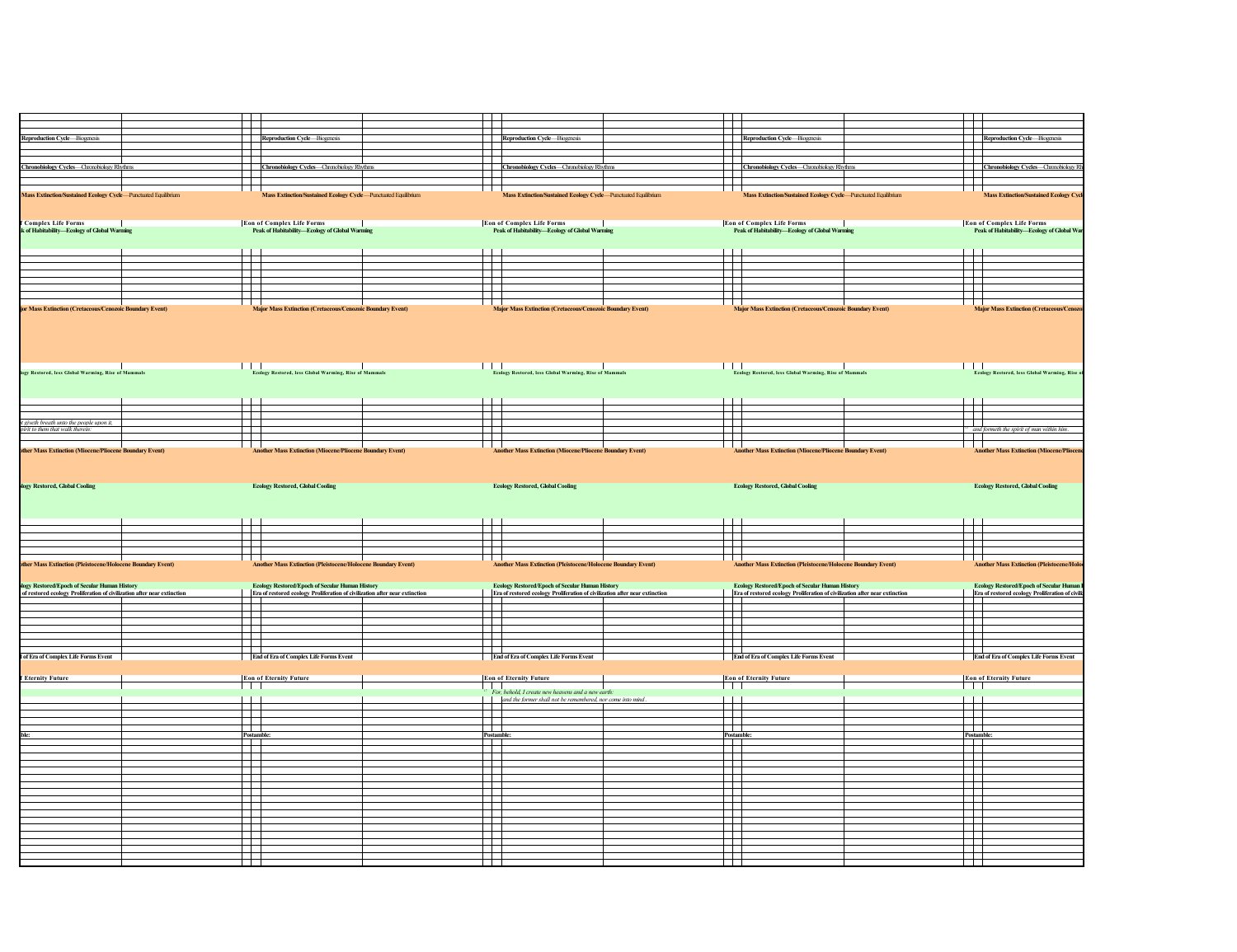|                                                                                                                                                                                                                                                        |                                                                                                                                                | $\mathbf{I}$<br>$\mathcal{L}$                                                                                                  | $\mathbf{r}$<br>┱                                                   |                                                                                                                                       | T           |                                                                                            |
|--------------------------------------------------------------------------------------------------------------------------------------------------------------------------------------------------------------------------------------------------------|------------------------------------------------------------------------------------------------------------------------------------------------|--------------------------------------------------------------------------------------------------------------------------------|---------------------------------------------------------------------|---------------------------------------------------------------------------------------------------------------------------------------|-------------|--------------------------------------------------------------------------------------------|
| Reproduction Cycle-Biogenesis                                                                                                                                                                                                                          | Reproduction Cycle-Biogenesis                                                                                                                  | Reproduction Cycle-Biogenesis                                                                                                  |                                                                     | Reproduction Cycle-Biogenesis                                                                                                         |             | Reproduction Cycle-Biogenesis                                                              |
|                                                                                                                                                                                                                                                        |                                                                                                                                                |                                                                                                                                |                                                                     |                                                                                                                                       |             |                                                                                            |
|                                                                                                                                                                                                                                                        |                                                                                                                                                |                                                                                                                                |                                                                     |                                                                                                                                       | H           |                                                                                            |
| Chronobiology Cycles-Chronobiology Rhythms                                                                                                                                                                                                             | Chronobiology Cycles-Chronobiology Rhythms<br>$\mathcal{L}$                                                                                    | Chronobiology Cycles-Chronobiology Rhythms<br>$\Box$                                                                           |                                                                     | Chronobiology Cycles-Chronobiology Rhythms                                                                                            |             | <b>Chronobiology Cycles—Chronobiology RM</b>                                               |
|                                                                                                                                                                                                                                                        |                                                                                                                                                | Т                                                                                                                              |                                                                     |                                                                                                                                       |             |                                                                                            |
| Mass Extinction/Sustained Ecology Cycle-Punctuated Equilibrium                                                                                                                                                                                         | $\Box$<br>Mass Extinction/Sustained Ecology Cycle-Punctuated Equilibrium                                                                       | T                                                                                                                              | П<br>Mass Extinction/Sustained Ecology Cycle-Punctuated Equilibrium | Mass Extinction/Sustained Ecology Cycle-Punctuated Equilibrium                                                                        | $\Box$      | <b>Mass Extinction/Sustained Ecology Cy</b>                                                |
|                                                                                                                                                                                                                                                        |                                                                                                                                                |                                                                                                                                |                                                                     |                                                                                                                                       |             |                                                                                            |
|                                                                                                                                                                                                                                                        |                                                                                                                                                |                                                                                                                                |                                                                     |                                                                                                                                       |             |                                                                                            |
| <br>  Complex Life Forms<br> k of Habitability—Ecology of Global Warming                                                                                                                                                                               | <b>Eon of Complex Life Forms</b><br>Peak of Habitability—Ecology of Global Warming                                                             | Eon of Complex Life Forms<br> -<br>  Peak of Habitability—Ecology of Global Warming                                            |                                                                     | Eon of Complex Life Forms<br> -<br>  Peak of Habitability—Ecology of Global Warming                                                   |             | <b>Eon of Complex Life Forms</b><br>Peak of Habitability-Ecology of Global Wa              |
|                                                                                                                                                                                                                                                        |                                                                                                                                                |                                                                                                                                |                                                                     |                                                                                                                                       |             |                                                                                            |
|                                                                                                                                                                                                                                                        |                                                                                                                                                |                                                                                                                                |                                                                     |                                                                                                                                       |             |                                                                                            |
|                                                                                                                                                                                                                                                        | ┯                                                                                                                                              | ┯                                                                                                                              | ┯                                                                   |                                                                                                                                       | T           |                                                                                            |
|                                                                                                                                                                                                                                                        | Ŧ                                                                                                                                              | T                                                                                                                              | ┱                                                                   |                                                                                                                                       | 昔           |                                                                                            |
|                                                                                                                                                                                                                                                        | H.                                                                                                                                             | F                                                                                                                              | F                                                                   |                                                                                                                                       |             |                                                                                            |
|                                                                                                                                                                                                                                                        | ┯                                                                                                                                              |                                                                                                                                | ┯                                                                   |                                                                                                                                       |             |                                                                                            |
|                                                                                                                                                                                                                                                        |                                                                                                                                                |                                                                                                                                |                                                                     |                                                                                                                                       |             |                                                                                            |
| or Mass Extinction (Cretaceous/Cenozoic Boundary Event)                                                                                                                                                                                                | <b>Major Mass Extinction (Cretaceous/Cenozoic Boundary Event)</b>                                                                              | <b>Major Mass Extinction (Cretaceous/Cenozoic Boundary Event)</b>                                                              |                                                                     | <b>Major Mass Extinction (Cretaceous/Cenozoic Boundary Event)</b>                                                                     |             | <b>Major Mass Extinction (Cretaceous/C</b>                                                 |
|                                                                                                                                                                                                                                                        |                                                                                                                                                |                                                                                                                                |                                                                     |                                                                                                                                       |             |                                                                                            |
|                                                                                                                                                                                                                                                        | T T T                                                                                                                                          |                                                                                                                                |                                                                     | $\Box$                                                                                                                                | $\Box$      |                                                                                            |
| gy Restored, less Global Warming, Rise of Mammals                                                                                                                                                                                                      | Ecology Restored, less Global Warming, Rise of Mammals                                                                                         | <b>Explorer Contact Section</b><br>Ecology Restored, less Global Warming, Rise of Mammals                                      |                                                                     | Ecology Restored, less Global Warming, Rise of Mammals                                                                                |             | Ecology Restored, less Global Warming, Rise                                                |
|                                                                                                                                                                                                                                                        |                                                                                                                                                |                                                                                                                                |                                                                     |                                                                                                                                       |             |                                                                                            |
|                                                                                                                                                                                                                                                        |                                                                                                                                                |                                                                                                                                |                                                                     |                                                                                                                                       |             |                                                                                            |
|                                                                                                                                                                                                                                                        | T                                                                                                                                              |                                                                                                                                |                                                                     |                                                                                                                                       | Ŧ           |                                                                                            |
|                                                                                                                                                                                                                                                        | ┰<br>$\mathbf{I}$                                                                                                                              | $\parallel$                                                                                                                    | $\mathbb{R}$<br>$\mathbf{I}$                                        |                                                                                                                                       | T           |                                                                                            |
| t giveth breath unto the people upon it,<br>pirit to them that walk therein.                                                                                                                                                                           |                                                                                                                                                | 丰                                                                                                                              |                                                                     |                                                                                                                                       |             | and formeth the spirit of man within him.                                                  |
|                                                                                                                                                                                                                                                        |                                                                                                                                                |                                                                                                                                |                                                                     |                                                                                                                                       |             |                                                                                            |
| other Mass Extinction (Miocene/Pliocene Boundary Event)                                                                                                                                                                                                | <b>Another Mass Extinction (Miocene/Pliocene Boundary Event)</b>                                                                               | <b>Another Mass Extinction (Miocene/Pliocene Boundary Event)</b>                                                               |                                                                     | <b>Another Mass Extinction (Miocene/Pliocene Boundary Event)</b>                                                                      |             | <b>Another Mass Extinction (Miocene/Plioce</b>                                             |
| logy Restored, Global Cooling                                                                                                                                                                                                                          | <b>Ecology Restored, Global Cooling</b>                                                                                                        | <b>Ecology Restored, Global Cooling</b>                                                                                        |                                                                     | <b>Ecology Restored, Global Cooling</b>                                                                                               |             | <b>Ecology Restored, Global Cooling</b>                                                    |
|                                                                                                                                                                                                                                                        |                                                                                                                                                |                                                                                                                                |                                                                     |                                                                                                                                       |             |                                                                                            |
|                                                                                                                                                                                                                                                        |                                                                                                                                                |                                                                                                                                |                                                                     |                                                                                                                                       |             |                                                                                            |
|                                                                                                                                                                                                                                                        |                                                                                                                                                |                                                                                                                                |                                                                     |                                                                                                                                       |             |                                                                                            |
|                                                                                                                                                                                                                                                        | $\mathbf{I}$                                                                                                                                   |                                                                                                                                |                                                                     |                                                                                                                                       |             |                                                                                            |
|                                                                                                                                                                                                                                                        | $\mathcal{L}$                                                                                                                                  |                                                                                                                                | ╤                                                                   |                                                                                                                                       |             |                                                                                            |
|                                                                                                                                                                                                                                                        |                                                                                                                                                | $\Box$                                                                                                                         | Ŧ                                                                   |                                                                                                                                       |             |                                                                                            |
|                                                                                                                                                                                                                                                        | <b>Another Mass Extinction (Pleistocene/Holocene Boundary Event)</b>                                                                           | <b>Another Mass Extinction (Pleistocene/Holocene Boundary Event)</b>                                                           |                                                                     | <b>Another Mass Extinction (Pleistocene/Holocene Boundary Event)</b>                                                                  |             | <b>Another Mass Extinction (Pleistocene/Hold</b>                                           |
|                                                                                                                                                                                                                                                        |                                                                                                                                                |                                                                                                                                |                                                                     |                                                                                                                                       |             |                                                                                            |
|                                                                                                                                                                                                                                                        | Ecology Restored/Epoch of Secular Human History<br>Era of restored ecology Proliferation of civilization after near extinction<br>$\mathbf{1}$ | Ecology Restored/Epoch of Secular Human History<br>Era of restored ecology Proliferation of civilization after near extinction |                                                                     | Ecology Restored/Epoch of Secular Human History<br>Era of restored ecology Proliferation of civilization after near extinction<br>III |             | Ecology Restored/Epoch of Secular Human<br>Era of restored ecology Proliferation of civili |
|                                                                                                                                                                                                                                                        |                                                                                                                                                |                                                                                                                                |                                                                     |                                                                                                                                       |             |                                                                                            |
|                                                                                                                                                                                                                                                        | 壬<br>a a tha an                                                                                                                                | $\mathbb{L}$<br>$\mathbf{1}$                                                                                                   | and the state                                                       | T                                                                                                                                     |             |                                                                                            |
|                                                                                                                                                                                                                                                        | $\top$                                                                                                                                         |                                                                                                                                | ┱                                                                   |                                                                                                                                       | F           |                                                                                            |
|                                                                                                                                                                                                                                                        |                                                                                                                                                | $\Box$                                                                                                                         |                                                                     |                                                                                                                                       | Ħ           |                                                                                            |
|                                                                                                                                                                                                                                                        | 77<br><b>End of Era of Complex Life Forms Event</b>                                                                                            | T T<br><b>End of Era of Complex Life Forms Event</b>                                                                           |                                                                     | $\overline{\phantom{a}}$<br><b>End of Era of Complex Life Forms Event</b>                                                             |             | <b>End of Era of Complex Life Forms Event</b>                                              |
|                                                                                                                                                                                                                                                        |                                                                                                                                                |                                                                                                                                |                                                                     |                                                                                                                                       |             |                                                                                            |
|                                                                                                                                                                                                                                                        | <b>Eon of Eternity Future</b>                                                                                                                  | <b>Eon of Eternity Future</b>                                                                                                  |                                                                     | <b>Eon of Eternity Future</b>                                                                                                         |             | <b>Eon of Eternity Future</b>                                                              |
|                                                                                                                                                                                                                                                        | IТ                                                                                                                                             | $\blacksquare$                                                                                                                 |                                                                     | III                                                                                                                                   |             | a di I                                                                                     |
|                                                                                                                                                                                                                                                        |                                                                                                                                                | For, behold, I create new heavens and a new earth:<br>and the former shall not be remembered, nor come into mind.              |                                                                     |                                                                                                                                       |             |                                                                                            |
|                                                                                                                                                                                                                                                        | m t                                                                                                                                            | ──────────                                                                                                                     | $\top$                                                              |                                                                                                                                       | H           |                                                                                            |
|                                                                                                                                                                                                                                                        |                                                                                                                                                |                                                                                                                                |                                                                     |                                                                                                                                       |             |                                                                                            |
|                                                                                                                                                                                                                                                        | Postamble:                                                                                                                                     | H<br><b>Postamble</b>                                                                                                          |                                                                     | Postamble:                                                                                                                            | $\Box$      | Postamble:                                                                                 |
|                                                                                                                                                                                                                                                        |                                                                                                                                                |                                                                                                                                |                                                                     |                                                                                                                                       |             |                                                                                            |
|                                                                                                                                                                                                                                                        | $\frac{1}{2}$                                                                                                                                  | $\overline{\phantom{a}}$                                                                                                       |                                                                     | $\begin{array}{c}\n\hline\n\text{. of an.} \\ \hline\n\end{array}$<br>$\top$                                                          | ËĪ          |                                                                                            |
|                                                                                                                                                                                                                                                        | $\overline{\phantom{a}}$                                                                                                                       | ▆                                                                                                                              |                                                                     |                                                                                                                                       |             |                                                                                            |
|                                                                                                                                                                                                                                                        | FF                                                                                                                                             | E                                                                                                                              | H                                                                   |                                                                                                                                       |             |                                                                                            |
|                                                                                                                                                                                                                                                        | H                                                                                                                                              |                                                                                                                                | $\Box$                                                              |                                                                                                                                       |             |                                                                                            |
|                                                                                                                                                                                                                                                        |                                                                                                                                                |                                                                                                                                |                                                                     |                                                                                                                                       |             |                                                                                            |
|                                                                                                                                                                                                                                                        |                                                                                                                                                | and the state                                                                                                                  | F                                                                   |                                                                                                                                       |             |                                                                                            |
|                                                                                                                                                                                                                                                        | T                                                                                                                                              |                                                                                                                                | $\overline{\phantom{a}}$                                            |                                                                                                                                       |             |                                                                                            |
|                                                                                                                                                                                                                                                        | $\mathcal{L}$                                                                                                                                  | $\Box$<br>$\top$                                                                                                               | $\blacksquare$                                                      |                                                                                                                                       | $\Box$      |                                                                                            |
|                                                                                                                                                                                                                                                        |                                                                                                                                                |                                                                                                                                |                                                                     |                                                                                                                                       |             |                                                                                            |
| other Mass Extinction (Pleistocene/Holocene Boundary Event)<br>logy Restored/Epoch of Secular Human History<br>of restored ecology Proliferation of civilization after near extinction<br>of Era of Complex Life Forms Event<br><b>Eternity Future</b> | H                                                                                                                                              | F<br>┯                                                                                                                         | $\overline{\phantom{0}}$                                            |                                                                                                                                       | $\Box$<br>┯ |                                                                                            |
|                                                                                                                                                                                                                                                        | $\overline{\phantom{0}}$                                                                                                                       | FT                                                                                                                             |                                                                     | $\overline{\phantom{0}}$                                                                                                              | FF          |                                                                                            |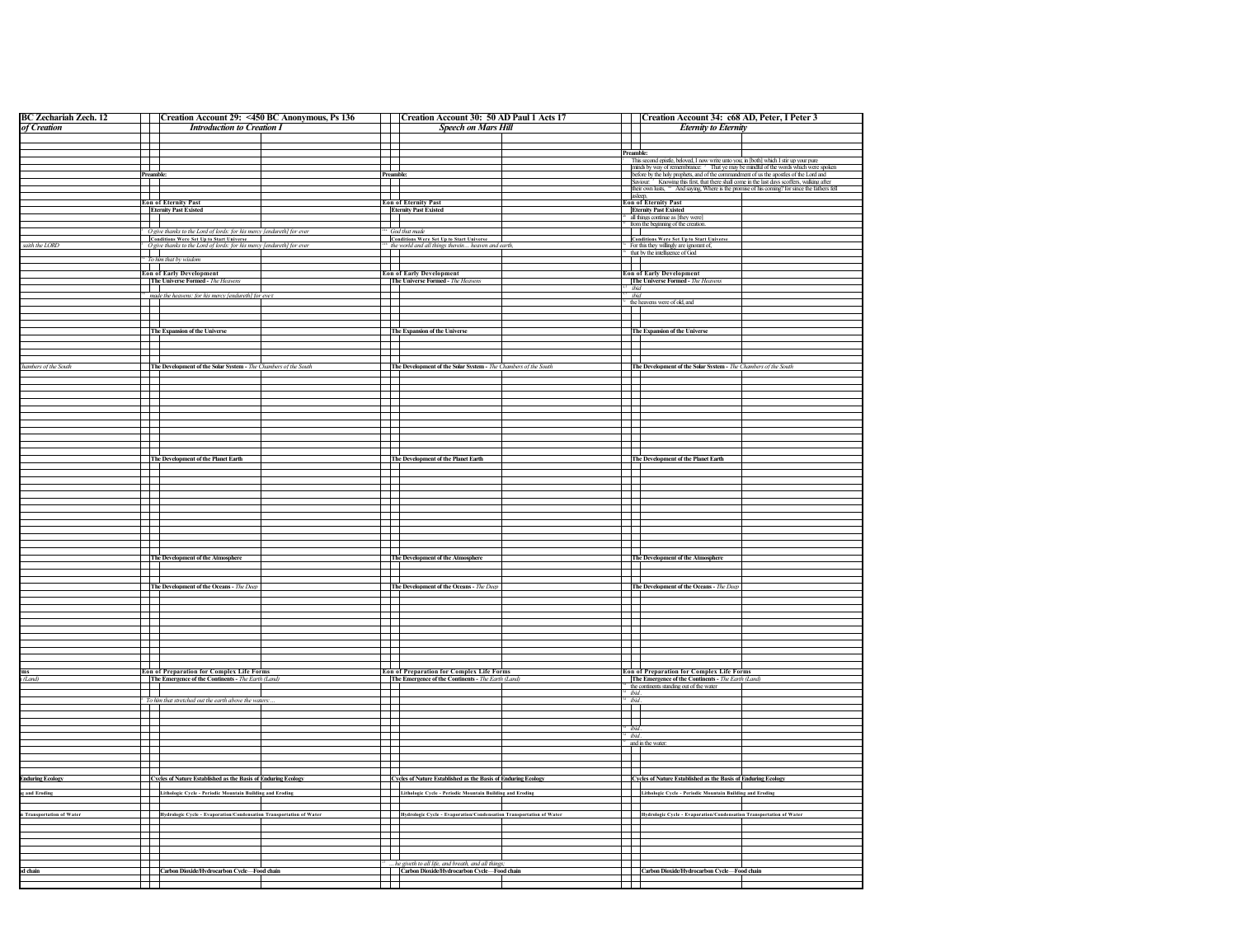| <b>BC Zechariah Zech. 12</b>                                             |                | Creation Account 29: <450 BC Anonymous, Ps 136                                                                                        | Creation Account 30: 50 AD Paul 1 Acts 17                                                                |                |                          | Creation Account 34: c68 AD, Peter, I Peter 3                                                                                                                                                   |  |
|--------------------------------------------------------------------------|----------------|---------------------------------------------------------------------------------------------------------------------------------------|----------------------------------------------------------------------------------------------------------|----------------|--------------------------|-------------------------------------------------------------------------------------------------------------------------------------------------------------------------------------------------|--|
| of Creation                                                              |                | <b>Introduction to Creation I</b>                                                                                                     | <b>Speech on Mars Hill</b>                                                                               |                |                          | <b>Eternity to Eternity</b>                                                                                                                                                                     |  |
|                                                                          |                |                                                                                                                                       |                                                                                                          |                |                          |                                                                                                                                                                                                 |  |
|                                                                          |                |                                                                                                                                       |                                                                                                          |                | $\blacksquare$           |                                                                                                                                                                                                 |  |
|                                                                          |                |                                                                                                                                       |                                                                                                          |                | Preamble:                | This second epistle, beloved, I now write unto you; in [both] which I stir up your pure                                                                                                         |  |
|                                                                          | F              |                                                                                                                                       |                                                                                                          |                |                          | minds by way of remembrance: $2$ That ye may be mindful of the words which were spoken                                                                                                          |  |
|                                                                          | Preamble:      |                                                                                                                                       | Preamble:                                                                                                |                |                          | before by the holy prophets, and of the commandment of us the apostles of the Lord and Saviour: <sup>3</sup> Knowing this first, that there shall come in the last days scoffers, walking after |  |
|                                                                          | $-\Box$        |                                                                                                                                       |                                                                                                          |                |                          | their own lusts, " And saying, Where is the promise of his coming? for since the fathers fell                                                                                                   |  |
|                                                                          |                |                                                                                                                                       |                                                                                                          |                |                          |                                                                                                                                                                                                 |  |
|                                                                          |                | <b>Eon of Eternity Past</b>                                                                                                           | <b>Eon of Eternity Past</b>                                                                              |                |                          | asleep,<br>Eon of Eternity Past                                                                                                                                                                 |  |
|                                                                          |                | <b>Eternity Past Existed</b>                                                                                                          | <b>Eternity Past Existed</b>                                                                             |                |                          | <b>Eternity Past Existed</b>                                                                                                                                                                    |  |
|                                                                          |                |                                                                                                                                       |                                                                                                          |                |                          | all things continue as [they were]                                                                                                                                                              |  |
|                                                                          | I I I          |                                                                                                                                       | $\mathbf{1}$                                                                                             |                | $\mathbf{1}$             | from the beginning of the creation.                                                                                                                                                             |  |
|                                                                          |                | <sup>3</sup> O give thanks to the Lord of lords: for his mercy [endureth] for ever<br><b>Conditions Were Set Up to Start Universe</b> | God that made<br><b>Conditions Were Set Up to Start Universe</b>                                         |                |                          | <b>Conditions Were Set Up to Start Universe</b>                                                                                                                                                 |  |
| aith the LORD                                                            |                | <sup>3</sup> O give thanks to the Lord of lords: for his mercy [endureth] for ever                                                    | the world and all things therein heaven and earth,                                                       |                |                          | For this they willingly are ignorant of,                                                                                                                                                        |  |
|                                                                          | $\Box$         |                                                                                                                                       |                                                                                                          |                |                          | that by the intelligence of God                                                                                                                                                                 |  |
|                                                                          |                | <sup>5</sup> To him that by wisdom                                                                                                    |                                                                                                          |                | a kara                   |                                                                                                                                                                                                 |  |
|                                                                          |                | <b>Example 2</b><br><b>Example 2</b><br><b>Example 2</b><br><b>Example 2</b>                                                          | <b>Eon of Early Development</b>                                                                          |                | $\Box$                   | <b>Eon of Early Development</b>                                                                                                                                                                 |  |
|                                                                          |                | The Universe Formed - The Heavens                                                                                                     | The Universe Formed - The Heavens                                                                        |                |                          | The Universe Formed - The Heavens                                                                                                                                                               |  |
|                                                                          | $\mathbf{1}$   |                                                                                                                                       |                                                                                                          |                | ibid                     |                                                                                                                                                                                                 |  |
|                                                                          |                | made the heavens: for his mercy [endureth] for ever                                                                                   |                                                                                                          |                | ibid                     |                                                                                                                                                                                                 |  |
|                                                                          |                |                                                                                                                                       |                                                                                                          |                |                          | <sup>54</sup> the heavens were of old, and                                                                                                                                                      |  |
|                                                                          |                |                                                                                                                                       |                                                                                                          |                |                          |                                                                                                                                                                                                 |  |
|                                                                          |                |                                                                                                                                       |                                                                                                          |                |                          |                                                                                                                                                                                                 |  |
|                                                                          |                | The Expansion of the Universe                                                                                                         | The Expansion of the Universe                                                                            |                |                          | The Expansion of the Universe                                                                                                                                                                   |  |
|                                                                          | ℾ⊥⊥            |                                                                                                                                       | $\sim$                                                                                                   |                | - 130                    |                                                                                                                                                                                                 |  |
|                                                                          |                |                                                                                                                                       |                                                                                                          |                |                          |                                                                                                                                                                                                 |  |
|                                                                          |                |                                                                                                                                       |                                                                                                          |                |                          |                                                                                                                                                                                                 |  |
| hambers of the South                                                     |                | The Development of the Solar System - The Chambers of the South                                                                       | The Development of the Solar System - The Chambers of the South                                          |                |                          | The Development of the Solar System - The Chambers of the South                                                                                                                                 |  |
|                                                                          |                |                                                                                                                                       |                                                                                                          |                |                          |                                                                                                                                                                                                 |  |
|                                                                          |                |                                                                                                                                       |                                                                                                          |                |                          |                                                                                                                                                                                                 |  |
|                                                                          |                |                                                                                                                                       |                                                                                                          |                |                          |                                                                                                                                                                                                 |  |
|                                                                          | ┌┌             |                                                                                                                                       |                                                                                                          |                | $\top$                   |                                                                                                                                                                                                 |  |
|                                                                          |                |                                                                                                                                       |                                                                                                          |                |                          |                                                                                                                                                                                                 |  |
|                                                                          | П              |                                                                                                                                       |                                                                                                          |                |                          |                                                                                                                                                                                                 |  |
|                                                                          |                |                                                                                                                                       |                                                                                                          |                |                          |                                                                                                                                                                                                 |  |
|                                                                          |                |                                                                                                                                       |                                                                                                          |                | $\mathbf{I}$             |                                                                                                                                                                                                 |  |
|                                                                          | П              |                                                                                                                                       |                                                                                                          |                |                          |                                                                                                                                                                                                 |  |
|                                                                          |                |                                                                                                                                       |                                                                                                          |                |                          |                                                                                                                                                                                                 |  |
|                                                                          |                | The Development of the Planet Earth                                                                                                   | The Development of the Planet Earth                                                                      |                |                          | The Development of the Planet Earth                                                                                                                                                             |  |
|                                                                          |                |                                                                                                                                       |                                                                                                          |                |                          |                                                                                                                                                                                                 |  |
|                                                                          | $\mathbf{I}$   |                                                                                                                                       |                                                                                                          |                | $\mathbf{I}$             |                                                                                                                                                                                                 |  |
|                                                                          |                |                                                                                                                                       |                                                                                                          |                |                          |                                                                                                                                                                                                 |  |
|                                                                          |                |                                                                                                                                       |                                                                                                          |                | $\mathbf{I}$             |                                                                                                                                                                                                 |  |
|                                                                          |                |                                                                                                                                       |                                                                                                          |                |                          |                                                                                                                                                                                                 |  |
|                                                                          |                |                                                                                                                                       |                                                                                                          |                |                          |                                                                                                                                                                                                 |  |
|                                                                          | m              |                                                                                                                                       |                                                                                                          |                |                          |                                                                                                                                                                                                 |  |
|                                                                          |                |                                                                                                                                       |                                                                                                          |                |                          |                                                                                                                                                                                                 |  |
|                                                                          |                |                                                                                                                                       |                                                                                                          |                | Т                        |                                                                                                                                                                                                 |  |
|                                                                          |                |                                                                                                                                       |                                                                                                          |                |                          |                                                                                                                                                                                                 |  |
|                                                                          |                |                                                                                                                                       |                                                                                                          |                |                          |                                                                                                                                                                                                 |  |
|                                                                          |                | The Development of the Atmosphere                                                                                                     | The Development of the Atmosphere                                                                        |                |                          | The Development of the Atmosphere                                                                                                                                                               |  |
|                                                                          |                |                                                                                                                                       |                                                                                                          |                |                          |                                                                                                                                                                                                 |  |
|                                                                          |                |                                                                                                                                       |                                                                                                          |                |                          |                                                                                                                                                                                                 |  |
|                                                                          |                | The Development of the Oceans - The Deep                                                                                              | The Development of the Oceans - The Deep                                                                 |                |                          | The Development of the Oceans - The Deep                                                                                                                                                        |  |
|                                                                          |                |                                                                                                                                       |                                                                                                          |                |                          |                                                                                                                                                                                                 |  |
|                                                                          |                |                                                                                                                                       |                                                                                                          |                |                          |                                                                                                                                                                                                 |  |
|                                                                          |                |                                                                                                                                       |                                                                                                          |                |                          |                                                                                                                                                                                                 |  |
|                                                                          |                |                                                                                                                                       |                                                                                                          |                |                          |                                                                                                                                                                                                 |  |
|                                                                          | $\mathbf{I}$   |                                                                                                                                       |                                                                                                          |                |                          |                                                                                                                                                                                                 |  |
|                                                                          |                |                                                                                                                                       |                                                                                                          |                |                          |                                                                                                                                                                                                 |  |
|                                                                          |                |                                                                                                                                       |                                                                                                          |                |                          |                                                                                                                                                                                                 |  |
|                                                                          |                |                                                                                                                                       |                                                                                                          |                |                          |                                                                                                                                                                                                 |  |
|                                                                          |                |                                                                                                                                       |                                                                                                          |                |                          |                                                                                                                                                                                                 |  |
|                                                                          |                | <b>Eon of Preparation for Complex Life Forms</b>                                                                                      | <b>Eon of Preparation for Complex Life Forms</b>                                                         |                |                          | Eon of Preparation for Complex Life Forms                                                                                                                                                       |  |
| (Land)                                                                   |                | The Emergence of the Continents - The Earth (Land)                                                                                    | The Emergence of the Continents - The Earth (Land)                                                       |                |                          | The Emergence of the Continents - The Earth (Land)                                                                                                                                              |  |
|                                                                          |                |                                                                                                                                       |                                                                                                          |                |                          | <sup>4</sup> the continents standing out of the water                                                                                                                                           |  |
|                                                                          | T              |                                                                                                                                       |                                                                                                          |                | ibid.                    |                                                                                                                                                                                                 |  |
|                                                                          |                | <sup>6</sup> To him that stretched out the earth above the waters:                                                                    |                                                                                                          |                | ibid.<br>$\mathbf{I}$    |                                                                                                                                                                                                 |  |
|                                                                          |                |                                                                                                                                       |                                                                                                          |                |                          |                                                                                                                                                                                                 |  |
|                                                                          | $\mathbf{I}$   |                                                                                                                                       |                                                                                                          |                | $\overline{\phantom{a}}$ |                                                                                                                                                                                                 |  |
|                                                                          |                |                                                                                                                                       |                                                                                                          |                | ibid                     |                                                                                                                                                                                                 |  |
|                                                                          | $\blacksquare$ |                                                                                                                                       |                                                                                                          |                | ibid                     | and in the water.                                                                                                                                                                               |  |
|                                                                          |                |                                                                                                                                       |                                                                                                          |                |                          |                                                                                                                                                                                                 |  |
|                                                                          |                |                                                                                                                                       |                                                                                                          |                | ┿                        |                                                                                                                                                                                                 |  |
|                                                                          |                |                                                                                                                                       |                                                                                                          |                |                          |                                                                                                                                                                                                 |  |
|                                                                          |                |                                                                                                                                       |                                                                                                          |                |                          |                                                                                                                                                                                                 |  |
|                                                                          |                | Cycles of Nature Established as the Basis of Enduring Ecology                                                                         | Cycles of Nature Established as the Basis of Enduring Ecology                                            |                |                          | Cycles of Nature Established as the Basis of Enduring Ecology                                                                                                                                   |  |
|                                                                          |                |                                                                                                                                       | Lithologic Cycle - Periodic Mountain Building and Eroding                                                | $\blacksquare$ |                          | Lithologic Cycle - Periodic Mountain Building and Eroding                                                                                                                                       |  |
|                                                                          |                |                                                                                                                                       |                                                                                                          |                |                          |                                                                                                                                                                                                 |  |
|                                                                          | I.             | Lithologic Cycle - Periodic Mountain Building and Eroding                                                                             |                                                                                                          |                |                          |                                                                                                                                                                                                 |  |
|                                                                          |                |                                                                                                                                       |                                                                                                          |                |                          |                                                                                                                                                                                                 |  |
|                                                                          |                | Hydrologic Cycle - Evaporation/Condensation Transportation of Water                                                                   | Hydrologic Cycle - Evaporation/Condensation Transportation of Water                                      |                |                          | Hydrologic Cycle - Evaporation/Condensation Transportation of Water                                                                                                                             |  |
|                                                                          |                |                                                                                                                                       |                                                                                                          |                |                          |                                                                                                                                                                                                 |  |
| <b>Induring Ecology</b><br>and Eroding<br><b>Transportation of Water</b> |                |                                                                                                                                       |                                                                                                          |                |                          |                                                                                                                                                                                                 |  |
|                                                                          |                |                                                                                                                                       |                                                                                                          |                |                          |                                                                                                                                                                                                 |  |
|                                                                          |                |                                                                                                                                       |                                                                                                          |                |                          |                                                                                                                                                                                                 |  |
|                                                                          |                |                                                                                                                                       |                                                                                                          |                |                          |                                                                                                                                                                                                 |  |
|                                                                          |                |                                                                                                                                       |                                                                                                          |                |                          |                                                                                                                                                                                                 |  |
| d chain                                                                  |                | Carbon Dioxide/Hydrocarbon Cycle-Food chain                                                                                           | he giveth to all life, and breath, and all things;<br><b>Carbon Dioxide/Hydrocarbon Cycle—Food chain</b> |                |                          | Carbon Dioxide/Hydrocarbon Cycle-Food chain                                                                                                                                                     |  |
|                                                                          | $\mathbf{I}$   |                                                                                                                                       |                                                                                                          |                |                          |                                                                                                                                                                                                 |  |